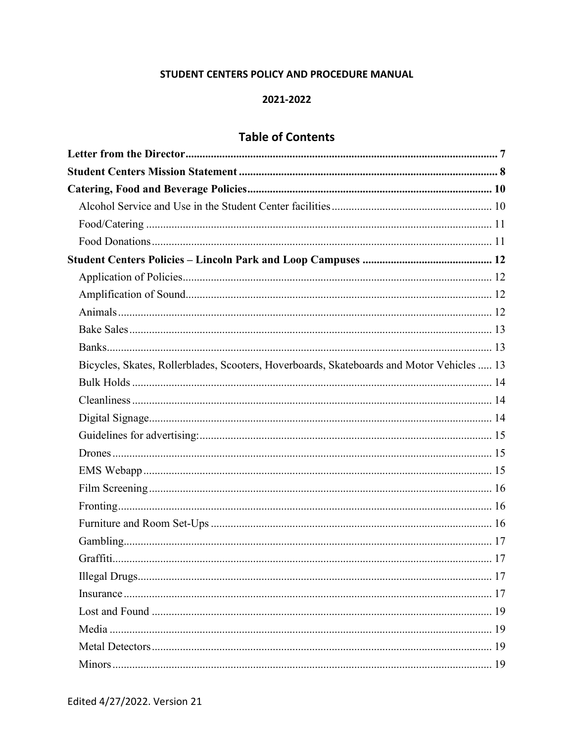### STUDENT CENTERS POLICY AND PROCEDURE MANUAL

#### 2021-2022

# **Table of Contents**

| Bicycles, Skates, Rollerblades, Scooters, Hoverboards, Skateboards and Motor Vehicles  13 |
|-------------------------------------------------------------------------------------------|
|                                                                                           |
|                                                                                           |
|                                                                                           |
|                                                                                           |
|                                                                                           |
|                                                                                           |
|                                                                                           |
|                                                                                           |
|                                                                                           |
|                                                                                           |
|                                                                                           |
|                                                                                           |
|                                                                                           |
|                                                                                           |
|                                                                                           |
|                                                                                           |
|                                                                                           |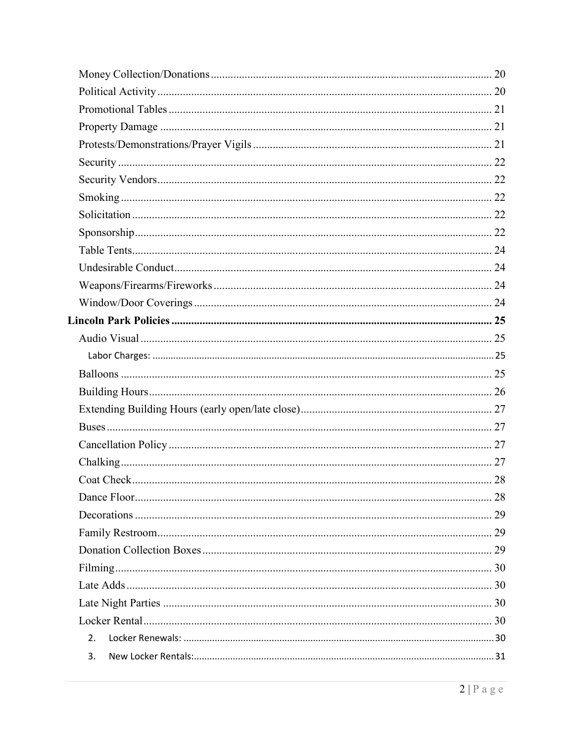| 2. |  |
|----|--|
| 3. |  |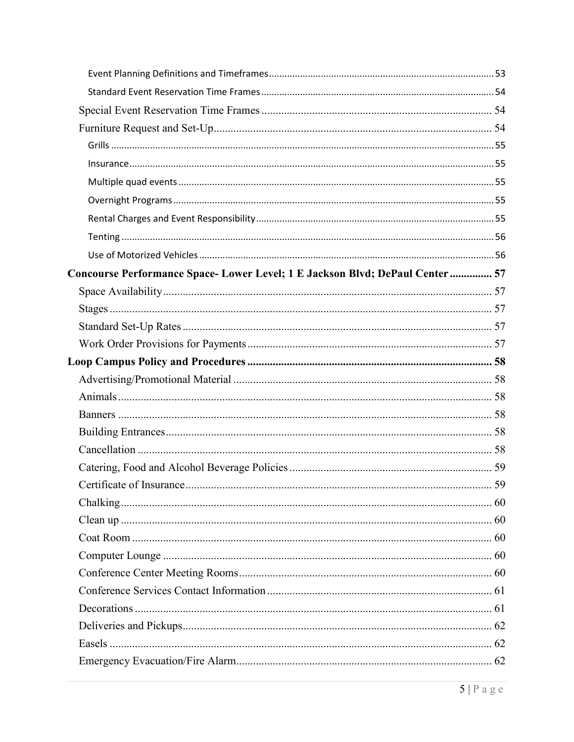| Concourse Performance Space-Lower Level; 1 E Jackson Blvd; DePaul Center 57 |    |
|-----------------------------------------------------------------------------|----|
|                                                                             |    |
|                                                                             |    |
|                                                                             |    |
|                                                                             |    |
|                                                                             |    |
|                                                                             |    |
|                                                                             |    |
|                                                                             |    |
|                                                                             |    |
|                                                                             |    |
|                                                                             |    |
|                                                                             | 59 |
|                                                                             |    |
|                                                                             |    |
|                                                                             |    |
|                                                                             |    |
|                                                                             |    |
|                                                                             |    |
|                                                                             |    |
|                                                                             |    |
|                                                                             |    |
|                                                                             |    |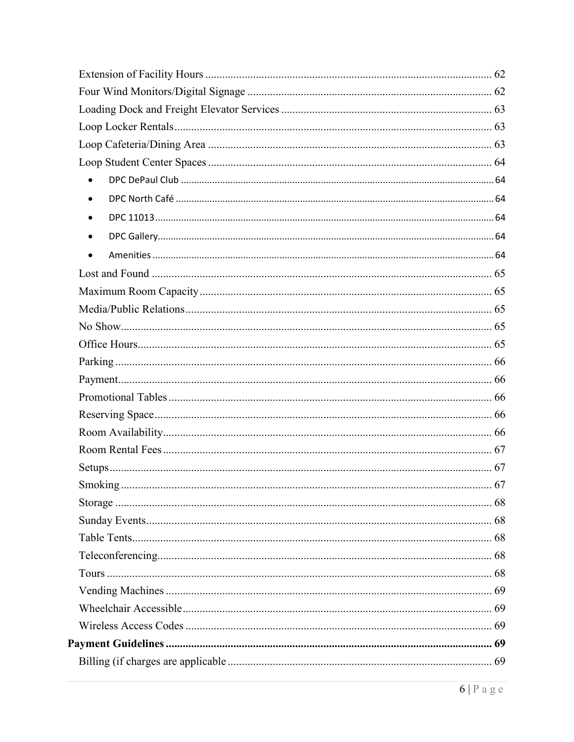| $\bullet$ |  |
|-----------|--|
| $\bullet$ |  |
| $\bullet$ |  |
| $\bullet$ |  |
| $\bullet$ |  |
|           |  |
|           |  |
|           |  |
|           |  |
|           |  |
|           |  |
|           |  |
|           |  |
|           |  |
|           |  |
|           |  |
|           |  |
| Smoking.  |  |
|           |  |
|           |  |
|           |  |
|           |  |
|           |  |
|           |  |
|           |  |
|           |  |
|           |  |
|           |  |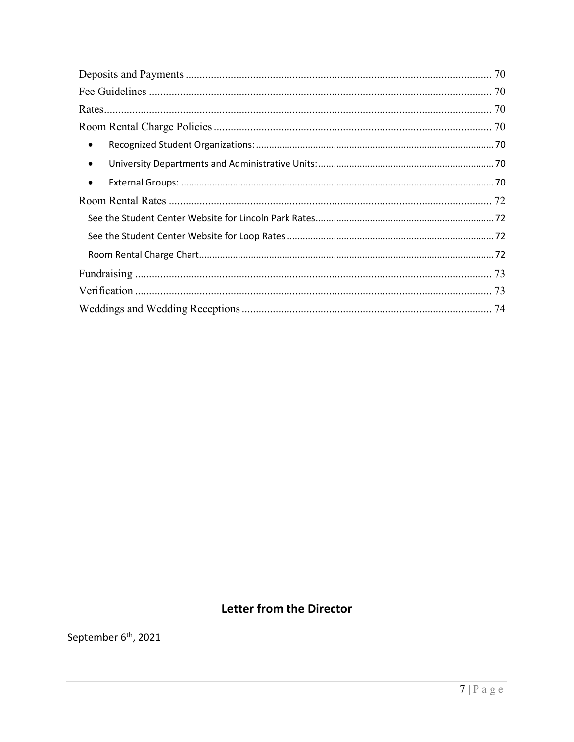| $\bullet$ |  |
|-----------|--|
| $\bullet$ |  |
| $\bullet$ |  |
|           |  |
|           |  |
|           |  |
|           |  |
|           |  |
|           |  |
|           |  |

# Letter from the Director

<span id="page-6-0"></span>September 6<sup>th</sup>, 2021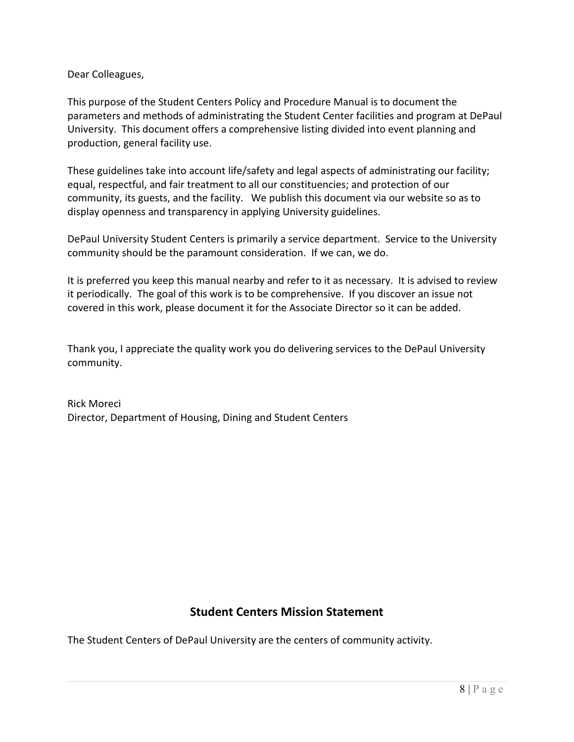Dear Colleagues,

This purpose of the Student Centers Policy and Procedure Manual is to document the parameters and methods of administrating the Student Center facilities and program at DePaul University. This document offers a comprehensive listing divided into event planning and production, general facility use.

These guidelines take into account life/safety and legal aspects of administrating our facility; equal, respectful, and fair treatment to all our constituencies; and protection of our community, its guests, and the facility. We publish this document via our website so as to display openness and transparency in applying University guidelines.

DePaul University Student Centers is primarily a service department. Service to the University community should be the paramount consideration. If we can, we do.

It is preferred you keep this manual nearby and refer to it as necessary. It is advised to review it periodically. The goal of this work is to be comprehensive. If you discover an issue not covered in this work, please document it for the Associate Director so it can be added.

Thank you, I appreciate the quality work you do delivering services to the DePaul University community.

Rick Moreci Director, Department of Housing, Dining and Student Centers

## **Student Centers Mission Statement**

<span id="page-7-0"></span>The Student Centers of DePaul University are the centers of community activity.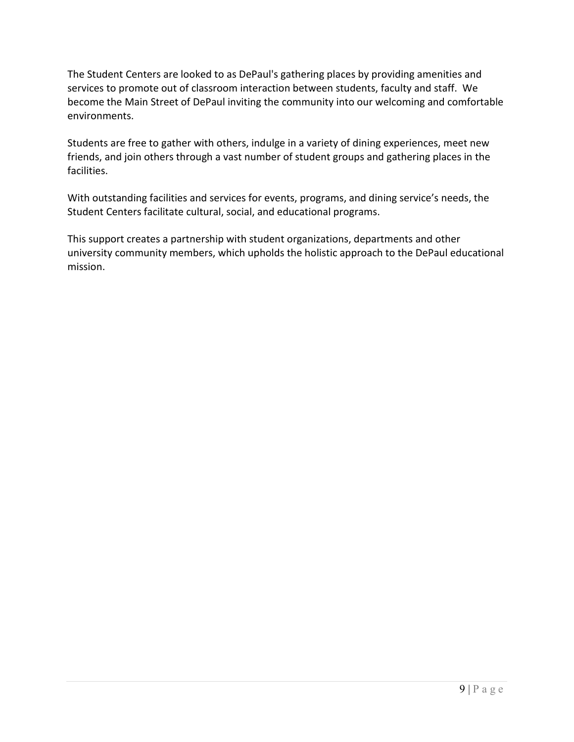The Student Centers are looked to as DePaul's gathering places by providing amenities and services to promote out of classroom interaction between students, faculty and staff. We become the Main Street of DePaul inviting the community into our welcoming and comfortable environments.

Students are free to gather with others, indulge in a variety of dining experiences, meet new friends, and join others through a vast number of student groups and gathering places in the facilities.

With outstanding facilities and services for events, programs, and dining service's needs, the Student Centers facilitate cultural, social, and educational programs.

This support creates a partnership with student organizations, departments and other university community members, which upholds the holistic approach to the DePaul educational mission.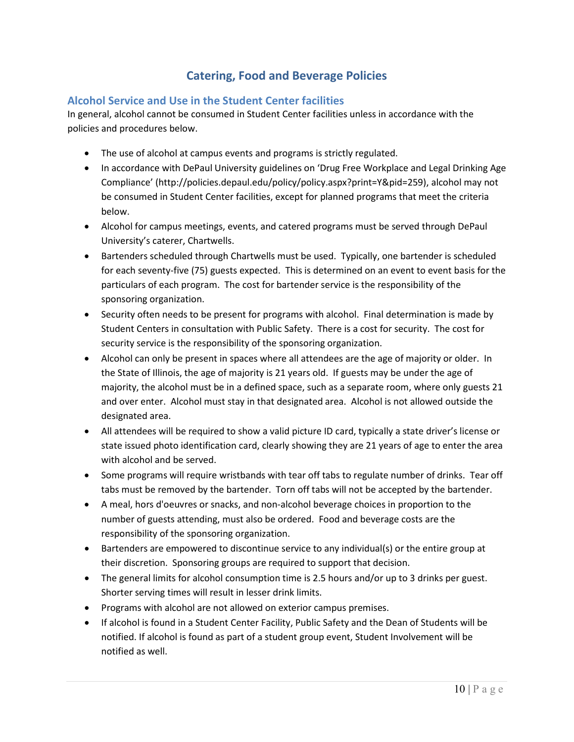## **Catering, Food and Beverage Policies**

#### <span id="page-9-1"></span><span id="page-9-0"></span>**Alcohol Service and Use in the Student Center facilities**

In general, alcohol cannot be consumed in Student Center facilities unless in accordance with the policies and procedures below.

- The use of alcohol at campus events and programs is strictly regulated.
- In accordance with DePaul University guidelines on 'Drug Free Workplace and Legal Drinking Age Compliance' (http://policies.depaul.edu/policy/policy.aspx?print=Y&pid=259), alcohol may not be consumed in Student Center facilities, except for planned programs that meet the criteria below.
- Alcohol for campus meetings, events, and catered programs must be served through DePaul University's caterer, Chartwells.
- Bartenders scheduled through Chartwells must be used. Typically, one bartender is scheduled for each seventy-five (75) guests expected. This is determined on an event to event basis for the particulars of each program. The cost for bartender service is the responsibility of the sponsoring organization.
- Security often needs to be present for programs with alcohol. Final determination is made by Student Centers in consultation with Public Safety. There is a cost for security. The cost for security service is the responsibility of the sponsoring organization.
- Alcohol can only be present in spaces where all attendees are the age of majority or older. In the State of Illinois, the age of majority is 21 years old. If guests may be under the age of majority, the alcohol must be in a defined space, such as a separate room, where only guests 21 and over enter. Alcohol must stay in that designated area. Alcohol is not allowed outside the designated area.
- All attendees will be required to show a valid picture ID card, typically a state driver's license or state issued photo identification card, clearly showing they are 21 years of age to enter the area with alcohol and be served.
- Some programs will require wristbands with tear off tabs to regulate number of drinks. Tear off tabs must be removed by the bartender. Torn off tabs will not be accepted by the bartender.
- A meal, hors d'oeuvres or snacks, and non-alcohol beverage choices in proportion to the number of guests attending, must also be ordered. Food and beverage costs are the responsibility of the sponsoring organization.
- Bartenders are empowered to discontinue service to any individual(s) or the entire group at their discretion. Sponsoring groups are required to support that decision.
- The general limits for alcohol consumption time is 2.5 hours and/or up to 3 drinks per guest. Shorter serving times will result in lesser drink limits.
- Programs with alcohol are not allowed on exterior campus premises.
- If alcohol is found in a Student Center Facility, Public Safety and the Dean of Students will be notified. If alcohol is found as part of a student group event, Student Involvement will be notified as well.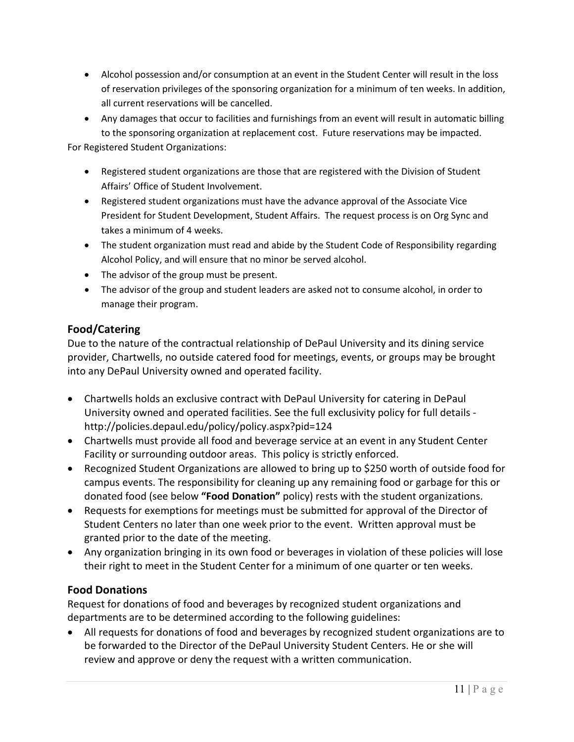- Alcohol possession and/or consumption at an event in the Student Center will result in the loss of reservation privileges of the sponsoring organization for a minimum of ten weeks. In addition, all current reservations will be cancelled.
- Any damages that occur to facilities and furnishings from an event will result in automatic billing to the sponsoring organization at replacement cost. Future reservations may be impacted. For Registered Student Organizations:

• Registered student organizations are those that are registered with the Division of Student

- Affairs' Office of Student Involvement.
- Registered student organizations must have the advance approval of the Associate Vice President for Student Development, Student Affairs. The request process is on Org Sync and takes a minimum of 4 weeks.
- The student organization must read and abide by the Student Code of Responsibility regarding Alcohol Policy, and will ensure that no minor be served alcohol.
- The advisor of the group must be present.
- The advisor of the group and student leaders are asked not to consume alcohol, in order to manage their program.

# <span id="page-10-0"></span>**Food/Catering**

Due to the nature of the contractual relationship of DePaul University and its dining service provider, Chartwells, no outside catered food for meetings, events, or groups may be brought into any DePaul University owned and operated facility.

- Chartwells holds an exclusive contract with DePaul University for catering in DePaul University owned and operated facilities. See the full exclusivity policy for full details http://policies.depaul.edu/policy/policy.aspx?pid=124
- Chartwells must provide all food and beverage service at an event in any Student Center Facility or surrounding outdoor areas. This policy is strictly enforced.
- Recognized Student Organizations are allowed to bring up to \$250 worth of outside food for campus events. The responsibility for cleaning up any remaining food or garbage for this or donated food (see below **"Food Donation"** policy) rests with the student organizations.
- Requests for exemptions for meetings must be submitted for approval of the Director of Student Centers no later than one week prior to the event. Written approval must be granted prior to the date of the meeting.
- Any organization bringing in its own food or beverages in violation of these policies will lose their right to meet in the Student Center for a minimum of one quarter or ten weeks.

# <span id="page-10-1"></span>**Food Donations**

Request for donations of food and beverages by recognized student organizations and departments are to be determined according to the following guidelines:

• All requests for donations of food and beverages by recognized student organizations are to be forwarded to the Director of the DePaul University Student Centers. He or she will review and approve or deny the request with a written communication.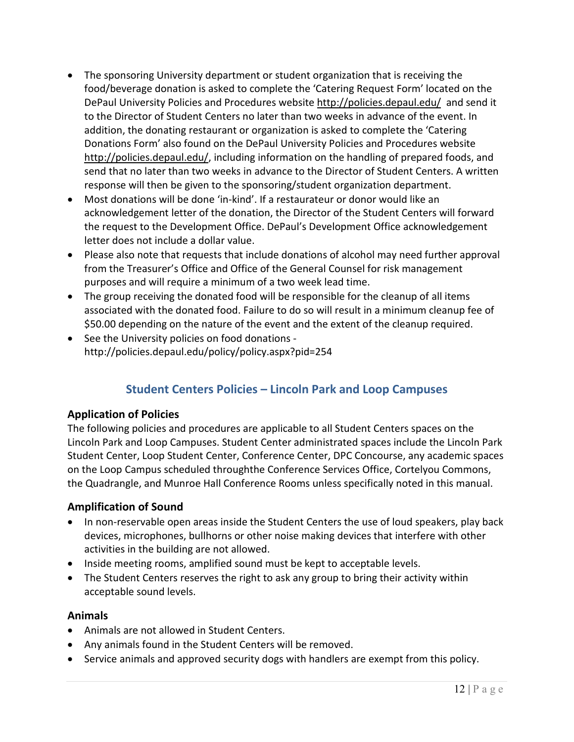- The sponsoring University department or student organization that is receiving the food/beverage donation is asked to complete the 'Catering Request Form' located on the DePaul University Policies and Procedures website<http://policies.depaul.edu/>and send it to the Director of Student Centers no later than two weeks in advance of the event. In addition, the donating restaurant or organization is asked to complete the 'Catering Donations Form' also found on the DePaul University Policies and Procedures website [http://policies.depaul.edu/,](http://policies.depaul.edu/) including information on the handling of prepared foods, and send that no later than two weeks in advance to the Director of Student Centers. A written response will then be given to the sponsoring/student organization department.
- Most donations will be done 'in-kind'. If a restaurateur or donor would like an acknowledgement letter of the donation, the Director of the Student Centers will forward the request to the Development Office. DePaul's Development Office acknowledgement letter does not include a dollar value.
- Please also note that requests that include donations of alcohol may need further approval from the Treasurer's Office and Office of the General Counsel for risk management purposes and will require a minimum of a two week lead time.
- The group receiving the donated food will be responsible for the cleanup of all items associated with the donated food. Failure to do so will result in a minimum cleanup fee of \$50.00 depending on the nature of the event and the extent of the cleanup required.
- <span id="page-11-0"></span>• See the University policies on food donations http://policies.depaul.edu/policy/policy.aspx?pid=254

# **Student Centers Policies – Lincoln Park and Loop Campuses**

### <span id="page-11-1"></span>**Application of Policies**

The following policies and procedures are applicable to all Student Centers spaces on the Lincoln Park and Loop Campuses. Student Center administrated spaces include the Lincoln Park Student Center, Loop Student Center, Conference Center, DPC Concourse, any academic spaces on the Loop Campus scheduled throughthe Conference Services Office, Cortelyou Commons, the Quadrangle, and Munroe Hall Conference Rooms unless specifically noted in this manual.

### <span id="page-11-2"></span>**Amplification of Sound**

- In non-reservable open areas inside the Student Centers the use of loud speakers, play back devices, microphones, bullhorns or other noise making devices that interfere with other activities in the building are not allowed.
- Inside meeting rooms, amplified sound must be kept to acceptable levels.
- The Student Centers reserves the right to ask any group to bring their activity within acceptable sound levels.

#### <span id="page-11-3"></span>**Animals**

- Animals are not allowed in Student Centers.
- Any animals found in the Student Centers will be removed.
- Service animals and approved security dogs with handlers are exempt from this policy.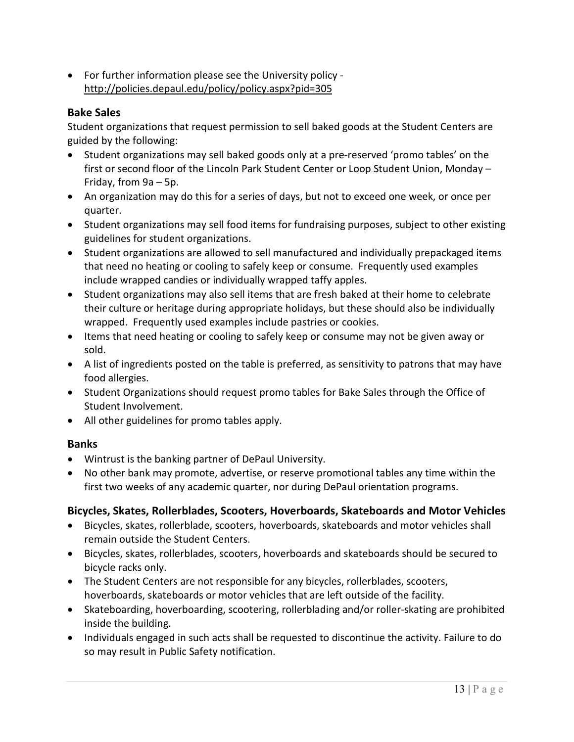• For further information please see the University policy <http://policies.depaul.edu/policy/policy.aspx?pid=305>

#### <span id="page-12-0"></span>**Bake Sales**

Student organizations that request permission to sell baked goods at the Student Centers are guided by the following:

- Student organizations may sell baked goods only at a pre-reserved 'promo tables' on the first or second floor of the Lincoln Park Student Center or Loop Student Union, Monday – Friday, from 9a – 5p.
- An organization may do this for a series of days, but not to exceed one week, or once per quarter.
- Student organizations may sell food items for fundraising purposes, subject to other existing guidelines for student organizations.
- Student organizations are allowed to sell manufactured and individually prepackaged items that need no heating or cooling to safely keep or consume. Frequently used examples include wrapped candies or individually wrapped taffy apples.
- Student organizations may also sell items that are fresh baked at their home to celebrate their culture or heritage during appropriate holidays, but these should also be individually wrapped. Frequently used examples include pastries or cookies.
- Items that need heating or cooling to safely keep or consume may not be given away or sold.
- A list of ingredients posted on the table is preferred, as sensitivity to patrons that may have food allergies.
- Student Organizations should request promo tables for Bake Sales through the Office of Student Involvement.
- All other guidelines for promo tables apply.

### <span id="page-12-1"></span>**Banks**

- Wintrust is the banking partner of DePaul University.
- No other bank may promote, advertise, or reserve promotional tables any time within the first two weeks of any academic quarter, nor during DePaul orientation programs.

### <span id="page-12-2"></span>**Bicycles, Skates, Rollerblades, Scooters, Hoverboards, Skateboards and Motor Vehicles**

- Bicycles, skates, rollerblade, scooters, hoverboards, skateboards and motor vehicles shall remain outside the Student Centers.
- Bicycles, skates, rollerblades, scooters, hoverboards and skateboards should be secured to bicycle racks only.
- The Student Centers are not responsible for any bicycles, rollerblades, scooters, hoverboards, skateboards or motor vehicles that are left outside of the facility.
- Skateboarding, hoverboarding, scootering, rollerblading and/or roller-skating are prohibited inside the building.
- Individuals engaged in such acts shall be requested to discontinue the activity. Failure to do so may result in Public Safety notification.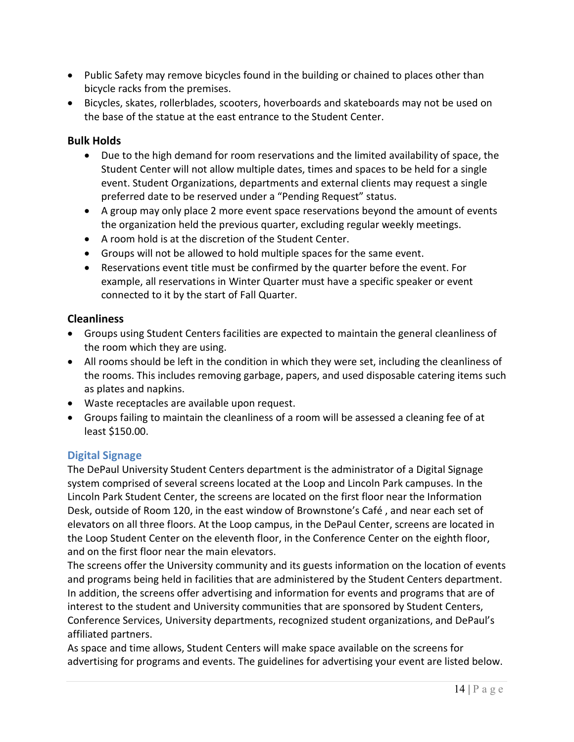- Public Safety may remove bicycles found in the building or chained to places other than bicycle racks from the premises.
- Bicycles, skates, rollerblades, scooters, hoverboards and skateboards may not be used on the base of the statue at the east entrance to the Student Center.

#### <span id="page-13-0"></span>**Bulk Holds**

- Due to the high demand for room reservations and the limited availability of space, the Student Center will not allow multiple dates, times and spaces to be held for a single event. Student Organizations, departments and external clients may request a single preferred date to be reserved under a "Pending Request" status.
- A group may only place 2 more event space reservations beyond the amount of events the organization held the previous quarter, excluding regular weekly meetings.
- A room hold is at the discretion of the Student Center.
- Groups will not be allowed to hold multiple spaces for the same event.
- Reservations event title must be confirmed by the quarter before the event. For example, all reservations in Winter Quarter must have a specific speaker or event connected to it by the start of Fall Quarter.

#### <span id="page-13-1"></span>**Cleanliness**

- Groups using Student Centers facilities are expected to maintain the general cleanliness of the room which they are using.
- All rooms should be left in the condition in which they were set, including the cleanliness of the rooms. This includes removing garbage, papers, and used disposable catering items such as plates and napkins.
- Waste receptacles are available upon request.
- Groups failing to maintain the cleanliness of a room will be assessed a cleaning fee of at least \$150.00.

### <span id="page-13-2"></span>**Digital Signage**

The DePaul University Student Centers department is the administrator of a Digital Signage system comprised of several screens located at the Loop and Lincoln Park campuses. In the Lincoln Park Student Center, the screens are located on the first floor near the Information Desk, outside of Room 120, in the east window of Brownstone's Café , and near each set of elevators on all three floors. At the Loop campus, in the DePaul Center, screens are located in the Loop Student Center on the eleventh floor, in the Conference Center on the eighth floor, and on the first floor near the main elevators.

The screens offer the University community and its guests information on the location of events and programs being held in facilities that are administered by the Student Centers department. In addition, the screens offer advertising and information for events and programs that are of interest to the student and University communities that are sponsored by Student Centers, Conference Services, University departments, recognized student organizations, and DePaul's affiliated partners.

As space and time allows, Student Centers will make space available on the screens for advertising for programs and events. The guidelines for advertising your event are listed below.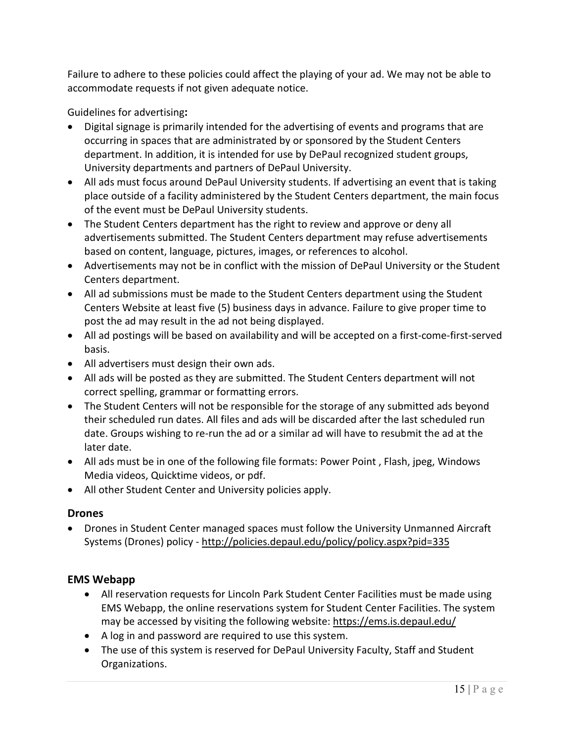Failure to adhere to these policies could affect the playing of your ad. We may not be able to accommodate requests if not given adequate notice.

<span id="page-14-0"></span>Guidelines for advertising**:**

- Digital signage is primarily intended for the advertising of events and programs that are occurring in spaces that are administrated by or sponsored by the Student Centers department. In addition, it is intended for use by DePaul recognized student groups, University departments and partners of DePaul University.
- All ads must focus around DePaul University students. If advertising an event that is taking place outside of a facility administered by the Student Centers department, the main focus of the event must be DePaul University students.
- The Student Centers department has the right to review and approve or deny all advertisements submitted. The Student Centers department may refuse advertisements based on content, language, pictures, images, or references to alcohol.
- Advertisements may not be in conflict with the mission of DePaul University or the Student Centers department.
- All ad submissions must be made to the Student Centers department using the Student Centers Website at least five (5) business days in advance. Failure to give proper time to post the ad may result in the ad not being displayed.
- All ad postings will be based on availability and will be accepted on a first-come-first-served basis.
- All advertisers must design their own ads.
- All ads will be posted as they are submitted. The Student Centers department will not correct spelling, grammar or formatting errors.
- The Student Centers will not be responsible for the storage of any submitted ads beyond their scheduled run dates. All files and ads will be discarded after the last scheduled run date. Groups wishing to re-run the ad or a similar ad will have to resubmit the ad at the later date.
- All ads must be in one of the following file formats: Power Point, Flash, jpeg, Windows Media videos, Quicktime videos, or pdf.
- All other Student Center and University policies apply.

### <span id="page-14-1"></span>**Drones**

• Drones in Student Center managed spaces must follow the University Unmanned Aircraft Systems (Drones) policy -<http://policies.depaul.edu/policy/policy.aspx?pid=335>

### <span id="page-14-2"></span>**EMS Webapp**

- All reservation requests for Lincoln Park Student Center Facilities must be made using EMS Webapp, the online reservations system for Student Center Facilities. The system may be accessed by visiting the following website:<https://ems.is.depaul.edu/>
- A log in and password are required to use this system.
- The use of this system is reserved for DePaul University Faculty, Staff and Student Organizations.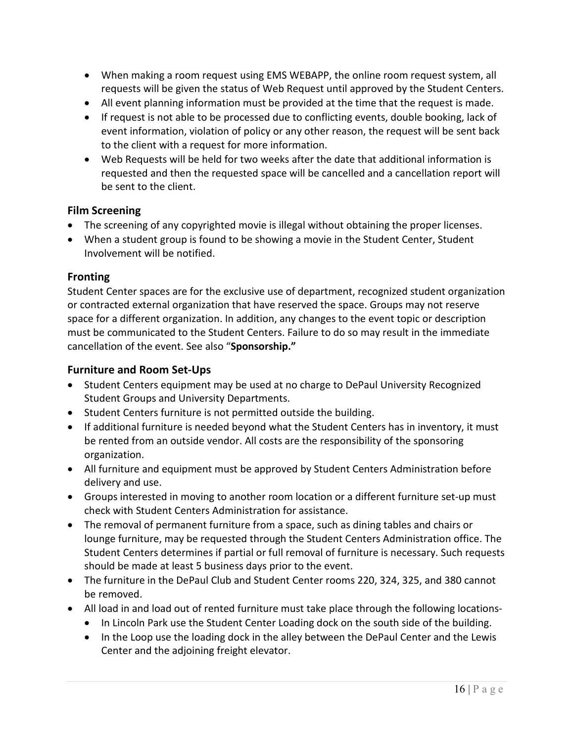- When making a room request using EMS WEBAPP, the online room request system, all requests will be given the status of Web Request until approved by the Student Centers.
- All event planning information must be provided at the time that the request is made.
- If request is not able to be processed due to conflicting events, double booking, lack of event information, violation of policy or any other reason, the request will be sent back to the client with a request for more information.
- Web Requests will be held for two weeks after the date that additional information is requested and then the requested space will be cancelled and a cancellation report will be sent to the client.

#### <span id="page-15-0"></span>**Film Screening**

- The screening of any copyrighted movie is illegal without obtaining the proper licenses.
- When a student group is found to be showing a movie in the Student Center, Student Involvement will be notified.

### <span id="page-15-1"></span>**Fronting**

Student Center spaces are for the exclusive use of department, recognized student organization or contracted external organization that have reserved the space. Groups may not reserve space for a different organization. In addition, any changes to the event topic or description must be communicated to the Student Centers. Failure to do so may result in the immediate cancellation of the event. See also "**Sponsorship."**

### <span id="page-15-2"></span>**Furniture and Room Set-Ups**

- Student Centers equipment may be used at no charge to DePaul University Recognized Student Groups and University Departments.
- Student Centers furniture is not permitted outside the building.
- If additional furniture is needed beyond what the Student Centers has in inventory, it must be rented from an outside vendor. All costs are the responsibility of the sponsoring organization.
- All furniture and equipment must be approved by Student Centers Administration before delivery and use.
- Groups interested in moving to another room location or a different furniture set-up must check with Student Centers Administration for assistance.
- The removal of permanent furniture from a space, such as dining tables and chairs or lounge furniture, may be requested through the Student Centers Administration office. The Student Centers determines if partial or full removal of furniture is necessary. Such requests should be made at least 5 business days prior to the event.
- The furniture in the DePaul Club and Student Center rooms 220, 324, 325, and 380 cannot be removed.
- All load in and load out of rented furniture must take place through the following locations-
	- In Lincoln Park use the Student Center Loading dock on the south side of the building.
	- In the Loop use the loading dock in the alley between the DePaul Center and the Lewis Center and the adjoining freight elevator.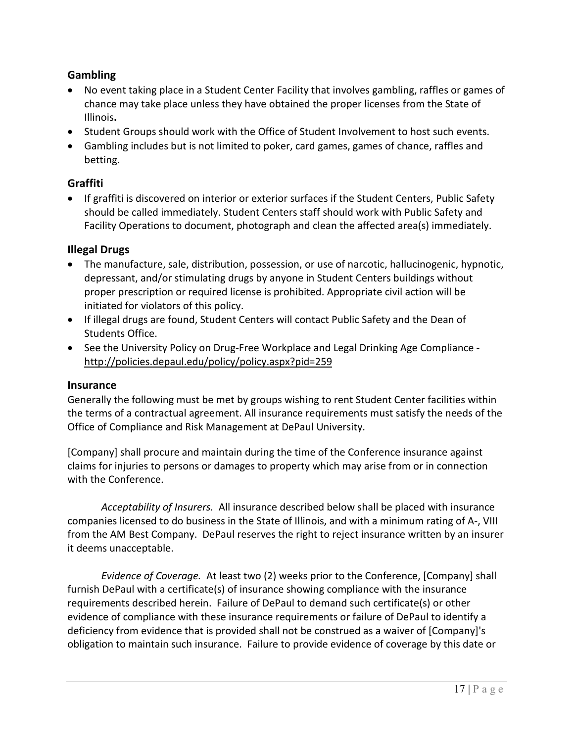### <span id="page-16-0"></span>**Gambling**

- No event taking place in a Student Center Facility that involves gambling, raffles or games of chance may take place unless they have obtained the proper licenses from the State of Illinois**.**
- Student Groups should work with the Office of Student Involvement to host such events.
- Gambling includes but is not limited to poker, card games, games of chance, raffles and betting.

#### <span id="page-16-1"></span>**Graffiti**

• If graffiti is discovered on interior or exterior surfaces if the Student Centers, Public Safety should be called immediately. Student Centers staff should work with Public Safety and Facility Operations to document, photograph and clean the affected area(s) immediately.

### <span id="page-16-2"></span>**Illegal Drugs**

- The manufacture, sale, distribution, possession, or use of narcotic, hallucinogenic, hypnotic, depressant, and/or stimulating drugs by anyone in Student Centers buildings without proper prescription or required license is prohibited. Appropriate civil action will be initiated for violators of this policy.
- If illegal drugs are found, Student Centers will contact Public Safety and the Dean of Students Office.
- See the University Policy on Drug-Free Workplace and Legal Drinking Age Compliance <http://policies.depaul.edu/policy/policy.aspx?pid=259>

### <span id="page-16-3"></span>**Insurance**

Generally the following must be met by groups wishing to rent Student Center facilities within the terms of a contractual agreement. All insurance requirements must satisfy the needs of the Office of Compliance and Risk Management at DePaul University.

[Company] shall procure and maintain during the time of the Conference insurance against claims for injuries to persons or damages to property which may arise from or in connection with the Conference.

*Acceptability of Insurers.* All insurance described below shall be placed with insurance companies licensed to do business in the State of Illinois, and with a minimum rating of A-, VIII from the AM Best Company. DePaul reserves the right to reject insurance written by an insurer it deems unacceptable.

*Evidence of Coverage.* At least two (2) weeks prior to the Conference, [Company] shall furnish DePaul with a certificate(s) of insurance showing compliance with the insurance requirements described herein. Failure of DePaul to demand such certificate(s) or other evidence of compliance with these insurance requirements or failure of DePaul to identify a deficiency from evidence that is provided shall not be construed as a waiver of [Company]'s obligation to maintain such insurance. Failure to provide evidence of coverage by this date or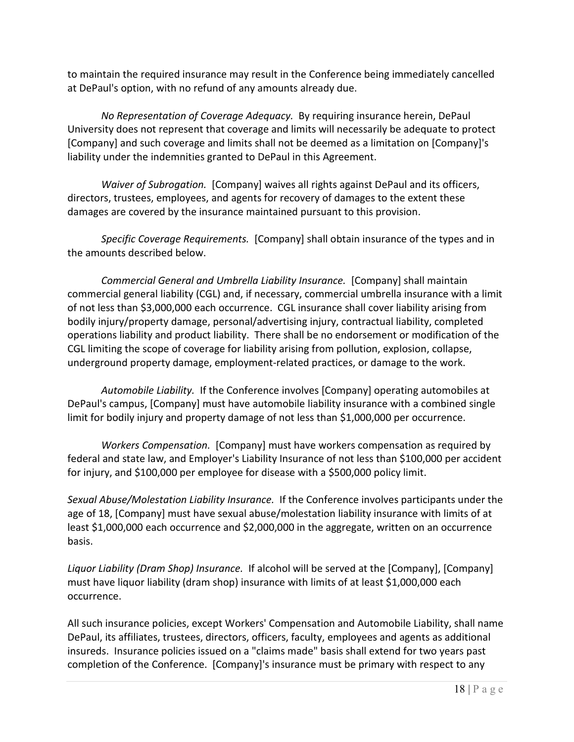to maintain the required insurance may result in the Conference being immediately cancelled at DePaul's option, with no refund of any amounts already due.

*No Representation of Coverage Adequacy.* By requiring insurance herein, DePaul University does not represent that coverage and limits will necessarily be adequate to protect [Company] and such coverage and limits shall not be deemed as a limitation on [Company]'s liability under the indemnities granted to DePaul in this Agreement.

*Waiver of Subrogation.* [Company] waives all rights against DePaul and its officers, directors, trustees, employees, and agents for recovery of damages to the extent these damages are covered by the insurance maintained pursuant to this provision.

*Specific Coverage Requirements.* [Company] shall obtain insurance of the types and in the amounts described below.

*Commercial General and Umbrella Liability Insurance.* [Company] shall maintain commercial general liability (CGL) and, if necessary, commercial umbrella insurance with a limit of not less than \$3,000,000 each occurrence. CGL insurance shall cover liability arising from bodily injury/property damage, personal/advertising injury, contractual liability, completed operations liability and product liability. There shall be no endorsement or modification of the CGL limiting the scope of coverage for liability arising from pollution, explosion, collapse, underground property damage, employment-related practices, or damage to the work.

*Automobile Liability.* If the Conference involves [Company] operating automobiles at DePaul's campus, [Company] must have automobile liability insurance with a combined single limit for bodily injury and property damage of not less than \$1,000,000 per occurrence.

*Workers Compensation.* [Company] must have workers compensation as required by federal and state law, and Employer's Liability Insurance of not less than \$100,000 per accident for injury, and \$100,000 per employee for disease with a \$500,000 policy limit.

*Sexual Abuse/Molestation Liability Insurance.* If the Conference involves participants under the age of 18, [Company] must have sexual abuse/molestation liability insurance with limits of at least \$1,000,000 each occurrence and \$2,000,000 in the aggregate, written on an occurrence basis.

*Liquor Liability (Dram Shop) Insurance.* If alcohol will be served at the [Company], [Company] must have liquor liability (dram shop) insurance with limits of at least \$1,000,000 each occurrence.

All such insurance policies, except Workers' Compensation and Automobile Liability, shall name DePaul, its affiliates, trustees, directors, officers, faculty, employees and agents as additional insureds. Insurance policies issued on a "claims made" basis shall extend for two years past completion of the Conference. [Company]'s insurance must be primary with respect to any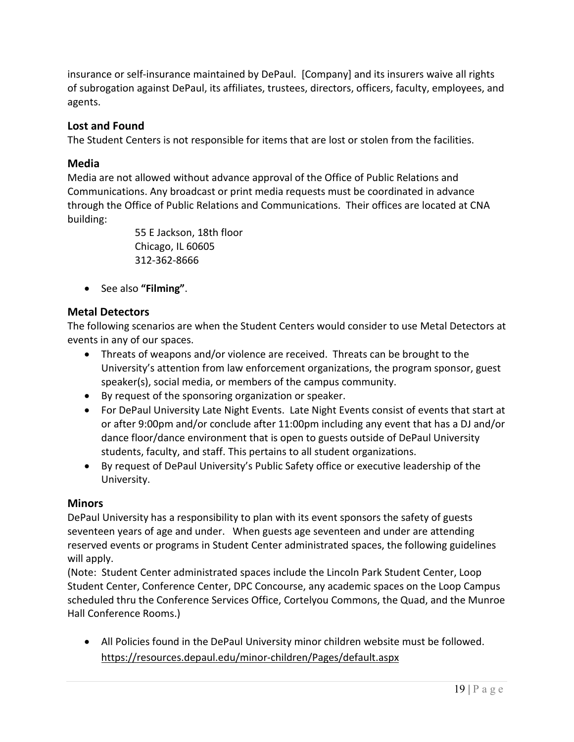insurance or self-insurance maintained by DePaul. [Company] and its insurers waive all rights of subrogation against DePaul, its affiliates, trustees, directors, officers, faculty, employees, and agents.

### <span id="page-18-0"></span>**Lost and Found**

The Student Centers is not responsible for items that are lost or stolen from the facilities.

#### <span id="page-18-1"></span>**Media**

Media are not allowed without advance approval of the Office of Public Relations and Communications. Any broadcast or print media requests must be coordinated in advance through the Office of Public Relations and Communications. Their offices are located at CNA building:

> 55 E Jackson, 18th floor Chicago, IL 60605 312-362-8666

• See also **"Filming"**.

### <span id="page-18-2"></span>**Metal Detectors**

The following scenarios are when the Student Centers would consider to use Metal Detectors at events in any of our spaces.

- Threats of weapons and/or violence are received. Threats can be brought to the University's attention from law enforcement organizations, the program sponsor, guest speaker(s), social media, or members of the campus community.
- By request of the sponsoring organization or speaker.
- For DePaul University Late Night Events. Late Night Events consist of events that start at or after 9:00pm and/or conclude after 11:00pm including any event that has a DJ and/or dance floor/dance environment that is open to guests outside of DePaul University students, faculty, and staff. This pertains to all student organizations.
- By request of DePaul University's Public Safety office or executive leadership of the University.

#### <span id="page-18-3"></span>**Minors**

DePaul University has a responsibility to plan with its event sponsors the safety of guests seventeen years of age and under. When guests age seventeen and under are attending reserved events or programs in Student Center administrated spaces, the following guidelines will apply.

(Note: Student Center administrated spaces include the Lincoln Park Student Center, Loop Student Center, Conference Center, DPC Concourse, any academic spaces on the Loop Campus scheduled thru the Conference Services Office, Cortelyou Commons, the Quad, and the Munroe Hall Conference Rooms.)

• All Policies found in the DePaul University minor children website must be followed. <https://resources.depaul.edu/minor-children/Pages/default.aspx>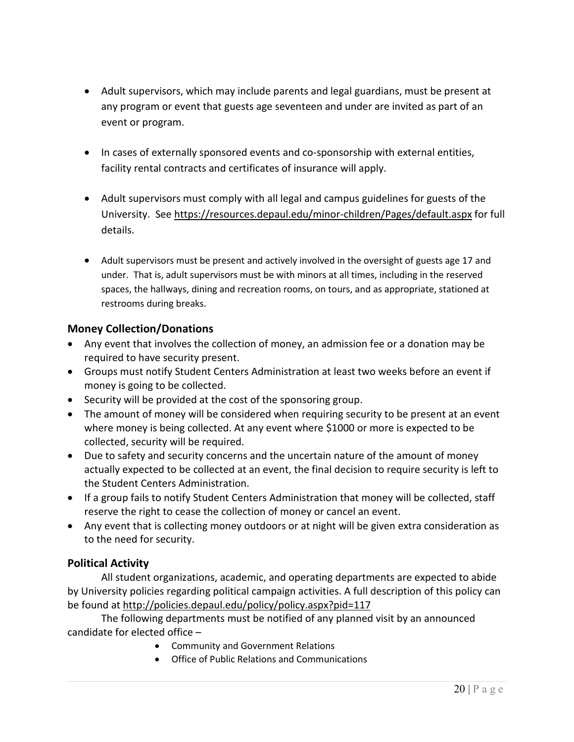- Adult supervisors, which may include parents and legal guardians, must be present at any program or event that guests age seventeen and under are invited as part of an event or program.
- In cases of externally sponsored events and co-sponsorship with external entities, facility rental contracts and certificates of insurance will apply.
- Adult supervisors must comply with all legal and campus guidelines for guests of the University. See<https://resources.depaul.edu/minor-children/Pages/default.aspx> for full details.
- Adult supervisors must be present and actively involved in the oversight of guests age 17 and under. That is, adult supervisors must be with minors at all times, including in the reserved spaces, the hallways, dining and recreation rooms, on tours, and as appropriate, stationed at restrooms during breaks.

### <span id="page-19-0"></span>**Money Collection/Donations**

- Any event that involves the collection of money, an admission fee or a donation may be required to have security present.
- Groups must notify Student Centers Administration at least two weeks before an event if money is going to be collected.
- Security will be provided at the cost of the sponsoring group.
- The amount of money will be considered when requiring security to be present at an event where money is being collected. At any event where \$1000 or more is expected to be collected, security will be required.
- Due to safety and security concerns and the uncertain nature of the amount of money actually expected to be collected at an event, the final decision to require security is left to the Student Centers Administration.
- If a group fails to notify Student Centers Administration that money will be collected, staff reserve the right to cease the collection of money or cancel an event.
- Any event that is collecting money outdoors or at night will be given extra consideration as to the need for security.

### <span id="page-19-1"></span>**Political Activity**

All student organizations, academic, and operating departments are expected to abide by University policies regarding political campaign activities. A full description of this policy can be found at<http://policies.depaul.edu/policy/policy.aspx?pid=117>

The following departments must be notified of any planned visit by an announced candidate for elected office –

- Community and Government Relations
- Office of Public Relations and Communications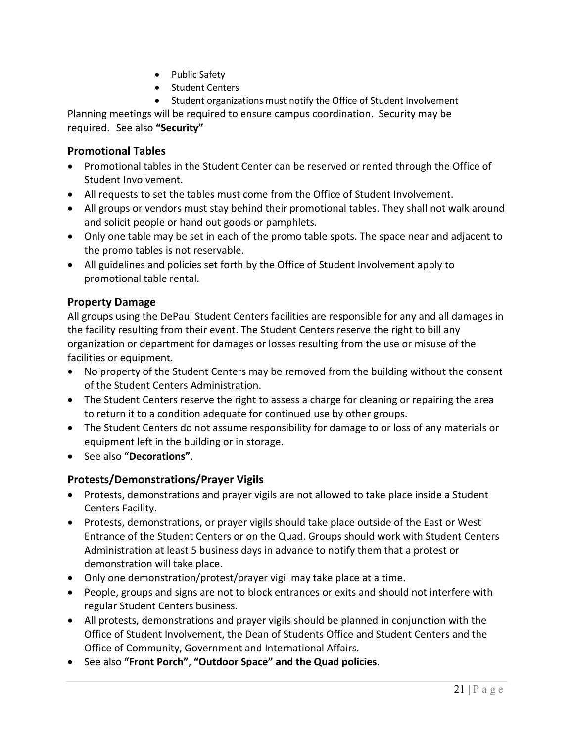- Public Safety
- Student Centers
- Student organizations must notify the Office of Student Involvement

Planning meetings will be required to ensure campus coordination. Security may be required. See also **"Security"**

### <span id="page-20-0"></span>**Promotional Tables**

- Promotional tables in the Student Center can be reserved or rented through the Office of Student Involvement.
- All requests to set the tables must come from the Office of Student Involvement.
- All groups or vendors must stay behind their promotional tables. They shall not walk around and solicit people or hand out goods or pamphlets.
- Only one table may be set in each of the promo table spots. The space near and adjacent to the promo tables is not reservable.
- All guidelines and policies set forth by the Office of Student Involvement apply to promotional table rental.

#### <span id="page-20-1"></span>**Property Damage**

All groups using the DePaul Student Centers facilities are responsible for any and all damages in the facility resulting from their event. The Student Centers reserve the right to bill any organization or department for damages or losses resulting from the use or misuse of the facilities or equipment.

- No property of the Student Centers may be removed from the building without the consent of the Student Centers Administration.
- The Student Centers reserve the right to assess a charge for cleaning or repairing the area to return it to a condition adequate for continued use by other groups.
- The Student Centers do not assume responsibility for damage to or loss of any materials or equipment left in the building or in storage.
- See also **"Decorations"**.

### <span id="page-20-2"></span>**Protests/Demonstrations/Prayer Vigils**

- Protests, demonstrations and prayer vigils are not allowed to take place inside a Student Centers Facility.
- Protests, demonstrations, or prayer vigils should take place outside of the East or West Entrance of the Student Centers or on the Quad. Groups should work with Student Centers Administration at least 5 business days in advance to notify them that a protest or demonstration will take place.
- Only one demonstration/protest/prayer vigil may take place at a time.
- People, groups and signs are not to block entrances or exits and should not interfere with regular Student Centers business.
- All protests, demonstrations and prayer vigils should be planned in conjunction with the Office of Student Involvement, the Dean of Students Office and Student Centers and the Office of Community, Government and International Affairs.
- See also **"Front Porch"**, **"Outdoor Space" and the Quad policies**.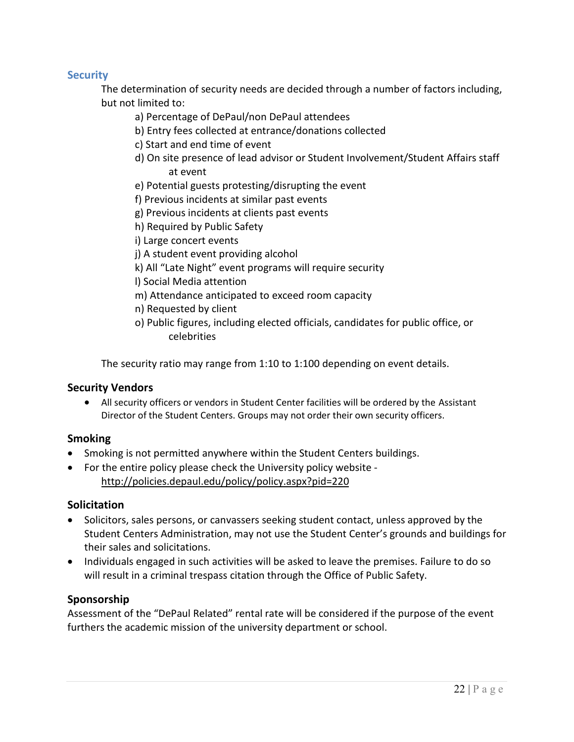### <span id="page-21-0"></span>**Security**

The determination of security needs are decided through a number of factors including, but not limited to:

- a) Percentage of DePaul/non DePaul attendees
- b) Entry fees collected at entrance/donations collected
- c) Start and end time of event
- d) On site presence of lead advisor or Student Involvement/Student Affairs staff at event
- e) Potential guests protesting/disrupting the event
- f) Previous incidents at similar past events
- g) Previous incidents at clients past events
- h) Required by Public Safety
- i) Large concert events
- j) A student event providing alcohol
- k) All "Late Night" event programs will require security
- l) Social Media attention
- m) Attendance anticipated to exceed room capacity
- n) Requested by client
- o) Public figures, including elected officials, candidates for public office, or celebrities

The security ratio may range from 1:10 to 1:100 depending on event details.

#### <span id="page-21-1"></span>**Security Vendors**

• All security officers or vendors in Student Center facilities will be ordered by the Assistant Director of the Student Centers. Groups may not order their own security officers.

#### <span id="page-21-2"></span>**Smoking**

- Smoking is not permitted anywhere within the Student Centers buildings.
- For the entire policy please check the University policy website <http://policies.depaul.edu/policy/policy.aspx?pid=220>

#### <span id="page-21-3"></span>**Solicitation**

- Solicitors, sales persons, or canvassers seeking student contact, unless approved by the Student Centers Administration, may not use the Student Center's grounds and buildings for their sales and solicitations.
- Individuals engaged in such activities will be asked to leave the premises. Failure to do so will result in a criminal trespass citation through the Office of Public Safety.

#### <span id="page-21-4"></span>**Sponsorship**

Assessment of the "DePaul Related" rental rate will be considered if the purpose of the event furthers the academic mission of the university department or school.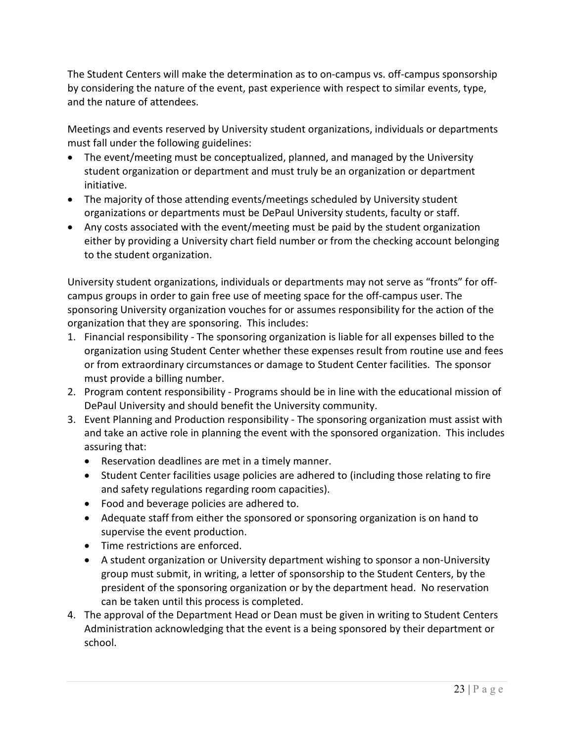The Student Centers will make the determination as to on-campus vs. off-campus sponsorship by considering the nature of the event, past experience with respect to similar events, type, and the nature of attendees.

Meetings and events reserved by University student organizations, individuals or departments must fall under the following guidelines:

- The event/meeting must be conceptualized, planned, and managed by the University student organization or department and must truly be an organization or department initiative.
- The majority of those attending events/meetings scheduled by University student organizations or departments must be DePaul University students, faculty or staff.
- Any costs associated with the event/meeting must be paid by the student organization either by providing a University chart field number or from the checking account belonging to the student organization.

University student organizations, individuals or departments may not serve as "fronts" for offcampus groups in order to gain free use of meeting space for the off-campus user. The sponsoring University organization vouches for or assumes responsibility for the action of the organization that they are sponsoring. This includes:

- 1. Financial responsibility The sponsoring organization is liable for all expenses billed to the organization using Student Center whether these expenses result from routine use and fees or from extraordinary circumstances or damage to Student Center facilities. The sponsor must provide a billing number.
- 2. Program content responsibility Programs should be in line with the educational mission of DePaul University and should benefit the University community.
- 3. Event Planning and Production responsibility The sponsoring organization must assist with and take an active role in planning the event with the sponsored organization. This includes assuring that:
	- Reservation deadlines are met in a timely manner.
	- Student Center facilities usage policies are adhered to (including those relating to fire and safety regulations regarding room capacities).
	- Food and beverage policies are adhered to.
	- Adequate staff from either the sponsored or sponsoring organization is on hand to supervise the event production.
	- Time restrictions are enforced.
	- A student organization or University department wishing to sponsor a non-University group must submit, in writing, a letter of sponsorship to the Student Centers, by the president of the sponsoring organization or by the department head. No reservation can be taken until this process is completed.
- 4. The approval of the Department Head or Dean must be given in writing to Student Centers Administration acknowledging that the event is a being sponsored by their department or school.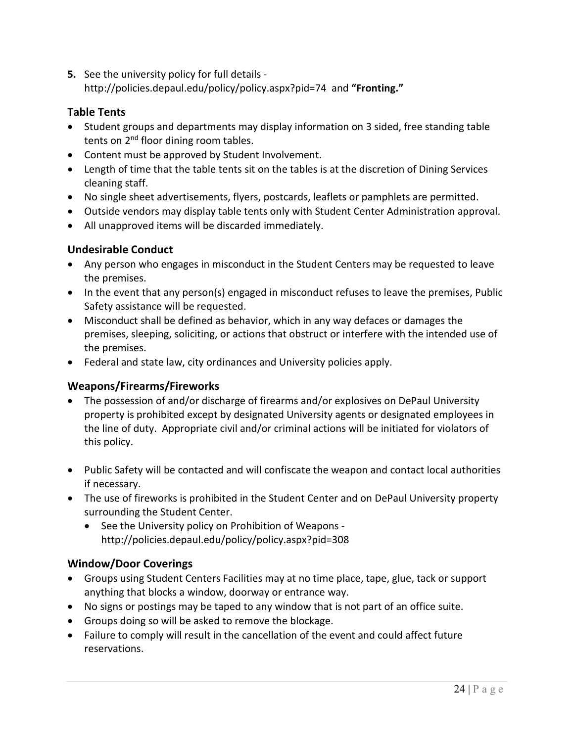**5.** See the university policy for full details http://policies.depaul.edu/policy/policy.aspx?pid=74 and **"Fronting."**

### <span id="page-23-0"></span>**Table Tents**

- Student groups and departments may display information on 3 sided, free standing table tents on 2<sup>nd</sup> floor dining room tables.
- Content must be approved by Student Involvement.
- Length of time that the table tents sit on the tables is at the discretion of Dining Services cleaning staff.
- No single sheet advertisements, flyers, postcards, leaflets or pamphlets are permitted.
- Outside vendors may display table tents only with Student Center Administration approval.
- All unapproved items will be discarded immediately.

### <span id="page-23-1"></span>**Undesirable Conduct**

- Any person who engages in misconduct in the Student Centers may be requested to leave the premises.
- In the event that any person(s) engaged in misconduct refuses to leave the premises, Public Safety assistance will be requested.
- Misconduct shall be defined as behavior, which in any way defaces or damages the premises, sleeping, soliciting, or actions that obstruct or interfere with the intended use of the premises.
- Federal and state law, city ordinances and University policies apply.

### <span id="page-23-2"></span>**Weapons/Firearms/Fireworks**

- The possession of and/or discharge of firearms and/or explosives on DePaul University property is prohibited except by designated University agents or designated employees in the line of duty. Appropriate civil and/or criminal actions will be initiated for violators of this policy.
- Public Safety will be contacted and will confiscate the weapon and contact local authorities if necessary.
- The use of fireworks is prohibited in the Student Center and on DePaul University property surrounding the Student Center.
	- See the University policy on Prohibition of Weapons http://policies.depaul.edu/policy/policy.aspx?pid=308

### <span id="page-23-3"></span>**Window/Door Coverings**

- Groups using Student Centers Facilities may at no time place, tape, glue, tack or support anything that blocks a window, doorway or entrance way.
- No signs or postings may be taped to any window that is not part of an office suite.
- Groups doing so will be asked to remove the blockage.
- Failure to comply will result in the cancellation of the event and could affect future reservations.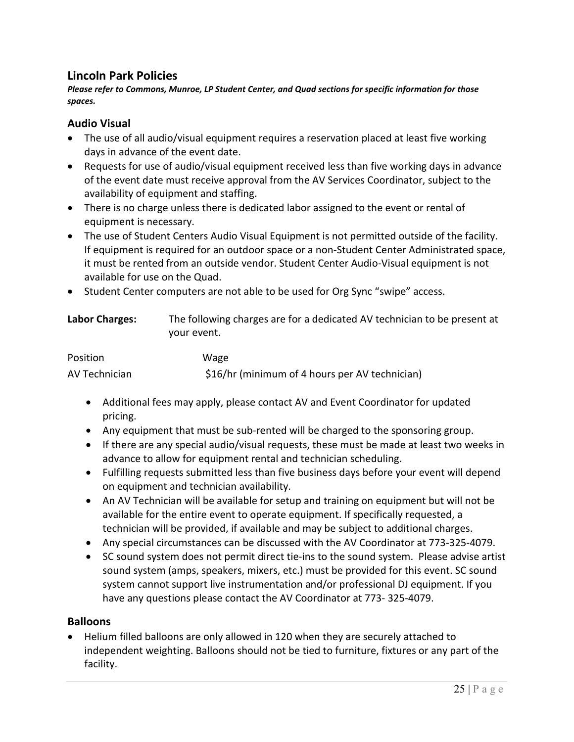### <span id="page-24-0"></span>**Lincoln Park Policies**

*Please refer to Commons, Munroe, LP Student Center, and Quad sections for specific information for those spaces.*

#### <span id="page-24-1"></span>**Audio Visual**

- The use of all audio/visual equipment requires a reservation placed at least five working days in advance of the event date.
- Requests for use of audio/visual equipment received less than five working days in advance of the event date must receive approval from the AV Services Coordinator, subject to the availability of equipment and staffing.
- There is no charge unless there is dedicated labor assigned to the event or rental of equipment is necessary.
- The use of Student Centers Audio Visual Equipment is not permitted outside of the facility. If equipment is required for an outdoor space or a non-Student Center Administrated space, it must be rented from an outside vendor. Student Center Audio-Visual equipment is not available for use on the Quad.
- Student Center computers are not able to be used for Org Sync "swipe" access.

<span id="page-24-2"></span>

| <b>Labor Charges:</b> | The following charges are for a dedicated AV technician to be present at |
|-----------------------|--------------------------------------------------------------------------|
|                       | vour event.                                                              |

| Position      | Wage                                           |
|---------------|------------------------------------------------|
| AV Technician | \$16/hr (minimum of 4 hours per AV technician) |

- Additional fees may apply, please contact AV and Event Coordinator for updated pricing.
- Any equipment that must be sub-rented will be charged to the sponsoring group.
- If there are any special audio/visual requests, these must be made at least two weeks in advance to allow for equipment rental and technician scheduling.
- Fulfilling requests submitted less than five business days before your event will depend on equipment and technician availability.
- An AV Technician will be available for setup and training on equipment but will not be available for the entire event to operate equipment. If specifically requested, a technician will be provided, if available and may be subject to additional charges.
- Any special circumstances can be discussed with the AV Coordinator at 773-325-4079.
- SC sound system does not permit direct tie-ins to the sound system. Please advise artist sound system (amps, speakers, mixers, etc.) must be provided for this event. SC sound system cannot support live instrumentation and/or professional DJ equipment. If you have any questions please contact the AV Coordinator at 773- 325-4079.

#### <span id="page-24-3"></span>**Balloons**

• Helium filled balloons are only allowed in 120 when they are securely attached to independent weighting. Balloons should not be tied to furniture, fixtures or any part of the facility.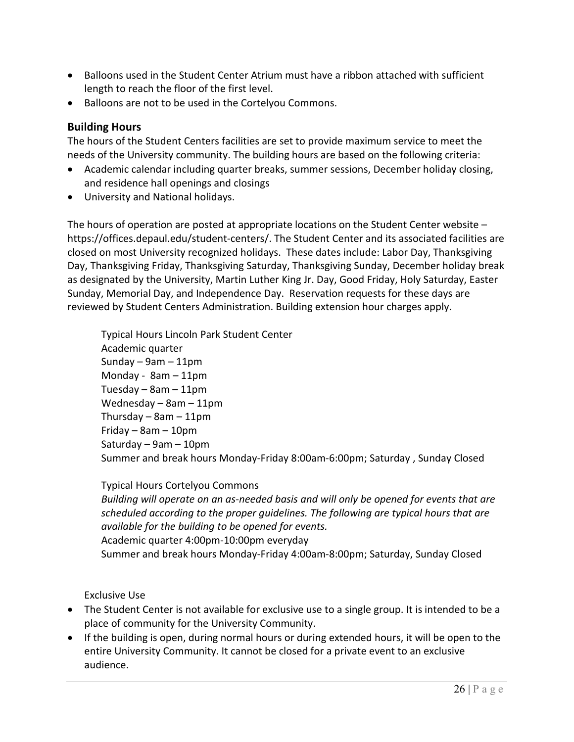- Balloons used in the Student Center Atrium must have a ribbon attached with sufficient length to reach the floor of the first level.
- Balloons are not to be used in the Cortelyou Commons.

### <span id="page-25-0"></span>**Building Hours**

The hours of the Student Centers facilities are set to provide maximum service to meet the needs of the University community. The building hours are based on the following criteria:

- Academic calendar including quarter breaks, summer sessions, December holiday closing, and residence hall openings and closings
- University and National holidays.

The hours of operation are posted at appropriate locations on the Student Center website – https://offices.depaul.edu/student-centers/. The Student Center and its associated facilities are closed on most University recognized holidays. These dates include: Labor Day, Thanksgiving Day, Thanksgiving Friday, Thanksgiving Saturday, Thanksgiving Sunday, December holiday break as designated by the University, Martin Luther King Jr. Day, Good Friday, Holy Saturday, Easter Sunday, Memorial Day, and Independence Day. Reservation requests for these days are reviewed by Student Centers Administration. Building extension hour charges apply.

Typical Hours Lincoln Park Student Center Academic quarter Sunday  $-9$ am  $-11$ pm Monday - 8am – 11pm Tuesday  $-$  8am  $-$  11pm Wednesday – 8am – 11pm Thursday  $-$  8am  $-$  11pm Friday – 8am – 10pm Saturday – 9am – 10pm Summer and break hours Monday-Friday 8:00am-6:00pm; Saturday , Sunday Closed

Typical Hours Cortelyou Commons *Building will operate on an as-needed basis and will only be opened for events that are scheduled according to the proper guidelines. The following are typical hours that are available for the building to be opened for events.* Academic quarter 4:00pm-10:00pm everyday Summer and break hours Monday-Friday 4:00am-8:00pm; Saturday, Sunday Closed

Exclusive Use

- The Student Center is not available for exclusive use to a single group. It is intended to be a place of community for the University Community.
- If the building is open, during normal hours or during extended hours, it will be open to the entire University Community. It cannot be closed for a private event to an exclusive audience.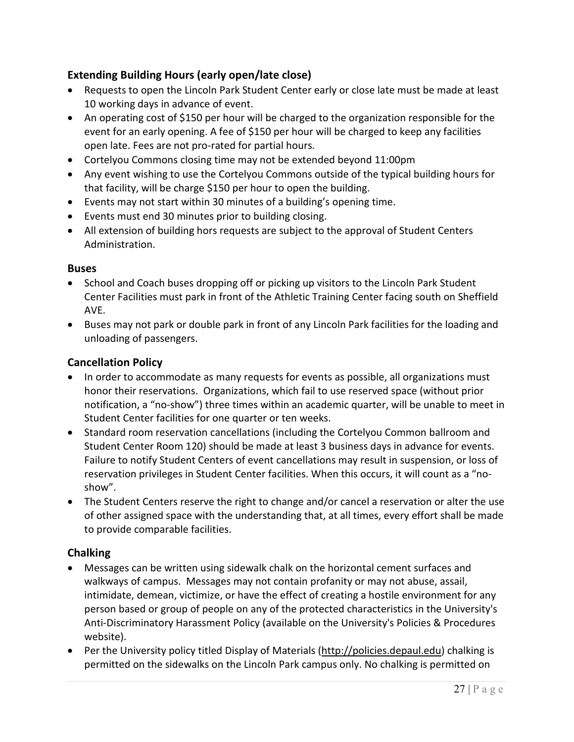## <span id="page-26-0"></span>**Extending Building Hours (early open/late close)**

- Requests to open the Lincoln Park Student Center early or close late must be made at least 10 working days in advance of event.
- An operating cost of \$150 per hour will be charged to the organization responsible for the event for an early opening. A fee of \$150 per hour will be charged to keep any facilities open late. Fees are not pro-rated for partial hours.
- Cortelyou Commons closing time may not be extended beyond 11:00pm
- Any event wishing to use the Cortelyou Commons outside of the typical building hours for that facility, will be charge \$150 per hour to open the building.
- Events may not start within 30 minutes of a building's opening time.
- Events must end 30 minutes prior to building closing.
- All extension of building hors requests are subject to the approval of Student Centers Administration.

#### <span id="page-26-1"></span>**Buses**

- School and Coach buses dropping off or picking up visitors to the Lincoln Park Student Center Facilities must park in front of the Athletic Training Center facing south on Sheffield AVE.
- Buses may not park or double park in front of any Lincoln Park facilities for the loading and unloading of passengers.

### <span id="page-26-2"></span>**Cancellation Policy**

- In order to accommodate as many requests for events as possible, all organizations must honor their reservations. Organizations, which fail to use reserved space (without prior notification, a "no-show") three times within an academic quarter, will be unable to meet in Student Center facilities for one quarter or ten weeks.
- Standard room reservation cancellations (including the Cortelyou Common ballroom and Student Center Room 120) should be made at least 3 business days in advance for events. Failure to notify Student Centers of event cancellations may result in suspension, or loss of reservation privileges in Student Center facilities. When this occurs, it will count as a "noshow".
- The Student Centers reserve the right to change and/or cancel a reservation or alter the use of other assigned space with the understanding that, at all times, every effort shall be made to provide comparable facilities.

#### <span id="page-26-3"></span>**Chalking**

- Messages can be written using sidewalk chalk on the horizontal cement surfaces and walkways of campus. Messages may not contain profanity or may not abuse, assail, intimidate, demean, victimize, or have the effect of creating a hostile environment for any person based or group of people on any of the protected characteristics in the University's Anti-Discriminatory Harassment Policy (available on the University's Policies & Procedures website).
- Per the University policy titled Display of Materials [\(http://policies.depaul.edu\)](http://policies.depaul.edu/) chalking is permitted on the sidewalks on the Lincoln Park campus only. No chalking is permitted on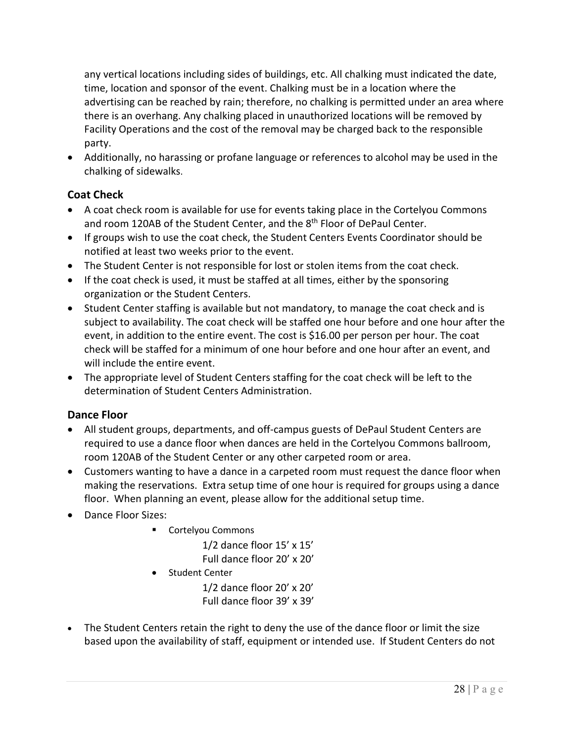any vertical locations including sides of buildings, etc. All chalking must indicated the date, time, location and sponsor of the event. Chalking must be in a location where the advertising can be reached by rain; therefore, no chalking is permitted under an area where there is an overhang. Any chalking placed in unauthorized locations will be removed by Facility Operations and the cost of the removal may be charged back to the responsible party.

• Additionally, no harassing or profane language or references to alcohol may be used in the chalking of sidewalks.

## <span id="page-27-0"></span>**Coat Check**

- A coat check room is available for use for events taking place in the Cortelyou Commons and room 120AB of the Student Center, and the 8<sup>th</sup> Floor of DePaul Center.
- If groups wish to use the coat check, the Student Centers Events Coordinator should be notified at least two weeks prior to the event.
- The Student Center is not responsible for lost or stolen items from the coat check.
- If the coat check is used, it must be staffed at all times, either by the sponsoring organization or the Student Centers.
- Student Center staffing is available but not mandatory, to manage the coat check and is subject to availability. The coat check will be staffed one hour before and one hour after the event, in addition to the entire event. The cost is \$16.00 per person per hour. The coat check will be staffed for a minimum of one hour before and one hour after an event, and will include the entire event.
- The appropriate level of Student Centers staffing for the coat check will be left to the determination of Student Centers Administration.

### <span id="page-27-1"></span>**Dance Floor**

- All student groups, departments, and off-campus guests of DePaul Student Centers are required to use a dance floor when dances are held in the Cortelyou Commons ballroom, room 120AB of the Student Center or any other carpeted room or area.
- Customers wanting to have a dance in a carpeted room must request the dance floor when making the reservations. Extra setup time of one hour is required for groups using a dance floor. When planning an event, please allow for the additional setup time.
- Dance Floor Sizes:
	- **Cortelyou Commons**

1/2 dance floor 15' x 15' Full dance floor 20' x 20'

• Student Center

1/2 dance floor 20' x 20' Full dance floor 39' x 39'

• The Student Centers retain the right to deny the use of the dance floor or limit the size based upon the availability of staff, equipment or intended use. If Student Centers do not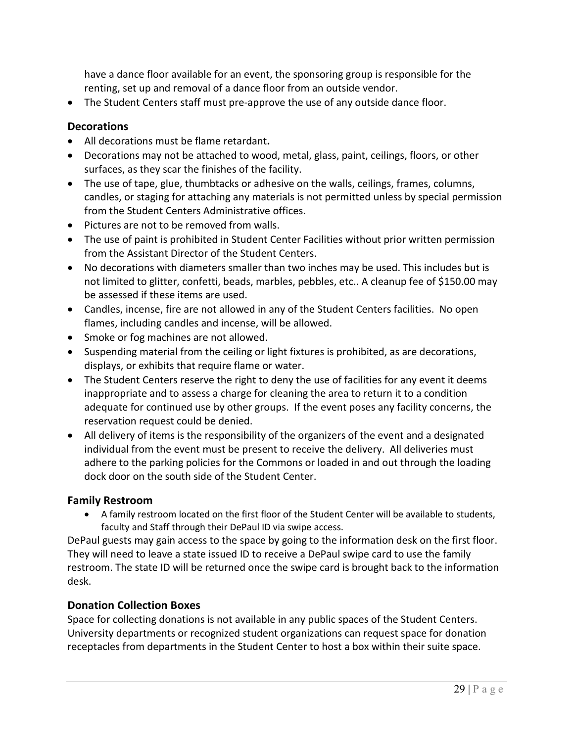have a dance floor available for an event, the sponsoring group is responsible for the renting, set up and removal of a dance floor from an outside vendor.

• The Student Centers staff must pre-approve the use of any outside dance floor.

#### <span id="page-28-0"></span>**Decorations**

- All decorations must be flame retardant**.**
- Decorations may not be attached to wood, metal, glass, paint, ceilings, floors, or other surfaces, as they scar the finishes of the facility.
- The use of tape, glue, thumbtacks or adhesive on the walls, ceilings, frames, columns, candles, or staging for attaching any materials is not permitted unless by special permission from the Student Centers Administrative offices.
- Pictures are not to be removed from walls.
- The use of paint is prohibited in Student Center Facilities without prior written permission from the Assistant Director of the Student Centers.
- No decorations with diameters smaller than two inches may be used. This includes but is not limited to glitter, confetti, beads, marbles, pebbles, etc.. A cleanup fee of \$150.00 may be assessed if these items are used.
- Candles, incense, fire are not allowed in any of the Student Centers facilities. No open flames, including candles and incense, will be allowed.
- Smoke or fog machines are not allowed.
- Suspending material from the ceiling or light fixtures is prohibited, as are decorations, displays, or exhibits that require flame or water.
- The Student Centers reserve the right to deny the use of facilities for any event it deems inappropriate and to assess a charge for cleaning the area to return it to a condition adequate for continued use by other groups. If the event poses any facility concerns, the reservation request could be denied.
- All delivery of items is the responsibility of the organizers of the event and a designated individual from the event must be present to receive the delivery. All deliveries must adhere to the parking policies for the Commons or loaded in and out through the loading dock door on the south side of the Student Center.

#### <span id="page-28-1"></span>**Family Restroom**

• A family restroom located on the first floor of the Student Center will be available to students, faculty and Staff through their DePaul ID via swipe access.

DePaul guests may gain access to the space by going to the information desk on the first floor. They will need to leave a state issued ID to receive a DePaul swipe card to use the family restroom. The state ID will be returned once the swipe card is brought back to the information desk.

#### <span id="page-28-2"></span>**Donation Collection Boxes**

Space for collecting donations is not available in any public spaces of the Student Centers. University departments or recognized student organizations can request space for donation receptacles from departments in the Student Center to host a box within their suite space.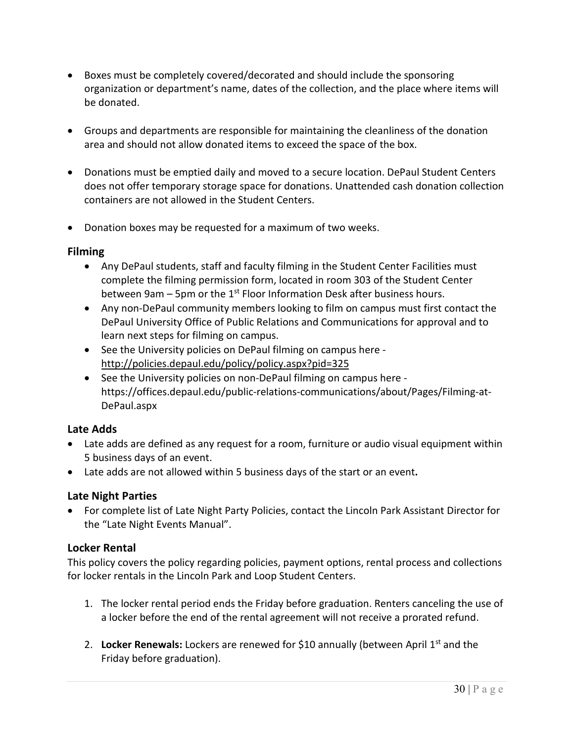- Boxes must be completely covered/decorated and should include the sponsoring organization or department's name, dates of the collection, and the place where items will be donated.
- Groups and departments are responsible for maintaining the cleanliness of the donation area and should not allow donated items to exceed the space of the box.
- Donations must be emptied daily and moved to a secure location. DePaul Student Centers does not offer temporary storage space for donations. Unattended cash donation collection containers are not allowed in the Student Centers.
- Donation boxes may be requested for a maximum of two weeks.

#### <span id="page-29-0"></span>**Filming**

- Any DePaul students, staff and faculty filming in the Student Center Facilities must complete the filming permission form, located in room 303 of the Student Center between 9am – 5pm or the  $1<sup>st</sup>$  Floor Information Desk after business hours.
- Any non-DePaul community members looking to film on campus must first contact the DePaul University Office of Public Relations and Communications for approval and to learn next steps for filming on campus.
- See the University policies on DePaul filming on campus here <http://policies.depaul.edu/policy/policy.aspx?pid=325>
- See the University policies on non-DePaul filming on campus here https://offices.depaul.edu/public-relations-communications/about/Pages/Filming-at-DePaul.aspx

#### <span id="page-29-1"></span>**Late Adds**

- Late adds are defined as any request for a room, furniture or audio visual equipment within 5 business days of an event.
- Late adds are not allowed within 5 business days of the start or an event**.**

#### <span id="page-29-2"></span>**Late Night Parties**

• For complete list of Late Night Party Policies, contact the Lincoln Park Assistant Director for the "Late Night Events Manual".

#### <span id="page-29-3"></span>**Locker Rental**

This policy covers the policy regarding policies, payment options, rental process and collections for locker rentals in the Lincoln Park and Loop Student Centers.

- 1. The locker rental period ends the Friday before graduation. Renters canceling the use of a locker before the end of the rental agreement will not receive a prorated refund.
- <span id="page-29-4"></span>2. **Locker Renewals:** Lockers are renewed for \$10 annually (between April 1st and the Friday before graduation).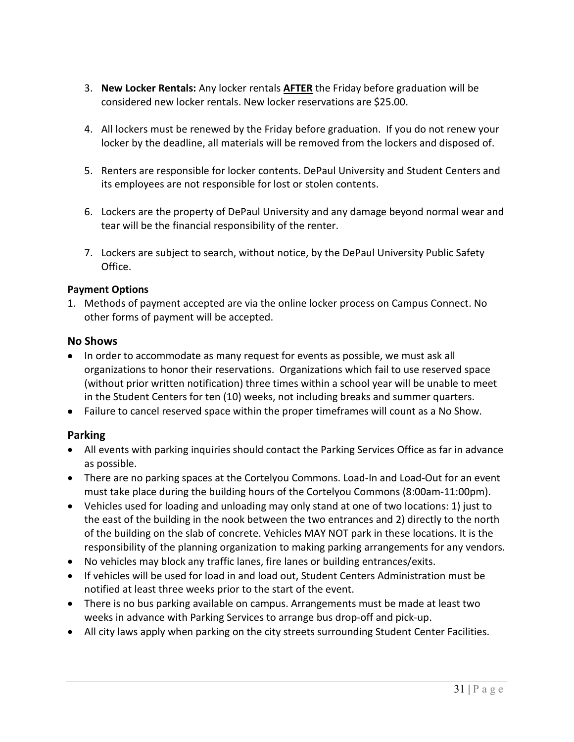- <span id="page-30-0"></span>3. **New Locker Rentals:** Any locker rentals **AFTER** the Friday before graduation will be considered new locker rentals. New locker reservations are \$25.00.
- 4. All lockers must be renewed by the Friday before graduation. If you do not renew your locker by the deadline, all materials will be removed from the lockers and disposed of.
- 5. Renters are responsible for locker contents. DePaul University and Student Centers and its employees are not responsible for lost or stolen contents.
- 6. Lockers are the property of DePaul University and any damage beyond normal wear and tear will be the financial responsibility of the renter.
- 7. Lockers are subject to search, without notice, by the DePaul University Public Safety Office.

#### <span id="page-30-1"></span>**Payment Options**

1. Methods of payment accepted are via the online locker process on Campus Connect. No other forms of payment will be accepted.

#### <span id="page-30-2"></span>**No Shows**

- In order to accommodate as many request for events as possible, we must ask all organizations to honor their reservations. Organizations which fail to use reserved space (without prior written notification) three times within a school year will be unable to meet in the Student Centers for ten (10) weeks, not including breaks and summer quarters.
- Failure to cancel reserved space within the proper timeframes will count as a No Show.

#### <span id="page-30-3"></span>**Parking**

- All events with parking inquiries should contact the Parking Services Office as far in advance as possible.
- There are no parking spaces at the Cortelyou Commons. Load-In and Load-Out for an event must take place during the building hours of the Cortelyou Commons (8:00am-11:00pm).
- Vehicles used for loading and unloading may only stand at one of two locations: 1) just to the east of the building in the nook between the two entrances and 2) directly to the north of the building on the slab of concrete. Vehicles MAY NOT park in these locations. It is the responsibility of the planning organization to making parking arrangements for any vendors.
- No vehicles may block any traffic lanes, fire lanes or building entrances/exits.
- If vehicles will be used for load in and load out, Student Centers Administration must be notified at least three weeks prior to the start of the event.
- There is no bus parking available on campus. Arrangements must be made at least two weeks in advance with Parking Services to arrange bus drop-off and pick-up.
- All city laws apply when parking on the city streets surrounding Student Center Facilities.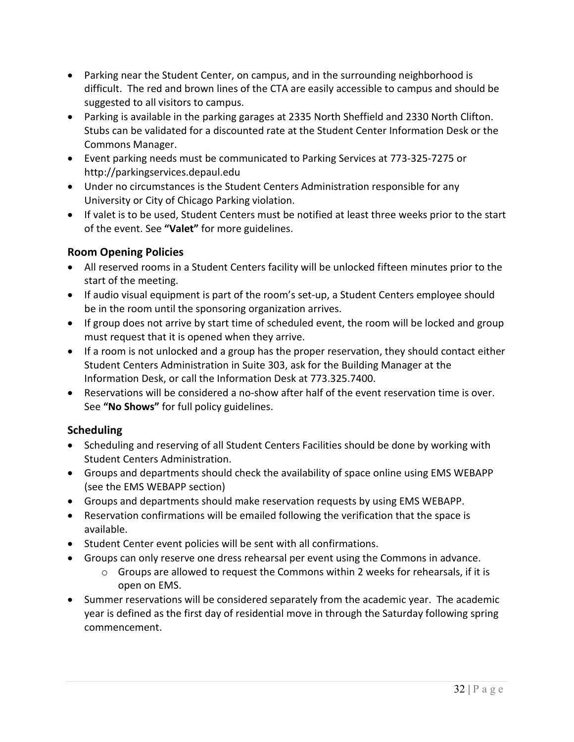- Parking near the Student Center, on campus, and in the surrounding neighborhood is difficult. The red and brown lines of the CTA are easily accessible to campus and should be suggested to all visitors to campus.
- Parking is available in the parking garages at 2335 North Sheffield and 2330 North Clifton. Stubs can be validated for a discounted rate at the Student Center Information Desk or the Commons Manager.
- Event parking needs must be communicated to Parking Services at 773-325-7275 or http://parkingservices.depaul.edu
- Under no circumstances is the Student Centers Administration responsible for any University or City of Chicago Parking violation.
- If valet is to be used, Student Centers must be notified at least three weeks prior to the start of the event. See **"Valet"** for more guidelines.

### <span id="page-31-0"></span>**Room Opening Policies**

- All reserved rooms in a Student Centers facility will be unlocked fifteen minutes prior to the start of the meeting.
- If audio visual equipment is part of the room's set-up, a Student Centers employee should be in the room until the sponsoring organization arrives.
- If group does not arrive by start time of scheduled event, the room will be locked and group must request that it is opened when they arrive.
- If a room is not unlocked and a group has the proper reservation, they should contact either Student Centers Administration in Suite 303, ask for the Building Manager at the Information Desk, or call the Information Desk at 773.325.7400.
- Reservations will be considered a no-show after half of the event reservation time is over. See **"No Shows"** for full policy guidelines.

### <span id="page-31-1"></span>**Scheduling**

- Scheduling and reserving of all Student Centers Facilities should be done by working with Student Centers Administration.
- Groups and departments should check the availability of space online using EMS WEBAPP (see the EMS WEBAPP section)
- Groups and departments should make reservation requests by using EMS WEBAPP.
- Reservation confirmations will be emailed following the verification that the space is available.
- Student Center event policies will be sent with all confirmations.
- Groups can only reserve one dress rehearsal per event using the Commons in advance.
	- o Groups are allowed to request the Commons within 2 weeks for rehearsals, if it is open on EMS.
- Summer reservations will be considered separately from the academic year. The academic year is defined as the first day of residential move in through the Saturday following spring commencement.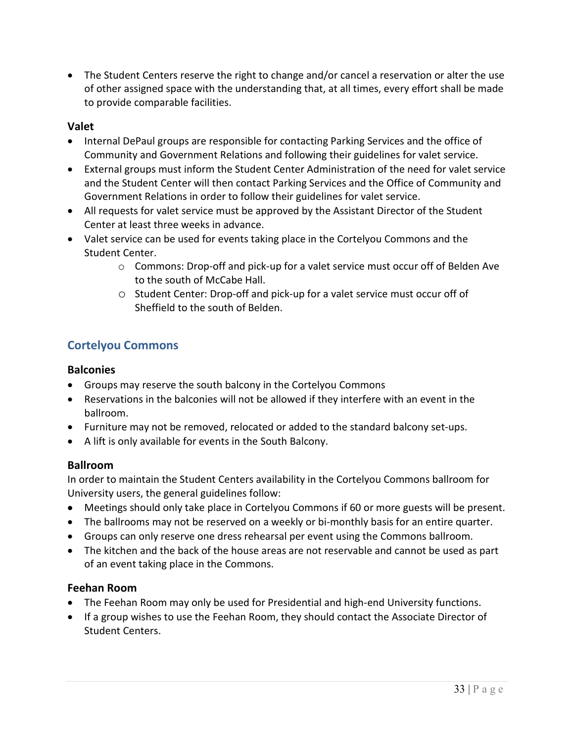• The Student Centers reserve the right to change and/or cancel a reservation or alter the use of other assigned space with the understanding that, at all times, every effort shall be made to provide comparable facilities.

### <span id="page-32-0"></span>**Valet**

- Internal DePaul groups are responsible for contacting Parking Services and the office of Community and Government Relations and following their guidelines for valet service.
- External groups must inform the Student Center Administration of the need for valet service and the Student Center will then contact Parking Services and the Office of Community and Government Relations in order to follow their guidelines for valet service.
- All requests for valet service must be approved by the Assistant Director of the Student Center at least three weeks in advance.
- Valet service can be used for events taking place in the Cortelyou Commons and the Student Center.
	- o Commons: Drop-off and pick-up for a valet service must occur off of Belden Ave to the south of McCabe Hall.
	- o Student Center: Drop-off and pick-up for a valet service must occur off of Sheffield to the south of Belden.

## <span id="page-32-1"></span>**Cortelyou Commons**

### <span id="page-32-2"></span>**Balconies**

- Groups may reserve the south balcony in the Cortelyou Commons
- Reservations in the balconies will not be allowed if they interfere with an event in the ballroom.
- Furniture may not be removed, relocated or added to the standard balcony set-ups.
- A lift is only available for events in the South Balcony.

### <span id="page-32-3"></span>**Ballroom**

In order to maintain the Student Centers availability in the Cortelyou Commons ballroom for University users, the general guidelines follow:

- Meetings should only take place in Cortelyou Commons if 60 or more guests will be present.
- The ballrooms may not be reserved on a weekly or bi-monthly basis for an entire quarter.
- Groups can only reserve one dress rehearsal per event using the Commons ballroom.
- The kitchen and the back of the house areas are not reservable and cannot be used as part of an event taking place in the Commons.

#### <span id="page-32-4"></span>**Feehan Room**

- The Feehan Room may only be used for Presidential and high-end University functions.
- If a group wishes to use the Feehan Room, they should contact the Associate Director of Student Centers.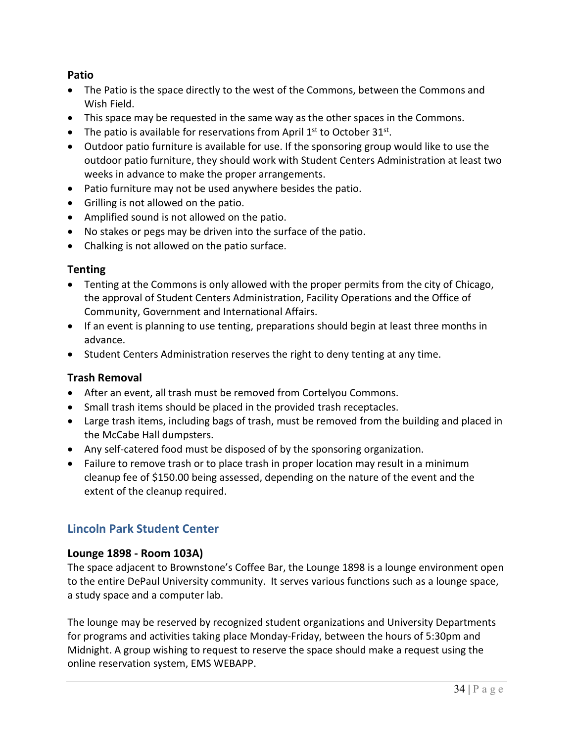### <span id="page-33-0"></span>**Patio**

- The Patio is the space directly to the west of the Commons, between the Commons and Wish Field.
- This space may be requested in the same way as the other spaces in the Commons.
- The patio is available for reservations from April  $1<sup>st</sup>$  to October 31<sup>st</sup>.
- Outdoor patio furniture is available for use. If the sponsoring group would like to use the outdoor patio furniture, they should work with Student Centers Administration at least two weeks in advance to make the proper arrangements.
- Patio furniture may not be used anywhere besides the patio.
- Grilling is not allowed on the patio.
- Amplified sound is not allowed on the patio.
- No stakes or pegs may be driven into the surface of the patio.
- Chalking is not allowed on the patio surface.

#### <span id="page-33-1"></span>**Tenting**

- Tenting at the Commons is only allowed with the proper permits from the city of Chicago, the approval of Student Centers Administration, Facility Operations and the Office of Community, Government and International Affairs.
- If an event is planning to use tenting, preparations should begin at least three months in advance.
- Student Centers Administration reserves the right to deny tenting at any time.

### <span id="page-33-2"></span>**Trash Removal**

- After an event, all trash must be removed from Cortelyou Commons.
- Small trash items should be placed in the provided trash receptacles.
- Large trash items, including bags of trash, must be removed from the building and placed in the McCabe Hall dumpsters.
- Any self-catered food must be disposed of by the sponsoring organization.
- Failure to remove trash or to place trash in proper location may result in a minimum cleanup fee of \$150.00 being assessed, depending on the nature of the event and the extent of the cleanup required.

## <span id="page-33-3"></span>**Lincoln Park Student Center**

#### <span id="page-33-4"></span>**Lounge 1898 - Room 103A)**

The space adjacent to Brownstone's Coffee Bar, the Lounge 1898 is a lounge environment open to the entire DePaul University community. It serves various functions such as a lounge space, a study space and a computer lab.

The lounge may be reserved by recognized student organizations and University Departments for programs and activities taking place Monday-Friday, between the hours of 5:30pm and Midnight. A group wishing to request to reserve the space should make a request using the online reservation system, EMS WEBAPP.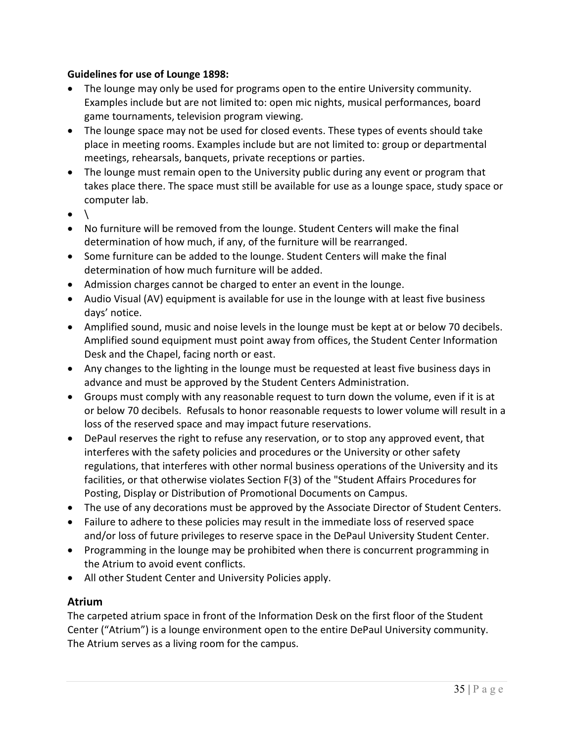#### <span id="page-34-0"></span>**Guidelines for use of Lounge 1898:**

- The lounge may only be used for programs open to the entire University community. Examples include but are not limited to: open mic nights, musical performances, board game tournaments, television program viewing.
- The lounge space may not be used for closed events. These types of events should take place in meeting rooms. Examples include but are not limited to: group or departmental meetings, rehearsals, banquets, private receptions or parties.
- The lounge must remain open to the University public during any event or program that takes place there. The space must still be available for use as a lounge space, study space or computer lab.
- $\bullet$
- No furniture will be removed from the lounge. Student Centers will make the final determination of how much, if any, of the furniture will be rearranged.
- Some furniture can be added to the lounge. Student Centers will make the final determination of how much furniture will be added.
- Admission charges cannot be charged to enter an event in the lounge.
- Audio Visual (AV) equipment is available for use in the lounge with at least five business days' notice.
- Amplified sound, music and noise levels in the lounge must be kept at or below 70 decibels. Amplified sound equipment must point away from offices, the Student Center Information Desk and the Chapel, facing north or east.
- Any changes to the lighting in the lounge must be requested at least five business days in advance and must be approved by the Student Centers Administration.
- Groups must comply with any reasonable request to turn down the volume, even if it is at or below 70 decibels. Refusals to honor reasonable requests to lower volume will result in a loss of the reserved space and may impact future reservations.
- DePaul reserves the right to refuse any reservation, or to stop any approved event, that interferes with the safety policies and procedures or the University or other safety regulations, that interferes with other normal business operations of the University and its facilities, or that otherwise violates Section F(3) of the "Student Affairs Procedures for Posting, Display or Distribution of Promotional Documents on Campus.
- The use of any decorations must be approved by the Associate Director of Student Centers.
- Failure to adhere to these policies may result in the immediate loss of reserved space and/or loss of future privileges to reserve space in the DePaul University Student Center.
- Programming in the lounge may be prohibited when there is concurrent programming in the Atrium to avoid event conflicts.
- All other Student Center and University Policies apply.

### <span id="page-34-1"></span>**Atrium**

The carpeted atrium space in front of the Information Desk on the first floor of the Student Center ("Atrium") is a lounge environment open to the entire DePaul University community. The Atrium serves as a living room for the campus.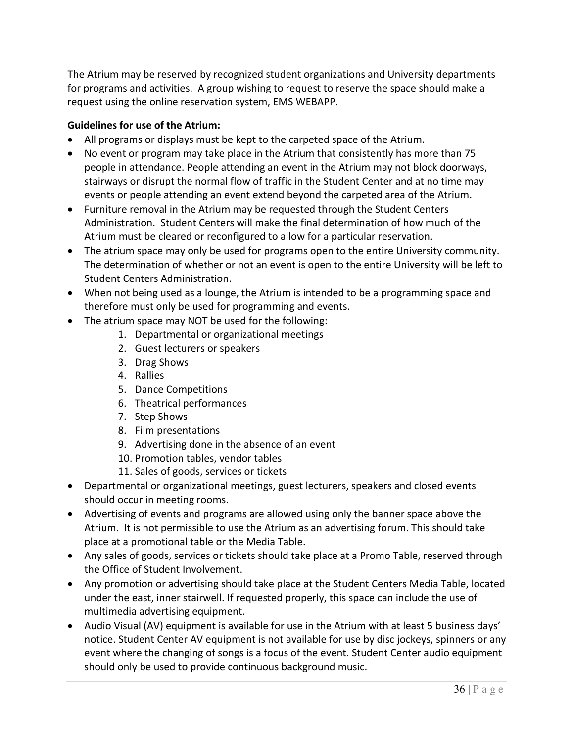The Atrium may be reserved by recognized student organizations and University departments for programs and activities. A group wishing to request to reserve the space should make a request using the online reservation system, EMS WEBAPP.

#### <span id="page-35-0"></span>**Guidelines for use of the Atrium:**

- All programs or displays must be kept to the carpeted space of the Atrium.
- No event or program may take place in the Atrium that consistently has more than 75 people in attendance. People attending an event in the Atrium may not block doorways, stairways or disrupt the normal flow of traffic in the Student Center and at no time may events or people attending an event extend beyond the carpeted area of the Atrium.
- Furniture removal in the Atrium may be requested through the Student Centers Administration. Student Centers will make the final determination of how much of the Atrium must be cleared or reconfigured to allow for a particular reservation.
- The atrium space may only be used for programs open to the entire University community. The determination of whether or not an event is open to the entire University will be left to Student Centers Administration.
- When not being used as a lounge, the Atrium is intended to be a programming space and therefore must only be used for programming and events.
- The atrium space may NOT be used for the following:
	- 1. Departmental or organizational meetings
	- 2. Guest lecturers or speakers
	- 3. Drag Shows
	- 4. Rallies
	- 5. Dance Competitions
	- 6. Theatrical performances
	- 7. Step Shows
	- 8. Film presentations
	- 9. Advertising done in the absence of an event
	- 10. Promotion tables, vendor tables
	- 11. Sales of goods, services or tickets
- Departmental or organizational meetings, guest lecturers, speakers and closed events should occur in meeting rooms.
- Advertising of events and programs are allowed using only the banner space above the Atrium. It is not permissible to use the Atrium as an advertising forum. This should take place at a promotional table or the Media Table.
- Any sales of goods, services or tickets should take place at a Promo Table, reserved through the Office of Student Involvement.
- Any promotion or advertising should take place at the Student Centers Media Table, located under the east, inner stairwell. If requested properly, this space can include the use of multimedia advertising equipment.
- Audio Visual (AV) equipment is available for use in the Atrium with at least 5 business days' notice. Student Center AV equipment is not available for use by disc jockeys, spinners or any event where the changing of songs is a focus of the event. Student Center audio equipment should only be used to provide continuous background music.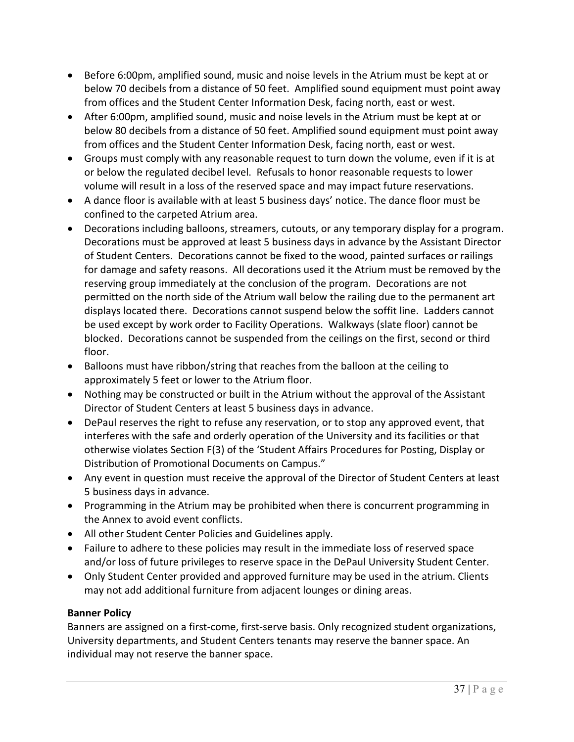- Before 6:00pm, amplified sound, music and noise levels in the Atrium must be kept at or below 70 decibels from a distance of 50 feet. Amplified sound equipment must point away from offices and the Student Center Information Desk, facing north, east or west.
- After 6:00pm, amplified sound, music and noise levels in the Atrium must be kept at or below 80 decibels from a distance of 50 feet. Amplified sound equipment must point away from offices and the Student Center Information Desk, facing north, east or west.
- Groups must comply with any reasonable request to turn down the volume, even if it is at or below the regulated decibel level. Refusals to honor reasonable requests to lower volume will result in a loss of the reserved space and may impact future reservations.
- A dance floor is available with at least 5 business days' notice. The dance floor must be confined to the carpeted Atrium area.
- Decorations including balloons, streamers, cutouts, or any temporary display for a program. Decorations must be approved at least 5 business days in advance by the Assistant Director of Student Centers. Decorations cannot be fixed to the wood, painted surfaces or railings for damage and safety reasons. All decorations used it the Atrium must be removed by the reserving group immediately at the conclusion of the program. Decorations are not permitted on the north side of the Atrium wall below the railing due to the permanent art displays located there. Decorations cannot suspend below the soffit line. Ladders cannot be used except by work order to Facility Operations. Walkways (slate floor) cannot be blocked. Decorations cannot be suspended from the ceilings on the first, second or third floor.
- Balloons must have ribbon/string that reaches from the balloon at the ceiling to approximately 5 feet or lower to the Atrium floor.
- Nothing may be constructed or built in the Atrium without the approval of the Assistant Director of Student Centers at least 5 business days in advance.
- DePaul reserves the right to refuse any reservation, or to stop any approved event, that interferes with the safe and orderly operation of the University and its facilities or that otherwise violates Section F(3) of the 'Student Affairs Procedures for Posting, Display or Distribution of Promotional Documents on Campus."
- Any event in question must receive the approval of the Director of Student Centers at least 5 business days in advance.
- Programming in the Atrium may be prohibited when there is concurrent programming in the Annex to avoid event conflicts.
- All other Student Center Policies and Guidelines apply.
- Failure to adhere to these policies may result in the immediate loss of reserved space and/or loss of future privileges to reserve space in the DePaul University Student Center.
- Only Student Center provided and approved furniture may be used in the atrium. Clients may not add additional furniture from adjacent lounges or dining areas.

# **Banner Policy**

Banners are assigned on a first-come, first-serve basis. Only recognized student organizations, University departments, and Student Centers tenants may reserve the banner space. An individual may not reserve the banner space.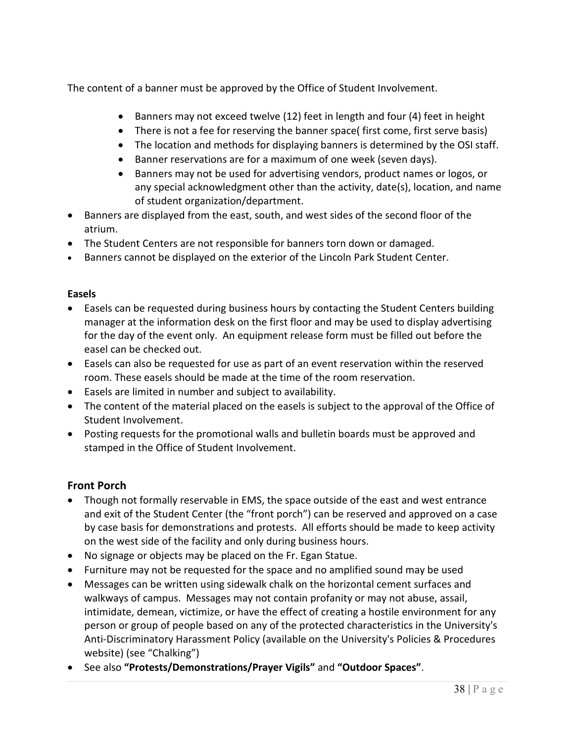The content of a banner must be approved by the Office of Student Involvement.

- Banners may not exceed twelve (12) feet in length and four (4) feet in height
- There is not a fee for reserving the banner space( first come, first serve basis)
- The location and methods for displaying banners is determined by the OSI staff.
- Banner reservations are for a maximum of one week (seven days).
- Banners may not be used for advertising vendors, product names or logos, or any special acknowledgment other than the activity, date(s), location, and name of student organization/department.
- Banners are displayed from the east, south, and west sides of the second floor of the atrium.
- The Student Centers are not responsible for banners torn down or damaged.
- Banners cannot be displayed on the exterior of the Lincoln Park Student Center.

## **Easels**

- Easels can be requested during business hours by contacting the Student Centers building manager at the information desk on the first floor and may be used to display advertising for the day of the event only. An equipment release form must be filled out before the easel can be checked out.
- Easels can also be requested for use as part of an event reservation within the reserved room. These easels should be made at the time of the room reservation.
- Easels are limited in number and subject to availability.
- The content of the material placed on the easels is subject to the approval of the Office of Student Involvement.
- Posting requests for the promotional walls and bulletin boards must be approved and stamped in the Office of Student Involvement.

# **Front Porch**

- Though not formally reservable in EMS, the space outside of the east and west entrance and exit of the Student Center (the "front porch") can be reserved and approved on a case by case basis for demonstrations and protests. All efforts should be made to keep activity on the west side of the facility and only during business hours.
- No signage or objects may be placed on the Fr. Egan Statue.
- Furniture may not be requested for the space and no amplified sound may be used
- Messages can be written using sidewalk chalk on the horizontal cement surfaces and walkways of campus. Messages may not contain profanity or may not abuse, assail, intimidate, demean, victimize, or have the effect of creating a hostile environment for any person or group of people based on any of the protected characteristics in the University's Anti-Discriminatory Harassment Policy (available on the University's Policies & Procedures website) (see "Chalking")
- See also **"Protests/Demonstrations/Prayer Vigils"** and **"Outdoor Spaces"**.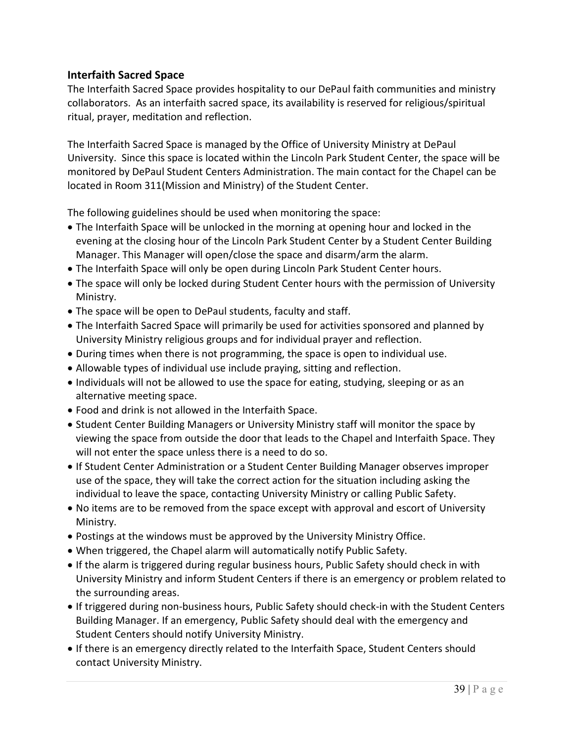# **Interfaith Sacred Space**

The Interfaith Sacred Space provides hospitality to our DePaul faith communities and ministry collaborators. As an interfaith sacred space, its availability is reserved for religious/spiritual ritual, prayer, meditation and reflection.

The Interfaith Sacred Space is managed by the Office of University Ministry at DePaul University. Since this space is located within the Lincoln Park Student Center, the space will be monitored by DePaul Student Centers Administration. The main contact for the Chapel can be located in Room 311(Mission and Ministry) of the Student Center.

The following guidelines should be used when monitoring the space:

- The Interfaith Space will be unlocked in the morning at opening hour and locked in the evening at the closing hour of the Lincoln Park Student Center by a Student Center Building Manager. This Manager will open/close the space and disarm/arm the alarm.
- The Interfaith Space will only be open during Lincoln Park Student Center hours.
- The space will only be locked during Student Center hours with the permission of University Ministry.
- The space will be open to DePaul students, faculty and staff.
- The Interfaith Sacred Space will primarily be used for activities sponsored and planned by University Ministry religious groups and for individual prayer and reflection.
- During times when there is not programming, the space is open to individual use.
- Allowable types of individual use include praying, sitting and reflection.
- Individuals will not be allowed to use the space for eating, studying, sleeping or as an alternative meeting space.
- Food and drink is not allowed in the Interfaith Space.
- Student Center Building Managers or University Ministry staff will monitor the space by viewing the space from outside the door that leads to the Chapel and Interfaith Space. They will not enter the space unless there is a need to do so.
- If Student Center Administration or a Student Center Building Manager observes improper use of the space, they will take the correct action for the situation including asking the individual to leave the space, contacting University Ministry or calling Public Safety.
- No items are to be removed from the space except with approval and escort of University Ministry.
- Postings at the windows must be approved by the University Ministry Office.
- When triggered, the Chapel alarm will automatically notify Public Safety.
- If the alarm is triggered during regular business hours, Public Safety should check in with University Ministry and inform Student Centers if there is an emergency or problem related to the surrounding areas.
- If triggered during non-business hours, Public Safety should check-in with the Student Centers Building Manager. If an emergency, Public Safety should deal with the emergency and Student Centers should notify University Ministry.
- If there is an emergency directly related to the Interfaith Space, Student Centers should contact University Ministry.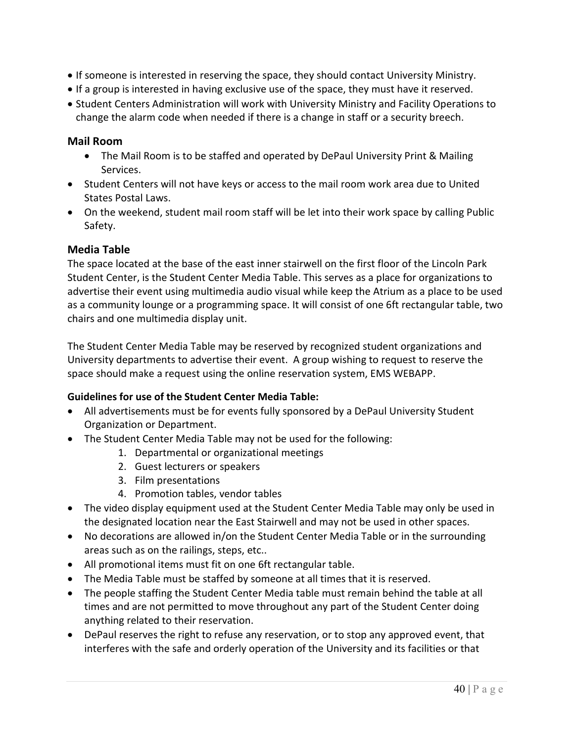- If someone is interested in reserving the space, they should contact University Ministry.
- If a group is interested in having exclusive use of the space, they must have it reserved.
- Student Centers Administration will work with University Ministry and Facility Operations to change the alarm code when needed if there is a change in staff or a security breech.

## **Mail Room**

- The Mail Room is to be staffed and operated by DePaul University Print & Mailing Services.
- Student Centers will not have keys or access to the mail room work area due to United States Postal Laws.
- On the weekend, student mail room staff will be let into their work space by calling Public Safety.

## **Media Table**

The space located at the base of the east inner stairwell on the first floor of the Lincoln Park Student Center, is the Student Center Media Table. This serves as a place for organizations to advertise their event using multimedia audio visual while keep the Atrium as a place to be used as a community lounge or a programming space. It will consist of one 6ft rectangular table, two chairs and one multimedia display unit.

The Student Center Media Table may be reserved by recognized student organizations and University departments to advertise their event. A group wishing to request to reserve the space should make a request using the online reservation system, EMS WEBAPP.

## **Guidelines for use of the Student Center Media Table:**

- All advertisements must be for events fully sponsored by a DePaul University Student Organization or Department.
- The Student Center Media Table may not be used for the following:
	- 1. Departmental or organizational meetings
	- 2. Guest lecturers or speakers
	- 3. Film presentations
	- 4. Promotion tables, vendor tables
- The video display equipment used at the Student Center Media Table may only be used in the designated location near the East Stairwell and may not be used in other spaces.
- No decorations are allowed in/on the Student Center Media Table or in the surrounding areas such as on the railings, steps, etc..
- All promotional items must fit on one 6ft rectangular table.
- The Media Table must be staffed by someone at all times that it is reserved.
- The people staffing the Student Center Media table must remain behind the table at all times and are not permitted to move throughout any part of the Student Center doing anything related to their reservation.
- DePaul reserves the right to refuse any reservation, or to stop any approved event, that interferes with the safe and orderly operation of the University and its facilities or that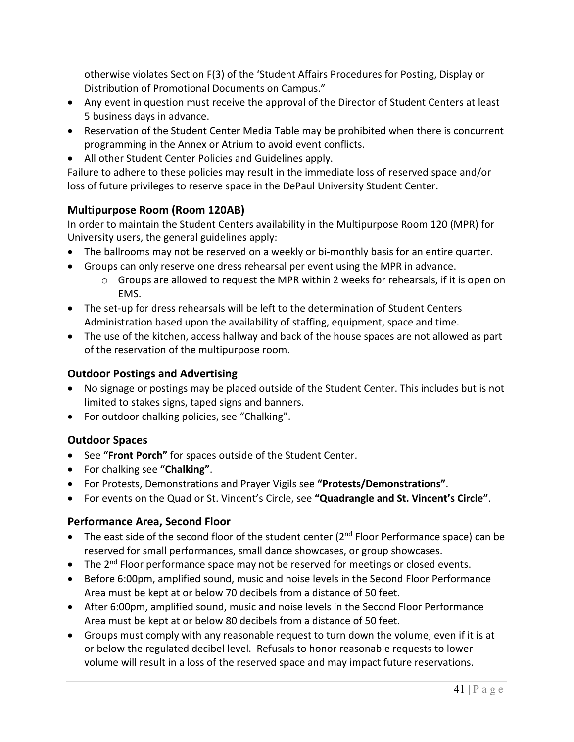otherwise violates Section F(3) of the 'Student Affairs Procedures for Posting, Display or Distribution of Promotional Documents on Campus."

- Any event in question must receive the approval of the Director of Student Centers at least 5 business days in advance.
- Reservation of the Student Center Media Table may be prohibited when there is concurrent programming in the Annex or Atrium to avoid event conflicts.
- All other Student Center Policies and Guidelines apply.

Failure to adhere to these policies may result in the immediate loss of reserved space and/or loss of future privileges to reserve space in the DePaul University Student Center.

# **Multipurpose Room (Room 120AB)**

In order to maintain the Student Centers availability in the Multipurpose Room 120 (MPR) for University users, the general guidelines apply:

- The ballrooms may not be reserved on a weekly or bi-monthly basis for an entire quarter.
- Groups can only reserve one dress rehearsal per event using the MPR in advance.
	- o Groups are allowed to request the MPR within 2 weeks for rehearsals, if it is open on EMS.
- The set-up for dress rehearsals will be left to the determination of Student Centers Administration based upon the availability of staffing, equipment, space and time.
- The use of the kitchen, access hallway and back of the house spaces are not allowed as part of the reservation of the multipurpose room.

# **Outdoor Postings and Advertising**

- No signage or postings may be placed outside of the Student Center. This includes but is not limited to stakes signs, taped signs and banners.
- For outdoor chalking policies, see "Chalking".

# **Outdoor Spaces**

- See **"Front Porch"** for spaces outside of the Student Center.
- For chalking see **"Chalking"**.
- For Protests, Demonstrations and Prayer Vigils see **"Protests/Demonstrations"**.
- For events on the Quad or St. Vincent's Circle, see **"Quadrangle and St. Vincent's Circle"**.

# **Performance Area, Second Floor**

- The east side of the second floor of the student center  $(2^{nd}$  Floor Performance space) can be reserved for small performances, small dance showcases, or group showcases.
- The  $2^{nd}$  Floor performance space may not be reserved for meetings or closed events.
- Before 6:00pm, amplified sound, music and noise levels in the Second Floor Performance Area must be kept at or below 70 decibels from a distance of 50 feet.
- After 6:00pm, amplified sound, music and noise levels in the Second Floor Performance Area must be kept at or below 80 decibels from a distance of 50 feet.
- Groups must comply with any reasonable request to turn down the volume, even if it is at or below the regulated decibel level. Refusals to honor reasonable requests to lower volume will result in a loss of the reserved space and may impact future reservations.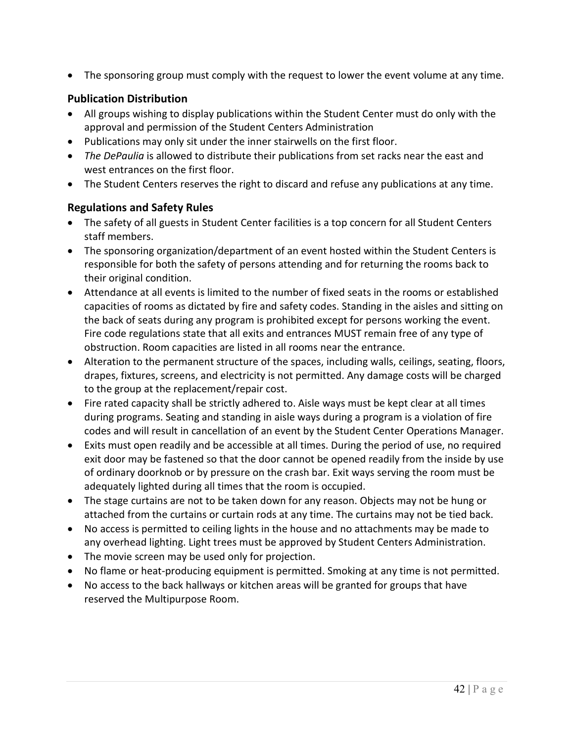• The sponsoring group must comply with the request to lower the event volume at any time.

# **Publication Distribution**

- All groups wishing to display publications within the Student Center must do only with the approval and permission of the Student Centers Administration
- Publications may only sit under the inner stairwells on the first floor.
- *The DePaulia* is allowed to distribute their publications from set racks near the east and west entrances on the first floor.
- The Student Centers reserves the right to discard and refuse any publications at any time.

# **Regulations and Safety Rules**

- The safety of all guests in Student Center facilities is a top concern for all Student Centers staff members.
- The sponsoring organization/department of an event hosted within the Student Centers is responsible for both the safety of persons attending and for returning the rooms back to their original condition.
- Attendance at all events is limited to the number of fixed seats in the rooms or established capacities of rooms as dictated by fire and safety codes. Standing in the aisles and sitting on the back of seats during any program is prohibited except for persons working the event. Fire code regulations state that all exits and entrances MUST remain free of any type of obstruction. Room capacities are listed in all rooms near the entrance.
- Alteration to the permanent structure of the spaces, including walls, ceilings, seating, floors, drapes, fixtures, screens, and electricity is not permitted. Any damage costs will be charged to the group at the replacement/repair cost.
- Fire rated capacity shall be strictly adhered to. Aisle ways must be kept clear at all times during programs. Seating and standing in aisle ways during a program is a violation of fire codes and will result in cancellation of an event by the Student Center Operations Manager.
- Exits must open readily and be accessible at all times. During the period of use, no required exit door may be fastened so that the door cannot be opened readily from the inside by use of ordinary doorknob or by pressure on the crash bar. Exit ways serving the room must be adequately lighted during all times that the room is occupied.
- The stage curtains are not to be taken down for any reason. Objects may not be hung or attached from the curtains or curtain rods at any time. The curtains may not be tied back.
- No access is permitted to ceiling lights in the house and no attachments may be made to any overhead lighting. Light trees must be approved by Student Centers Administration.
- The movie screen may be used only for projection.
- No flame or heat-producing equipment is permitted. Smoking at any time is not permitted.
- No access to the back hallways or kitchen areas will be granted for groups that have reserved the Multipurpose Room.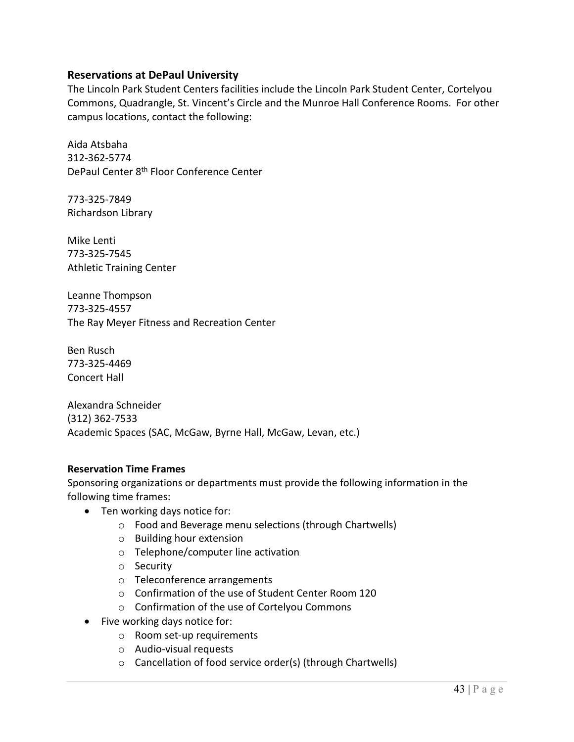## **Reservations at DePaul University**

The Lincoln Park Student Centers facilities include the Lincoln Park Student Center, Cortelyou Commons, Quadrangle, St. Vincent's Circle and the Munroe Hall Conference Rooms. For other campus locations, contact the following:

Aida Atsbaha 312-362-5774 DePaul Center 8th Floor Conference Center

773-325-7849 Richardson Library

Mike Lenti 773-325-7545 Athletic Training Center

Leanne Thompson 773-325-4557 The Ray Meyer Fitness and Recreation Center

Ben Rusch 773-325-4469 Concert Hall

Alexandra Schneider (312) 362-7533 Academic Spaces (SAC, McGaw, Byrne Hall, McGaw, Levan, etc.)

## **Reservation Time Frames**

Sponsoring organizations or departments must provide the following information in the following time frames:

- Ten working days notice for:
	- o Food and Beverage menu selections (through Chartwells)
	- o Building hour extension
	- o Telephone/computer line activation
	- o Security
	- o Teleconference arrangements
	- o Confirmation of the use of Student Center Room 120
	- o Confirmation of the use of Cortelyou Commons
- Five working days notice for:
	- o Room set-up requirements
	- o Audio-visual requests
	- o Cancellation of food service order(s) (through Chartwells)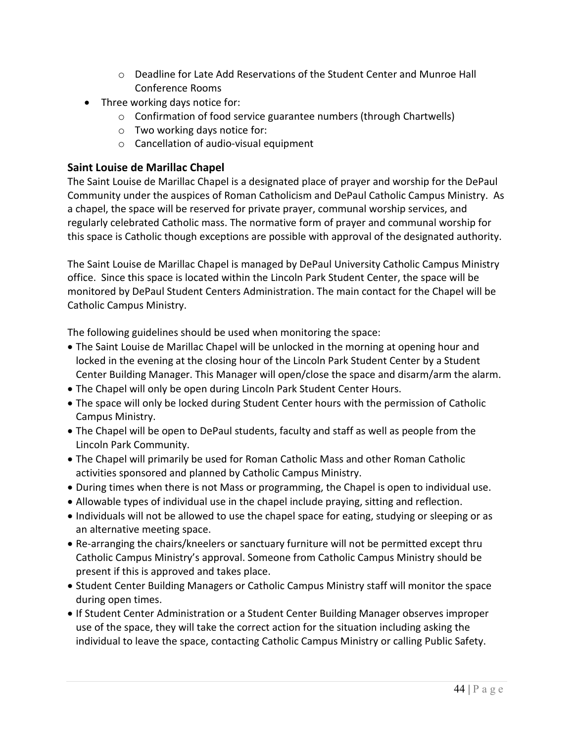- $\circ$  Deadline for Late Add Reservations of the Student Center and Munroe Hall Conference Rooms
- Three working days notice for:
	- o Confirmation of food service guarantee numbers (through Chartwells)
	- o Two working days notice for:
	- o Cancellation of audio-visual equipment

## **Saint Louise de Marillac Chapel**

The Saint Louise de Marillac Chapel is a designated place of prayer and worship for the DePaul Community under the auspices of Roman Catholicism and DePaul Catholic Campus Ministry. As a chapel, the space will be reserved for private prayer, communal worship services, and regularly celebrated Catholic mass. The normative form of prayer and communal worship for this space is Catholic though exceptions are possible with approval of the designated authority.

The Saint Louise de Marillac Chapel is managed by DePaul University Catholic Campus Ministry office. Since this space is located within the Lincoln Park Student Center, the space will be monitored by DePaul Student Centers Administration. The main contact for the Chapel will be Catholic Campus Ministry.

The following guidelines should be used when monitoring the space:

- The Saint Louise de Marillac Chapel will be unlocked in the morning at opening hour and locked in the evening at the closing hour of the Lincoln Park Student Center by a Student Center Building Manager. This Manager will open/close the space and disarm/arm the alarm.
- The Chapel will only be open during Lincoln Park Student Center Hours.
- The space will only be locked during Student Center hours with the permission of Catholic Campus Ministry.
- The Chapel will be open to DePaul students, faculty and staff as well as people from the Lincoln Park Community.
- The Chapel will primarily be used for Roman Catholic Mass and other Roman Catholic activities sponsored and planned by Catholic Campus Ministry.
- During times when there is not Mass or programming, the Chapel is open to individual use.
- Allowable types of individual use in the chapel include praying, sitting and reflection.
- Individuals will not be allowed to use the chapel space for eating, studying or sleeping or as an alternative meeting space.
- Re-arranging the chairs/kneelers or sanctuary furniture will not be permitted except thru Catholic Campus Ministry's approval. Someone from Catholic Campus Ministry should be present if this is approved and takes place.
- Student Center Building Managers or Catholic Campus Ministry staff will monitor the space during open times.
- If Student Center Administration or a Student Center Building Manager observes improper use of the space, they will take the correct action for the situation including asking the individual to leave the space, contacting Catholic Campus Ministry or calling Public Safety.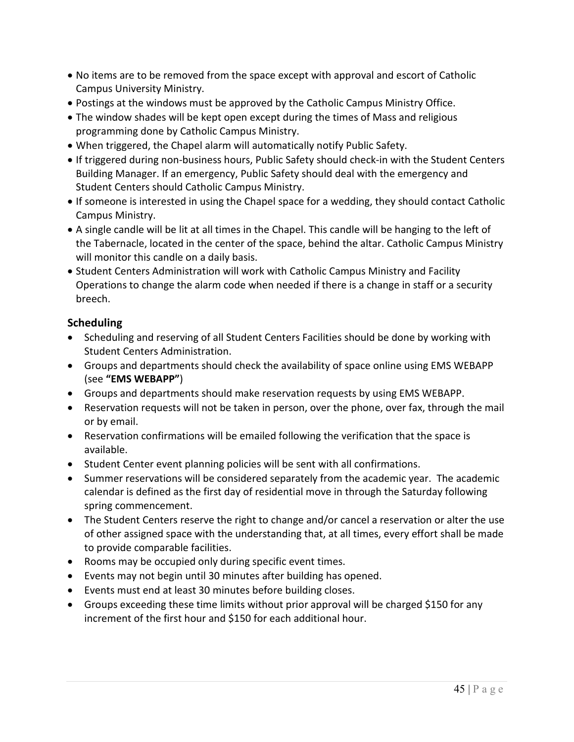- No items are to be removed from the space except with approval and escort of Catholic Campus University Ministry.
- Postings at the windows must be approved by the Catholic Campus Ministry Office.
- The window shades will be kept open except during the times of Mass and religious programming done by Catholic Campus Ministry.
- When triggered, the Chapel alarm will automatically notify Public Safety.
- If triggered during non-business hours, Public Safety should check-in with the Student Centers Building Manager. If an emergency, Public Safety should deal with the emergency and Student Centers should Catholic Campus Ministry.
- If someone is interested in using the Chapel space for a wedding, they should contact Catholic Campus Ministry.
- A single candle will be lit at all times in the Chapel. This candle will be hanging to the left of the Tabernacle, located in the center of the space, behind the altar. Catholic Campus Ministry will monitor this candle on a daily basis.
- Student Centers Administration will work with Catholic Campus Ministry and Facility Operations to change the alarm code when needed if there is a change in staff or a security breech.

## **Scheduling**

- Scheduling and reserving of all Student Centers Facilities should be done by working with Student Centers Administration.
- Groups and departments should check the availability of space online using EMS WEBAPP (see **"EMS WEBAPP"**)
- Groups and departments should make reservation requests by using EMS WEBAPP.
- Reservation requests will not be taken in person, over the phone, over fax, through the mail or by email.
- Reservation confirmations will be emailed following the verification that the space is available.
- Student Center event planning policies will be sent with all confirmations.
- Summer reservations will be considered separately from the academic year. The academic calendar is defined as the first day of residential move in through the Saturday following spring commencement.
- The Student Centers reserve the right to change and/or cancel a reservation or alter the use of other assigned space with the understanding that, at all times, every effort shall be made to provide comparable facilities.
- Rooms may be occupied only during specific event times.
- Events may not begin until 30 minutes after building has opened.
- Events must end at least 30 minutes before building closes.
- Groups exceeding these time limits without prior approval will be charged \$150 for any increment of the first hour and \$150 for each additional hour.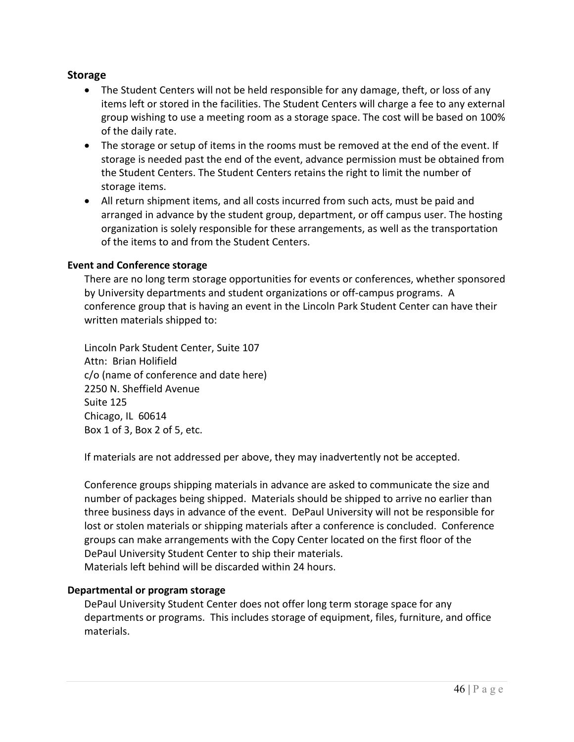## **Storage**

- The Student Centers will not be held responsible for any damage, theft, or loss of any items left or stored in the facilities. The Student Centers will charge a fee to any external group wishing to use a meeting room as a storage space. The cost will be based on 100% of the daily rate.
- The storage or setup of items in the rooms must be removed at the end of the event. If storage is needed past the end of the event, advance permission must be obtained from the Student Centers. The Student Centers retains the right to limit the number of storage items.
- All return shipment items, and all costs incurred from such acts, must be paid and arranged in advance by the student group, department, or off campus user. The hosting organization is solely responsible for these arrangements, as well as the transportation of the items to and from the Student Centers.

#### **Event and Conference storage**

There are no long term storage opportunities for events or conferences, whether sponsored by University departments and student organizations or off-campus programs. A conference group that is having an event in the Lincoln Park Student Center can have their written materials shipped to:

Lincoln Park Student Center, Suite 107 Attn: Brian Holifield c/o (name of conference and date here) 2250 N. Sheffield Avenue Suite 125 Chicago, IL 60614 Box 1 of 3, Box 2 of 5, etc.

If materials are not addressed per above, they may inadvertently not be accepted.

Conference groups shipping materials in advance are asked to communicate the size and number of packages being shipped. Materials should be shipped to arrive no earlier than three business days in advance of the event. DePaul University will not be responsible for lost or stolen materials or shipping materials after a conference is concluded. Conference groups can make arrangements with the Copy Center located on the first floor of the DePaul University Student Center to ship their materials. Materials left behind will be discarded within 24 hours.

#### **Departmental or program storage**

DePaul University Student Center does not offer long term storage space for any departments or programs. This includes storage of equipment, files, furniture, and office materials.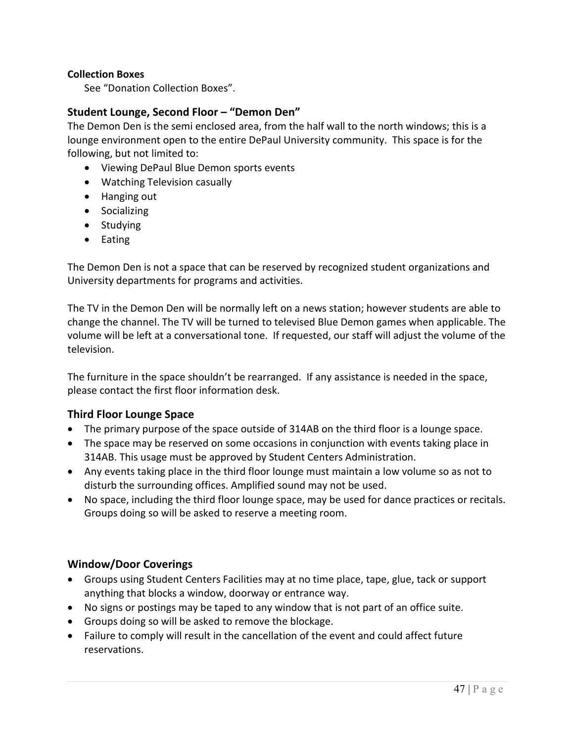#### **Collection Boxes**

See "Donation Collection Boxes".

## **Student Lounge, Second Floor – "Demon Den"**

The Demon Den is the semi enclosed area, from the half wall to the north windows; this is a lounge environment open to the entire DePaul University community. This space is for the following, but not limited to:

- Viewing DePaul Blue Demon sports events
- Watching Television casually
- Hanging out
- Socializing
- Studying
- Eating

The Demon Den is not a space that can be reserved by recognized student organizations and University departments for programs and activities.

The TV in the Demon Den will be normally left on a news station; however students are able to change the channel. The TV will be turned to televised Blue Demon games when applicable. The volume will be left at a conversational tone. If requested, our staff will adjust the volume of the television.

The furniture in the space shouldn't be rearranged. If any assistance is needed in the space, please contact the first floor information desk.

## **Third Floor Lounge Space**

- The primary purpose of the space outside of 314AB on the third floor is a lounge space.
- The space may be reserved on some occasions in conjunction with events taking place in 314AB. This usage must be approved by Student Centers Administration.
- Any events taking place in the third floor lounge must maintain a low volume so as not to disturb the surrounding offices. Amplified sound may not be used.
- No space, including the third floor lounge space, may be used for dance practices or recitals. Groups doing so will be asked to reserve a meeting room.

## **Window/Door Coverings**

- Groups using Student Centers Facilities may at no time place, tape, glue, tack or support anything that blocks a window, doorway or entrance way.
- No signs or postings may be taped to any window that is not part of an office suite.
- Groups doing so will be asked to remove the blockage.
- Failure to comply will result in the cancellation of the event and could affect future reservations.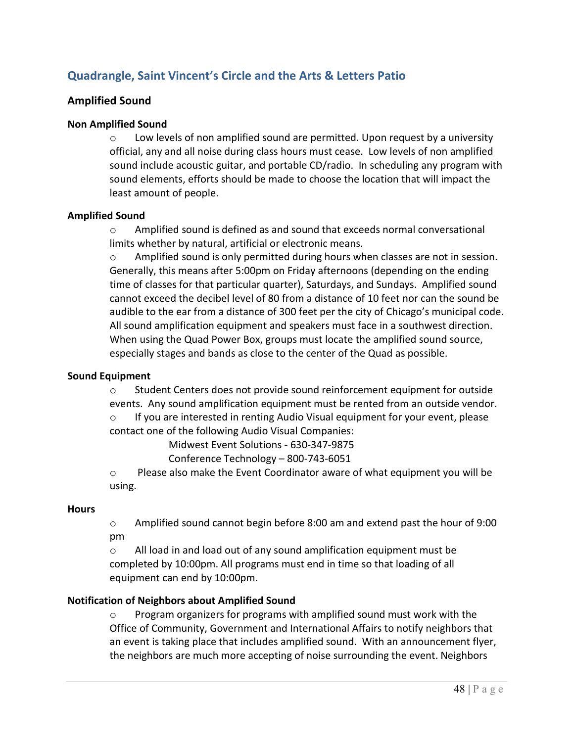# **Quadrangle, Saint Vincent's Circle and the Arts & Letters Patio**

#### **Amplified Sound**

#### **Non Amplified Sound**

 $\circ$  Low levels of non amplified sound are permitted. Upon request by a university official, any and all noise during class hours must cease. Low levels of non amplified sound include acoustic guitar, and portable CD/radio. In scheduling any program with sound elements, efforts should be made to choose the location that will impact the least amount of people.

#### **Amplified Sound**

o Amplified sound is defined as and sound that exceeds normal conversational limits whether by natural, artificial or electronic means.

 $\circ$  Amplified sound is only permitted during hours when classes are not in session. Generally, this means after 5:00pm on Friday afternoons (depending on the ending time of classes for that particular quarter), Saturdays, and Sundays. Amplified sound cannot exceed the decibel level of 80 from a distance of 10 feet nor can the sound be audible to the ear from a distance of 300 feet per the city of Chicago's municipal code. All sound amplification equipment and speakers must face in a southwest direction. When using the Quad Power Box, groups must locate the amplified sound source, especially stages and bands as close to the center of the Quad as possible.

#### **Sound Equipment**

o Student Centers does not provide sound reinforcement equipment for outside events. Any sound amplification equipment must be rented from an outside vendor.

o If you are interested in renting Audio Visual equipment for your event, please contact one of the following Audio Visual Companies:

Midwest Event Solutions - 630-347-9875

Conference Technology – 800-743-6051

o Please also make the Event Coordinator aware of what equipment you will be using.

#### **Hours**

o Amplified sound cannot begin before 8:00 am and extend past the hour of 9:00 pm

o All load in and load out of any sound amplification equipment must be completed by 10:00pm. All programs must end in time so that loading of all equipment can end by 10:00pm.

#### **Notification of Neighbors about Amplified Sound**

 $\circ$  Program organizers for programs with amplified sound must work with the Office of Community, Government and International Affairs to notify neighbors that an event is taking place that includes amplified sound. With an announcement flyer, the neighbors are much more accepting of noise surrounding the event. Neighbors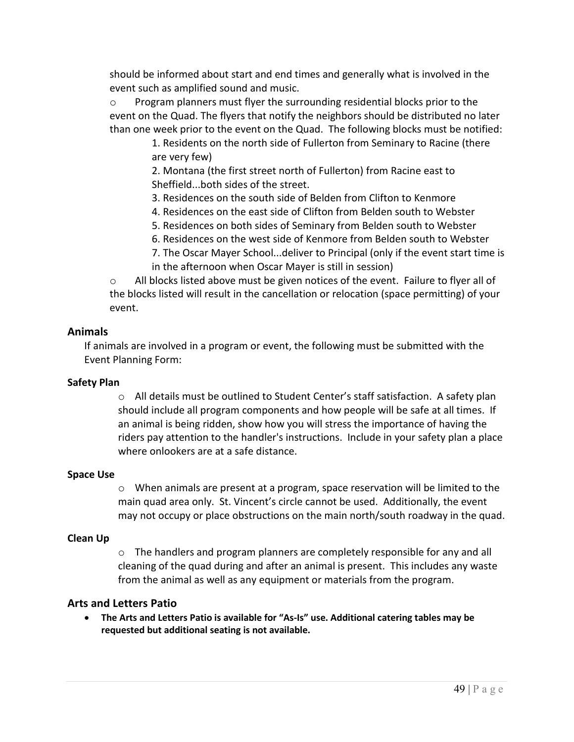should be informed about start and end times and generally what is involved in the event such as amplified sound and music.

o Program planners must flyer the surrounding residential blocks prior to the event on the Quad. The flyers that notify the neighbors should be distributed no later than one week prior to the event on the Quad. The following blocks must be notified:

1. Residents on the north side of Fullerton from Seminary to Racine (there are very few)

2. Montana (the first street north of Fullerton) from Racine east to Sheffield...both sides of the street.

3. Residences on the south side of Belden from Clifton to Kenmore

- 4. Residences on the east side of Clifton from Belden south to Webster
- 5. Residences on both sides of Seminary from Belden south to Webster
- 6. Residences on the west side of Kenmore from Belden south to Webster
- 7. The Oscar Mayer School...deliver to Principal (only if the event start time is in the afternoon when Oscar Mayer is still in session)

o All blocks listed above must be given notices of the event. Failure to flyer all of the blocks listed will result in the cancellation or relocation (space permitting) of your event.

## **Animals**

If animals are involved in a program or event, the following must be submitted with the Event Planning Form:

## **Safety Plan**

o All details must be outlined to Student Center's staff satisfaction. A safety plan should include all program components and how people will be safe at all times. If an animal is being ridden, show how you will stress the importance of having the riders pay attention to the handler's instructions. Include in your safety plan a place where onlookers are at a safe distance.

## **Space Use**

o When animals are present at a program, space reservation will be limited to the main quad area only. St. Vincent's circle cannot be used. Additionally, the event may not occupy or place obstructions on the main north/south roadway in the quad.

# **Clean Up**

 $\circ$  The handlers and program planners are completely responsible for any and all cleaning of the quad during and after an animal is present. This includes any waste from the animal as well as any equipment or materials from the program.

# **Arts and Letters Patio**

• **The Arts and Letters Patio is available for "As-Is" use. Additional catering tables may be requested but additional seating is not available.**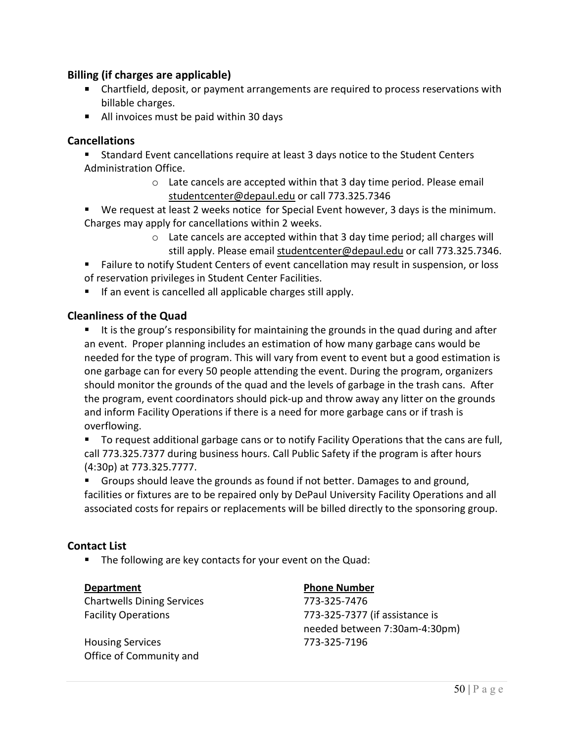## **Billing (if charges are applicable)**

- Chartfield, deposit, or payment arrangements are required to process reservations with billable charges.
- All invoices must be paid within 30 days

#### **Cancellations**

- Standard Event cancellations require at least 3 days notice to the Student Centers Administration Office.
	- $\circ$  Late cancels are accepted within that 3 day time period. Please email [studentcenter@depaul.edu](mailto:studentcenter@depaul.edu) or call 773.325.7346
- We request at least 2 weeks notice for Special Event however, 3 days is the minimum. Charges may apply for cancellations within 2 weeks.
	- o Late cancels are accepted within that 3 day time period; all charges will still apply. Please email [studentcenter@depaul.edu](mailto:studentcenter@depaul.edu) or call 773.325.7346.

 Failure to notify Student Centers of event cancellation may result in suspension, or loss of reservation privileges in Student Center Facilities.

 $\blacksquare$  If an event is cancelled all applicable charges still apply.

## **Cleanliness of the Quad**

It is the group's responsibility for maintaining the grounds in the quad during and after an event. Proper planning includes an estimation of how many garbage cans would be needed for the type of program. This will vary from event to event but a good estimation is one garbage can for every 50 people attending the event. During the program, organizers should monitor the grounds of the quad and the levels of garbage in the trash cans. After the program, event coordinators should pick-up and throw away any litter on the grounds and inform Facility Operations if there is a need for more garbage cans or if trash is overflowing.

 To request additional garbage cans or to notify Facility Operations that the cans are full, call 773.325.7377 during business hours. Call Public Safety if the program is after hours (4:30p) at 773.325.7777.

 Groups should leave the grounds as found if not better. Damages to and ground, facilities or fixtures are to be repaired only by DePaul University Facility Operations and all associated costs for repairs or replacements will be billed directly to the sponsoring group.

#### **Contact List**

■ The following are key contacts for your event on the Quad:

Chartwells Dining Services 773-325-7476

Housing Services 773-325-7196 Office of Community and

#### **Department Phone Number**

Facility Operations 773-325-7377 (if assistance is needed between 7:30am-4:30pm)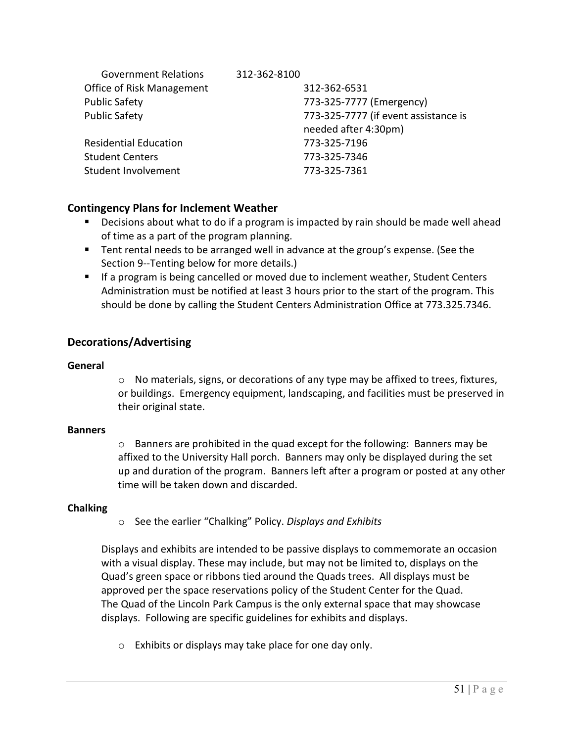| <b>Government Relations</b>  | 312-362-8100                         |
|------------------------------|--------------------------------------|
| Office of Risk Management    | 312-362-6531                         |
| <b>Public Safety</b>         | 773-325-7777 (Emergency)             |
| <b>Public Safety</b>         | 773-325-7777 (if event assistance is |
|                              | needed after 4:30pm)                 |
| <b>Residential Education</b> | 773-325-7196                         |
| <b>Student Centers</b>       | 773-325-7346                         |
| Student Involvement          | 773-325-7361                         |

## **Contingency Plans for Inclement Weather**

- Decisions about what to do if a program is impacted by rain should be made well ahead of time as a part of the program planning.
- Tent rental needs to be arranged well in advance at the group's expense. (See the Section 9--Tenting below for more details.)
- **If a program is being cancelled or moved due to inclement weather, Student Centers** Administration must be notified at least 3 hours prior to the start of the program. This should be done by calling the Student Centers Administration Office at 773.325.7346.

## **Decorations/Advertising**

#### **General**

 $\circ$  No materials, signs, or decorations of any type may be affixed to trees, fixtures, or buildings. Emergency equipment, landscaping, and facilities must be preserved in their original state.

## **Banners**

 $\circ$  Banners are prohibited in the quad except for the following: Banners may be affixed to the University Hall porch. Banners may only be displayed during the set up and duration of the program. Banners left after a program or posted at any other time will be taken down and discarded.

## **Chalking**

o See the earlier "Chalking" Policy. *Displays and Exhibits*

Displays and exhibits are intended to be passive displays to commemorate an occasion with a visual display. These may include, but may not be limited to, displays on the Quad's green space or ribbons tied around the Quads trees. All displays must be approved per the space reservations policy of the Student Center for the Quad. The Quad of the Lincoln Park Campus is the only external space that may showcase displays. Following are specific guidelines for exhibits and displays.

o Exhibits or displays may take place for one day only.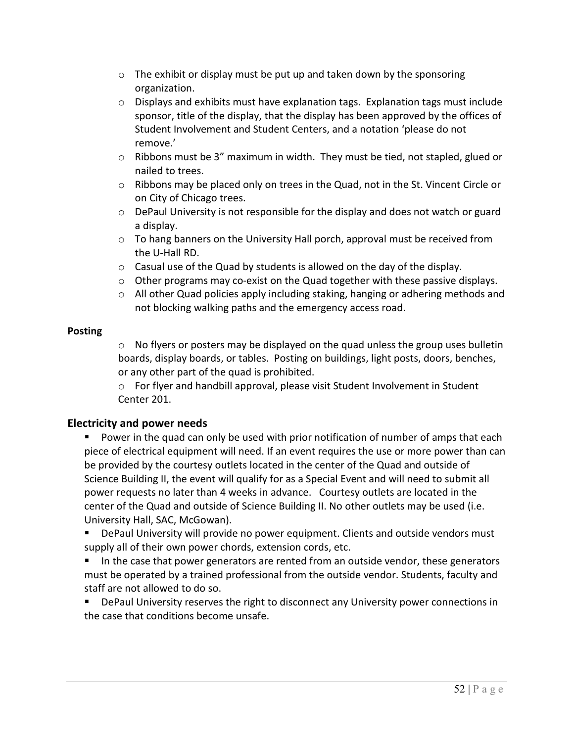- $\circ$  The exhibit or display must be put up and taken down by the sponsoring organization.
- $\circ$  Displays and exhibits must have explanation tags. Explanation tags must include sponsor, title of the display, that the display has been approved by the offices of Student Involvement and Student Centers, and a notation 'please do not remove.'
- o Ribbons must be 3" maximum in width. They must be tied, not stapled, glued or nailed to trees.
- o Ribbons may be placed only on trees in the Quad, not in the St. Vincent Circle or on City of Chicago trees.
- $\circ$  DePaul University is not responsible for the display and does not watch or guard a display.
- $\circ$  To hang banners on the University Hall porch, approval must be received from the U-Hall RD.
- $\circ$  Casual use of the Quad by students is allowed on the day of the display.
- $\circ$  Other programs may co-exist on the Quad together with these passive displays.
- $\circ$  All other Quad policies apply including staking, hanging or adhering methods and not blocking walking paths and the emergency access road.

#### **Posting**

o No flyers or posters may be displayed on the quad unless the group uses bulletin boards, display boards, or tables. Posting on buildings, light posts, doors, benches, or any other part of the quad is prohibited.

o For flyer and handbill approval, please visit Student Involvement in Student Center 201.

# **Electricity and power needs**

 Power in the quad can only be used with prior notification of number of amps that each piece of electrical equipment will need. If an event requires the use or more power than can be provided by the courtesy outlets located in the center of the Quad and outside of Science Building II, the event will qualify for as a Special Event and will need to submit all power requests no later than 4 weeks in advance. Courtesy outlets are located in the center of the Quad and outside of Science Building II. No other outlets may be used (i.e. University Hall, SAC, McGowan).

 DePaul University will provide no power equipment. Clients and outside vendors must supply all of their own power chords, extension cords, etc.

In the case that power generators are rented from an outside vendor, these generators must be operated by a trained professional from the outside vendor. Students, faculty and staff are not allowed to do so.

**• DePaul University reserves the right to disconnect any University power connections in** the case that conditions become unsafe.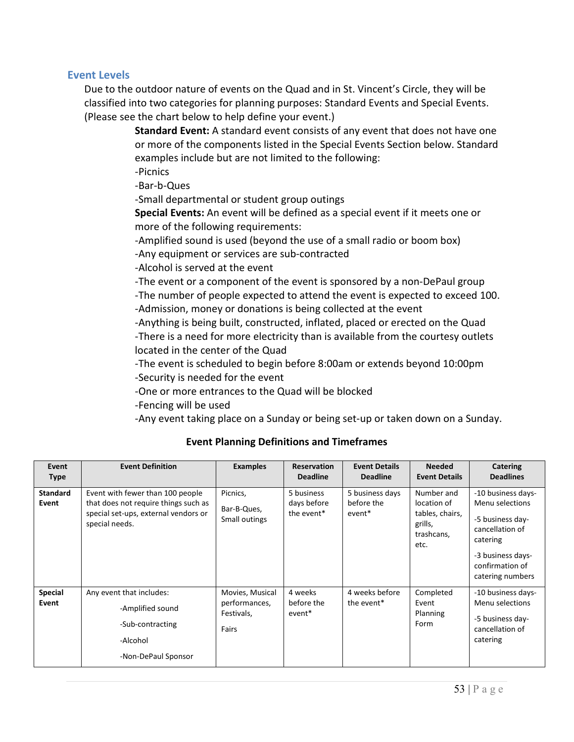#### **Event Levels**

Due to the outdoor nature of events on the Quad and in St. Vincent's Circle, they will be classified into two categories for planning purposes: Standard Events and Special Events. (Please see the chart below to help define your event.)

> **Standard Event:** A standard event consists of any event that does not have one or more of the components listed in the Special Events Section below. Standard examples include but are not limited to the following:

-Picnics

-Bar-b-Ques

-Small departmental or student group outings

**Special Events:** An event will be defined as a special event if it meets one or more of the following requirements:

-Amplified sound is used (beyond the use of a small radio or boom box)

-Any equipment or services are sub-contracted

-Alcohol is served at the event

-The event or a component of the event is sponsored by a non-DePaul group

-The number of people expected to attend the event is expected to exceed 100.

-Admission, money or donations is being collected at the event

 -Anything is being built, constructed, inflated, placed or erected on the Quad -There is a need for more electricity than is available from the courtesy outlets located in the center of the Quad

 -The event is scheduled to begin before 8:00am or extends beyond 10:00pm -Security is needed for the event

-One or more entrances to the Quad will be blocked

-Fencing will be used

-Any event taking place on a Sunday or being set-up or taken down on a Sunday.

| Event<br><b>Type</b>     | <b>Event Definition</b>                                                                                                            | <b>Examples</b>                                         | <b>Reservation</b><br><b>Deadline</b>   | <b>Event Details</b><br><b>Deadline</b> | <b>Needed</b><br><b>Event Details</b>                                         | Catering<br><b>Deadlines</b>                                                                                                                         |
|--------------------------|------------------------------------------------------------------------------------------------------------------------------------|---------------------------------------------------------|-----------------------------------------|-----------------------------------------|-------------------------------------------------------------------------------|------------------------------------------------------------------------------------------------------------------------------------------------------|
| <b>Standard</b><br>Event | Event with fewer than 100 people<br>that does not require things such as<br>special set-ups, external vendors or<br>special needs. | Picnics,<br>Bar-B-Ques,<br>Small outings                | 5 business<br>days before<br>the event* | 5 business days<br>before the<br>event* | Number and<br>location of<br>tables, chairs,<br>grills,<br>trashcans,<br>etc. | -10 business days-<br>Menu selections<br>-5 business day-<br>cancellation of<br>catering<br>-3 business days-<br>confirmation of<br>catering numbers |
| <b>Special</b><br>Event  | Any event that includes:<br>-Amplified sound<br>-Sub-contracting<br>-Alcohol<br>-Non-DePaul Sponsor                                | Movies, Musical<br>performances,<br>Festivals,<br>Fairs | 4 weeks<br>before the<br>event*         | 4 weeks before<br>the event*            | Completed<br>Event<br>Planning<br>Form                                        | -10 business days-<br>Menu selections<br>-5 business day-<br>cancellation of<br>catering                                                             |

## **Event Planning Definitions and Timeframes**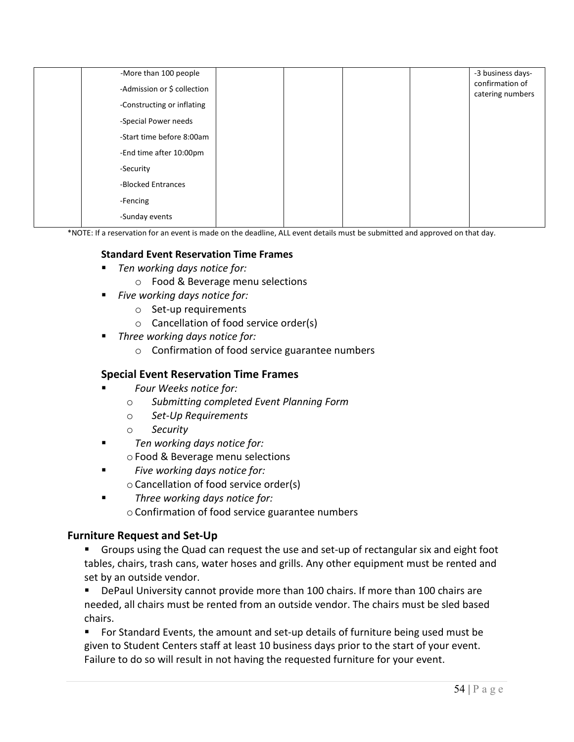| -More than 100 people       |  |  | -3 business days-<br>confirmation of |
|-----------------------------|--|--|--------------------------------------|
| -Admission or \$ collection |  |  | catering numbers                     |
| -Constructing or inflating  |  |  |                                      |
| -Special Power needs        |  |  |                                      |
| -Start time before 8:00am   |  |  |                                      |
| -End time after 10:00pm     |  |  |                                      |
| -Security                   |  |  |                                      |
| -Blocked Entrances          |  |  |                                      |
| -Fencing                    |  |  |                                      |
| -Sunday events              |  |  |                                      |

\*NOTE: If a reservation for an event is made on the deadline, ALL event details must be submitted and approved on that day.

#### **Standard Event Reservation Time Frames**

- *Ten working days notice for:*
	- o Food & Beverage menu selections
- *Five working days notice for:*
	- o Set-up requirements
	- o Cancellation of food service order(s)
	- *Three working days notice for:*
		- o Confirmation of food service guarantee numbers

#### **Special Event Reservation Time Frames**

- *Four Weeks notice for:*
	- o *Submitting completed Event Planning Form*
	- o *Set-Up Requirements*
	- o *Security*
- *Ten working days notice for:* o Food & Beverage menu selections
- *Five working days notice for:* oCancellation of food service order(s)
- *Three working days notice for:* oConfirmation of food service guarantee numbers

#### **Furniture Request and Set-Up**

- Groups using the Quad can request the use and set-up of rectangular six and eight foot tables, chairs, trash cans, water hoses and grills. Any other equipment must be rented and set by an outside vendor.
- **DePaul University cannot provide more than 100 chairs. If more than 100 chairs are** needed, all chairs must be rented from an outside vendor. The chairs must be sled based chairs.
- For Standard Events, the amount and set-up details of furniture being used must be given to Student Centers staff at least 10 business days prior to the start of your event. Failure to do so will result in not having the requested furniture for your event.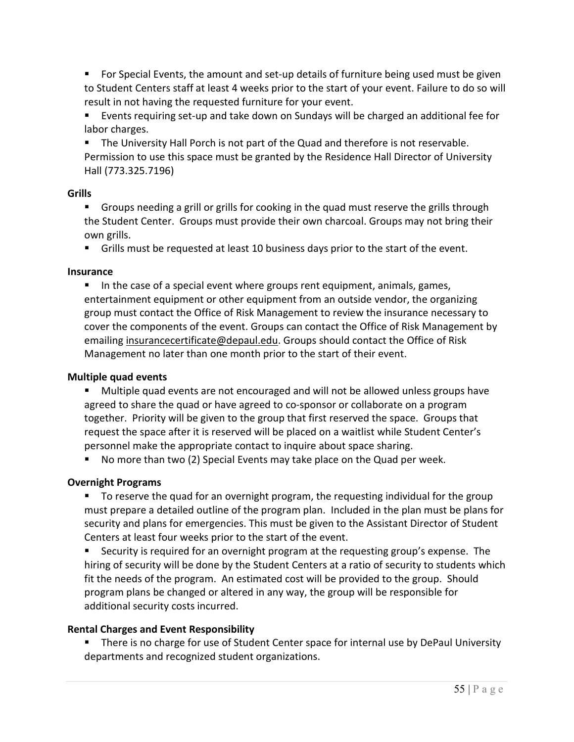**For Special Events, the amount and set-up details of furniture being used must be given** to Student Centers staff at least 4 weeks prior to the start of your event. Failure to do so will result in not having the requested furniture for your event.

 Events requiring set-up and take down on Sundays will be charged an additional fee for labor charges.

 The University Hall Porch is not part of the Quad and therefore is not reservable. Permission to use this space must be granted by the Residence Hall Director of University Hall (773.325.7196)

## **Grills**

 Groups needing a grill or grills for cooking in the quad must reserve the grills through the Student Center. Groups must provide their own charcoal. Groups may not bring their own grills.

Grills must be requested at least 10 business days prior to the start of the event.

## **Insurance**

In the case of a special event where groups rent equipment, animals, games, entertainment equipment or other equipment from an outside vendor, the organizing group must contact the Office of Risk Management to review the insurance necessary to cover the components of the event. Groups can contact the Office of Risk Management by emailing [insurancecertificate@depaul.edu.](mailto:insurancecertificate@depaul.edu) Groups should contact the Office of Risk Management no later than one month prior to the start of their event.

## **Multiple quad events**

 Multiple quad events are not encouraged and will not be allowed unless groups have agreed to share the quad or have agreed to co-sponsor or collaborate on a program together. Priority will be given to the group that first reserved the space. Groups that request the space after it is reserved will be placed on a waitlist while Student Center's personnel make the appropriate contact to inquire about space sharing.

No more than two (2) Special Events may take place on the Quad per week.

## **Overnight Programs**

 To reserve the quad for an overnight program, the requesting individual for the group must prepare a detailed outline of the program plan. Included in the plan must be plans for security and plans for emergencies. This must be given to the Assistant Director of Student Centers at least four weeks prior to the start of the event.

 Security is required for an overnight program at the requesting group's expense. The hiring of security will be done by the Student Centers at a ratio of security to students which fit the needs of the program. An estimated cost will be provided to the group. Should program plans be changed or altered in any way, the group will be responsible for additional security costs incurred.

## **Rental Charges and Event Responsibility**

**There is no charge for use of Student Center space for internal use by DePaul University** departments and recognized student organizations.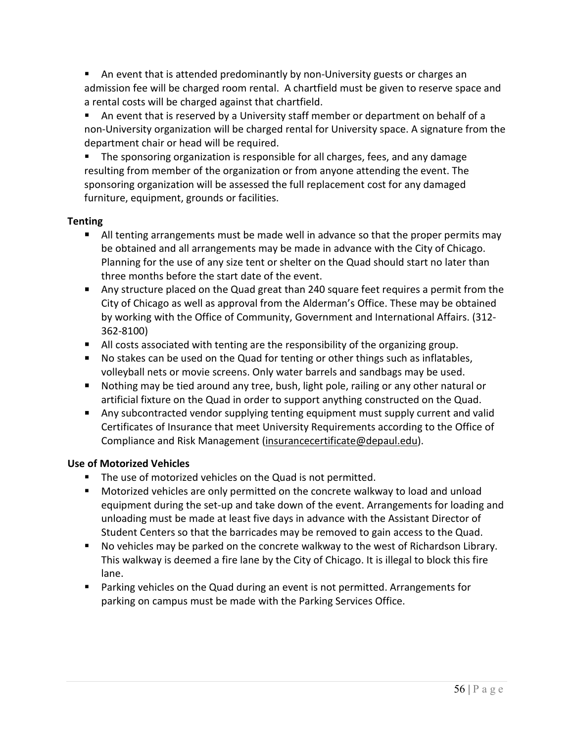An event that is attended predominantly by non-University guests or charges an admission fee will be charged room rental. A chartfield must be given to reserve space and a rental costs will be charged against that chartfield.

 An event that is reserved by a University staff member or department on behalf of a non-University organization will be charged rental for University space. A signature from the department chair or head will be required.

**The sponsoring organization is responsible for all charges, fees, and any damage** resulting from member of the organization or from anyone attending the event. The sponsoring organization will be assessed the full replacement cost for any damaged furniture, equipment, grounds or facilities.

## **Tenting**

- All tenting arrangements must be made well in advance so that the proper permits may be obtained and all arrangements may be made in advance with the City of Chicago. Planning for the use of any size tent or shelter on the Quad should start no later than three months before the start date of the event.
- Any structure placed on the Quad great than 240 square feet requires a permit from the City of Chicago as well as approval from the Alderman's Office. These may be obtained by working with the Office of Community, Government and International Affairs. (312- 362-8100)
- All costs associated with tenting are the responsibility of the organizing group.
- No stakes can be used on the Quad for tenting or other things such as inflatables, volleyball nets or movie screens. Only water barrels and sandbags may be used.
- **Nothing may be tied around any tree, bush, light pole, railing or any other natural or** artificial fixture on the Quad in order to support anything constructed on the Quad.
- **Any subcontracted vendor supplying tenting equipment must supply current and valid** Certificates of Insurance that meet University Requirements according to the Office of Compliance and Risk Management [\(insurancecertificate@depaul.edu\)](mailto:insurancecertificate@depaul.edu).

# **Use of Motorized Vehicles**

- The use of motorized vehicles on the Quad is not permitted.
- Motorized vehicles are only permitted on the concrete walkway to load and unload equipment during the set-up and take down of the event. Arrangements for loading and unloading must be made at least five days in advance with the Assistant Director of Student Centers so that the barricades may be removed to gain access to the Quad.
- No vehicles may be parked on the concrete walkway to the west of Richardson Library. This walkway is deemed a fire lane by the City of Chicago. It is illegal to block this fire lane.
- **Parking vehicles on the Quad during an event is not permitted. Arrangements for** parking on campus must be made with the Parking Services Office.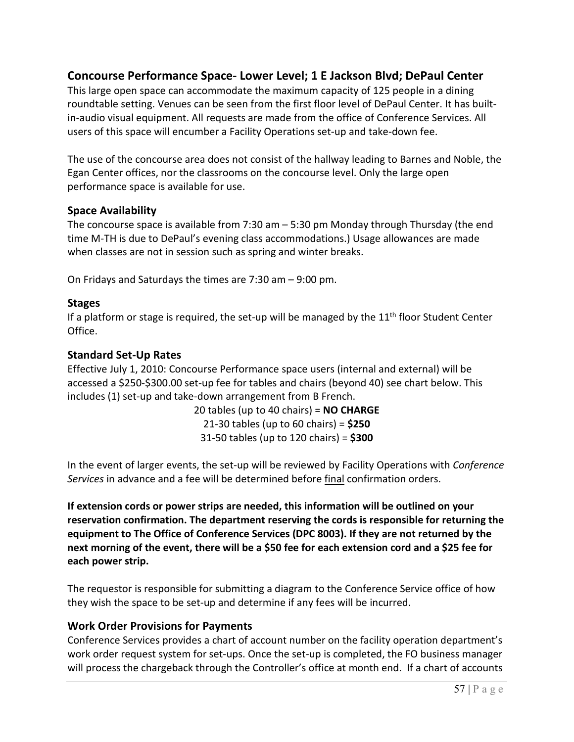# **Concourse Performance Space- Lower Level; 1 E Jackson Blvd; DePaul Center**

This large open space can accommodate the maximum capacity of 125 people in a dining roundtable setting. Venues can be seen from the first floor level of DePaul Center. It has builtin-audio visual equipment. All requests are made from the office of Conference Services. All users of this space will encumber a Facility Operations set-up and take-down fee.

The use of the concourse area does not consist of the hallway leading to Barnes and Noble, the Egan Center offices, nor the classrooms on the concourse level. Only the large open performance space is available for use.

#### **Space Availability**

The concourse space is available from 7:30 am – 5:30 pm Monday through Thursday (the end time M-TH is due to DePaul's evening class accommodations.) Usage allowances are made when classes are not in session such as spring and winter breaks.

On Fridays and Saturdays the times are 7:30 am – 9:00 pm.

#### **Stages**

If a platform or stage is required, the set-up will be managed by the  $11<sup>th</sup>$  floor Student Center Office.

#### **Standard Set-Up Rates**

Effective July 1, 2010: Concourse Performance space users (internal and external) will be accessed a \$250-\$300.00 set-up fee for tables and chairs (beyond 40) see chart below. This includes (1) set-up and take-down arrangement from B French.

> 20 tables (up to 40 chairs) = **NO CHARGE**  21-30 tables (up to 60 chairs) = **\$250** 31-50 tables (up to 120 chairs) = **\$300**

In the event of larger events, the set-up will be reviewed by Facility Operations with *Conference Services* in advance and a fee will be determined before final confirmation orders.

**If extension cords or power strips are needed, this information will be outlined on your reservation confirmation. The department reserving the cords is responsible for returning the equipment to The Office of Conference Services (DPC 8003). If they are not returned by the next morning of the event, there will be a \$50 fee for each extension cord and a \$25 fee for each power strip.** 

The requestor is responsible for submitting a diagram to the Conference Service office of how they wish the space to be set-up and determine if any fees will be incurred.

## **Work Order Provisions for Payments**

Conference Services provides a chart of account number on the facility operation department's work order request system for set-ups. Once the set-up is completed, the FO business manager will process the chargeback through the Controller's office at month end. If a chart of accounts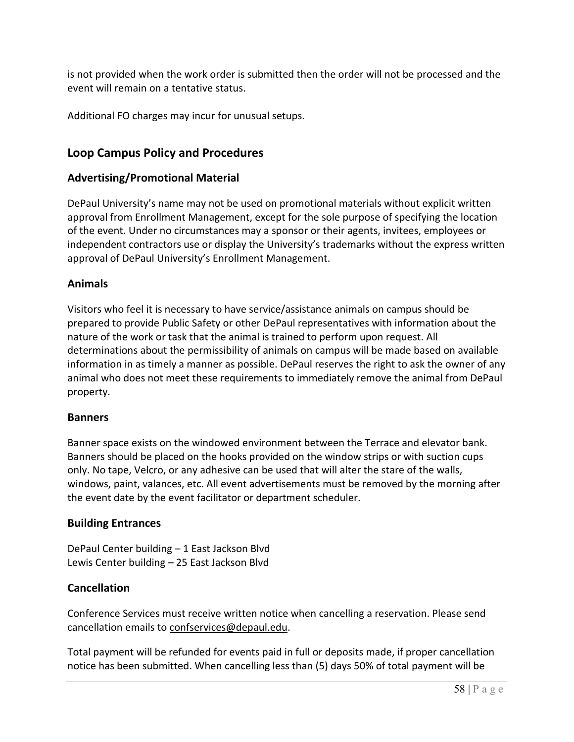is not provided when the work order is submitted then the order will not be processed and the event will remain on a tentative status.

Additional FO charges may incur for unusual setups.

# **Loop Campus Policy and Procedures**

## **Advertising/Promotional Material**

DePaul University's name may not be used on promotional materials without explicit written approval from Enrollment Management, except for the sole purpose of specifying the location of the event. Under no circumstances may a sponsor or their agents, invitees, employees or independent contractors use or display the University's trademarks without the express written approval of DePaul University's Enrollment Management.

## **Animals**

Visitors who feel it is necessary to have service/assistance animals on campus should be prepared to provide Public Safety or other DePaul representatives with information about the nature of the work or task that the animal is trained to perform upon request. All determinations about the permissibility of animals on campus will be made based on available information in as timely a manner as possible. DePaul reserves the right to ask the owner of any animal who does not meet these requirements to immediately remove the animal from DePaul property.

## **Banners**

Banner space exists on the windowed environment between the Terrace and elevator bank. Banners should be placed on the hooks provided on the window strips or with suction cups only. No tape, Velcro, or any adhesive can be used that will alter the stare of the walls, windows, paint, valances, etc. All event advertisements must be removed by the morning after the event date by the event facilitator or department scheduler.

## **Building Entrances**

DePaul Center building – 1 East Jackson Blvd Lewis Center building – 25 East Jackson Blvd

# **Cancellation**

Conference Services must receive written notice when cancelling a reservation. Please send cancellation emails to [confservices@depaul.edu.](mailto:confservices@depaul.edu)

Total payment will be refunded for events paid in full or deposits made, if proper cancellation notice has been submitted. When cancelling less than (5) days 50% of total payment will be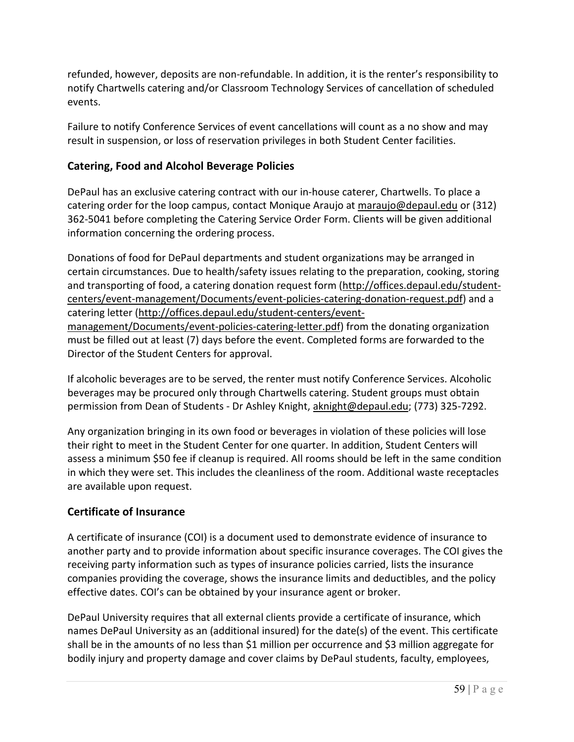refunded, however, deposits are non-refundable. In addition, it is the renter's responsibility to notify Chartwells catering and/or Classroom Technology Services of cancellation of scheduled events.

Failure to notify Conference Services of event cancellations will count as a no show and may result in suspension, or loss of reservation privileges in both Student Center facilities.

# **Catering, Food and Alcohol Beverage Policies**

DePaul has an exclusive catering contract with our in-house caterer, Chartwells. To place a catering order for the loop campus, contact Monique Araujo a[t maraujo@depaul.edu](mailto:maraujo@depaul.edu) or (312) 362-5041 before completing the Catering Service Order Form. Clients will be given additional information concerning the ordering process.

Donations of food for DePaul departments and student organizations may be arranged in certain circumstances. Due to health/safety issues relating to the preparation, cooking, storing and transporting of food, a catering donation request form [\(http://offices.depaul.edu/student](http://offices.depaul.edu/student-centers/event-management/Documents/event-policies-catering-donation-request.pdf)[centers/event-management/Documents/event-policies-catering-donation-request.pdf\)](http://offices.depaul.edu/student-centers/event-management/Documents/event-policies-catering-donation-request.pdf) and a catering letter [\(http://offices.depaul.edu/student-centers/event](http://offices.depaul.edu/student-centers/event-management/Documents/event-policies-catering-letter.pdf)[management/Documents/event-policies-catering-letter.pdf\)](http://offices.depaul.edu/student-centers/event-management/Documents/event-policies-catering-letter.pdf) from the donating organization must be filled out at least (7) days before the event. Completed forms are forwarded to the Director of the Student Centers for approval.

If alcoholic beverages are to be served, the renter must notify Conference Services. Alcoholic beverages may be procured only through Chartwells catering. Student groups must obtain permission from Dean of Students - Dr Ashley Knight, [aknight@depaul.edu;](mailto:aknight@depaul.edu) (773) 325-7292.

Any organization bringing in its own food or beverages in violation of these policies will lose their right to meet in the Student Center for one quarter. In addition, Student Centers will assess a minimum \$50 fee if cleanup is required. All rooms should be left in the same condition in which they were set. This includes the cleanliness of the room. Additional waste receptacles are available upon request.

# **Certificate of Insurance**

A certificate of insurance (COI) is a document used to demonstrate evidence of insurance to another party and to provide information about specific insurance coverages. The COI gives the receiving party information such as types of insurance policies carried, lists the insurance companies providing the coverage, shows the insurance limits and deductibles, and the policy effective dates. COI's can be obtained by your insurance agent or broker.

DePaul University requires that all external clients provide a certificate of insurance, which names DePaul University as an (additional insured) for the date(s) of the event. This certificate shall be in the amounts of no less than \$1 million per occurrence and \$3 million aggregate for bodily injury and property damage and cover claims by DePaul students, faculty, employees,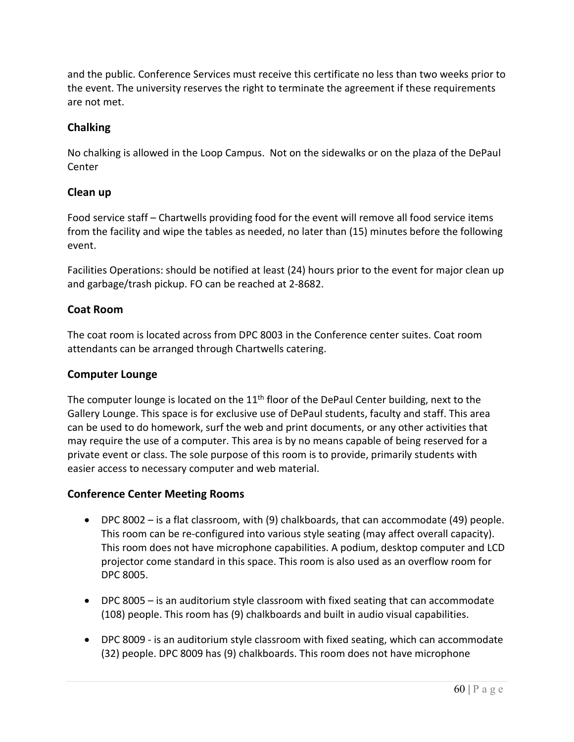and the public. Conference Services must receive this certificate no less than two weeks prior to the event. The university reserves the right to terminate the agreement if these requirements are not met.

# **Chalking**

No chalking is allowed in the Loop Campus. Not on the sidewalks or on the plaza of the DePaul Center

# **Clean up**

Food service staff – Chartwells providing food for the event will remove all food service items from the facility and wipe the tables as needed, no later than (15) minutes before the following event.

Facilities Operations: should be notified at least (24) hours prior to the event for major clean up and garbage/trash pickup. FO can be reached at 2-8682.

# **Coat Room**

The coat room is located across from DPC 8003 in the Conference center suites. Coat room attendants can be arranged through Chartwells catering.

# **Computer Lounge**

The computer lounge is located on the  $11<sup>th</sup>$  floor of the DePaul Center building, next to the Gallery Lounge. This space is for exclusive use of DePaul students, faculty and staff. This area can be used to do homework, surf the web and print documents, or any other activities that may require the use of a computer. This area is by no means capable of being reserved for a private event or class. The sole purpose of this room is to provide, primarily students with easier access to necessary computer and web material.

# **Conference Center Meeting Rooms**

- DPC 8002 is a flat classroom, with (9) chalkboards, that can accommodate (49) people. This room can be re-configured into various style seating (may affect overall capacity). This room does not have microphone capabilities. A podium, desktop computer and LCD projector come standard in this space. This room is also used as an overflow room for DPC 8005.
- DPC 8005 is an auditorium style classroom with fixed seating that can accommodate (108) people. This room has (9) chalkboards and built in audio visual capabilities.
- DPC 8009 is an auditorium style classroom with fixed seating, which can accommodate (32) people. DPC 8009 has (9) chalkboards. This room does not have microphone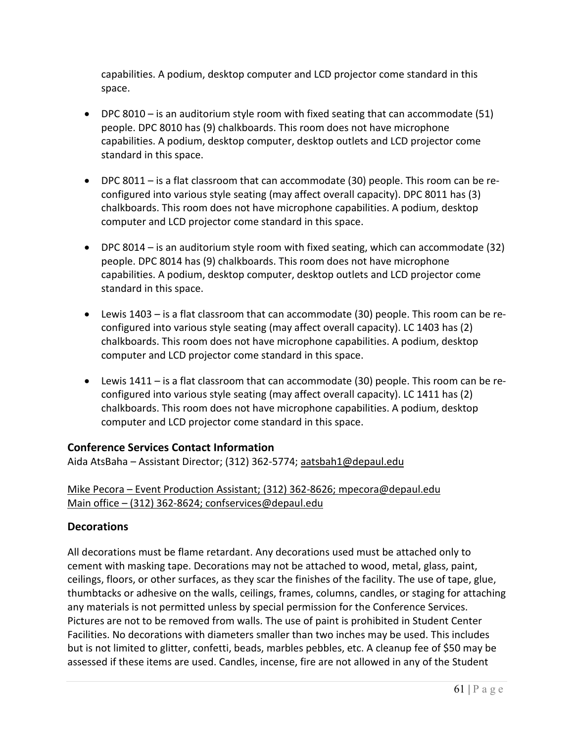capabilities. A podium, desktop computer and LCD projector come standard in this space.

- DPC 8010 is an auditorium style room with fixed seating that can accommodate (51) people. DPC 8010 has (9) chalkboards. This room does not have microphone capabilities. A podium, desktop computer, desktop outlets and LCD projector come standard in this space.
- DPC 8011 is a flat classroom that can accommodate (30) people. This room can be reconfigured into various style seating (may affect overall capacity). DPC 8011 has (3) chalkboards. This room does not have microphone capabilities. A podium, desktop computer and LCD projector come standard in this space.
- DPC 8014 is an auditorium style room with fixed seating, which can accommodate (32) people. DPC 8014 has (9) chalkboards. This room does not have microphone capabilities. A podium, desktop computer, desktop outlets and LCD projector come standard in this space.
- Lewis 1403 is a flat classroom that can accommodate (30) people. This room can be reconfigured into various style seating (may affect overall capacity). LC 1403 has (2) chalkboards. This room does not have microphone capabilities. A podium, desktop computer and LCD projector come standard in this space.
- Lewis 1411 is a flat classroom that can accommodate (30) people. This room can be reconfigured into various style seating (may affect overall capacity). LC 1411 has (2) chalkboards. This room does not have microphone capabilities. A podium, desktop computer and LCD projector come standard in this space.

# **Conference Services Contact Information**

Aida AtsBaha – Assistant Director; (312) 362-5774; [aatsbah1@depaul.edu](mailto:aatsbah1@depaul.edu)

# Mike Pecora – Event Production Assistant; (312) 362-8626; mpecora@depaul.edu Main office – (312) 362-8624; [confservices@depaul.edu](mailto:confservices@depaul.edu)

## **Decorations**

All decorations must be flame retardant. Any decorations used must be attached only to cement with masking tape. Decorations may not be attached to wood, metal, glass, paint, ceilings, floors, or other surfaces, as they scar the finishes of the facility. The use of tape, glue, thumbtacks or adhesive on the walls, ceilings, frames, columns, candles, or staging for attaching any materials is not permitted unless by special permission for the Conference Services. Pictures are not to be removed from walls. The use of paint is prohibited in Student Center Facilities. No decorations with diameters smaller than two inches may be used. This includes but is not limited to glitter, confetti, beads, marbles pebbles, etc. A cleanup fee of \$50 may be assessed if these items are used. Candles, incense, fire are not allowed in any of the Student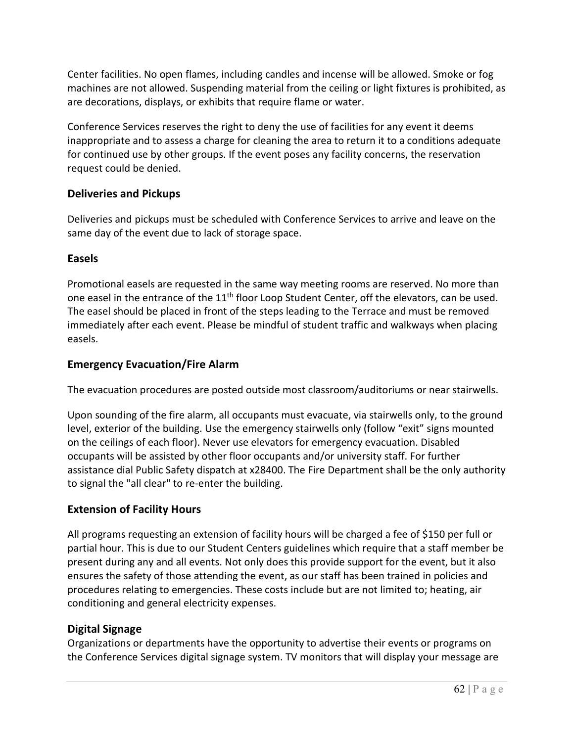Center facilities. No open flames, including candles and incense will be allowed. Smoke or fog machines are not allowed. Suspending material from the ceiling or light fixtures is prohibited, as are decorations, displays, or exhibits that require flame or water.

Conference Services reserves the right to deny the use of facilities for any event it deems inappropriate and to assess a charge for cleaning the area to return it to a conditions adequate for continued use by other groups. If the event poses any facility concerns, the reservation request could be denied.

## **Deliveries and Pickups**

Deliveries and pickups must be scheduled with Conference Services to arrive and leave on the same day of the event due to lack of storage space.

## **Easels**

Promotional easels are requested in the same way meeting rooms are reserved. No more than one easel in the entrance of the 11<sup>th</sup> floor Loop Student Center, off the elevators, can be used. The easel should be placed in front of the steps leading to the Terrace and must be removed immediately after each event. Please be mindful of student traffic and walkways when placing easels.

## **Emergency Evacuation/Fire Alarm**

The evacuation procedures are posted outside most classroom/auditoriums or near stairwells.

Upon sounding of the fire alarm, all occupants must evacuate, via stairwells only, to the ground level, exterior of the building. Use the emergency stairwells only (follow "exit" signs mounted on the ceilings of each floor). Never use elevators for emergency evacuation. Disabled occupants will be assisted by other floor occupants and/or university staff. For further assistance dial Public Safety dispatch at x28400. The Fire Department shall be the only authority to signal the "all clear" to re-enter the building.

# **Extension of Facility Hours**

All programs requesting an extension of facility hours will be charged a fee of \$150 per full or partial hour. This is due to our Student Centers guidelines which require that a staff member be present during any and all events. Not only does this provide support for the event, but it also ensures the safety of those attending the event, as our staff has been trained in policies and procedures relating to emergencies. These costs include but are not limited to; heating, air conditioning and general electricity expenses.

# **Digital Signage**

Organizations or departments have the opportunity to advertise their events or programs on the Conference Services digital signage system. TV monitors that will display your message are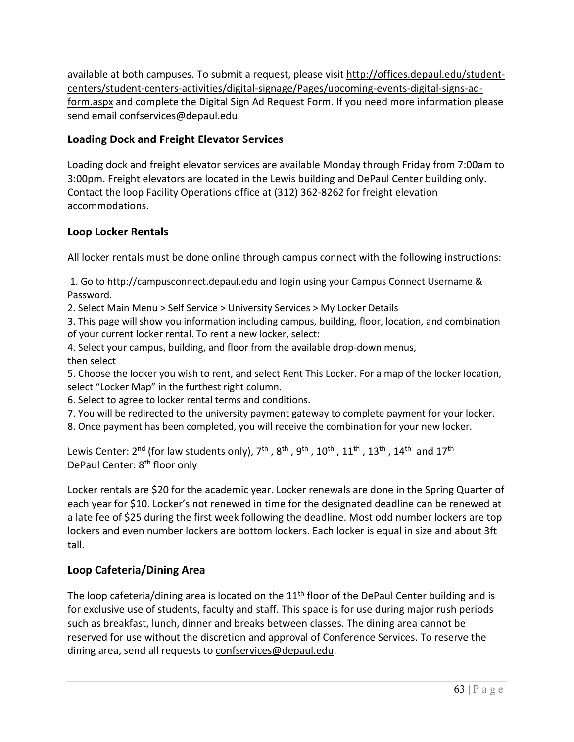available at both campuses. To submit a request, please visit [http://offices.depaul.edu/student](http://offices.depaul.edu/student-centers/student-centers-activities/digital-signage/Pages/upcoming-events-digital-signs-ad-form.aspx)[centers/student-centers-activities/digital-signage/Pages/upcoming-events-digital-signs-ad](http://offices.depaul.edu/student-centers/student-centers-activities/digital-signage/Pages/upcoming-events-digital-signs-ad-form.aspx)[form.aspx](http://offices.depaul.edu/student-centers/student-centers-activities/digital-signage/Pages/upcoming-events-digital-signs-ad-form.aspx) and complete the Digital Sign Ad Request Form. If you need more information please send email [confservices@depaul.edu.](mailto:confservices@depaul.edu)

# **Loading Dock and Freight Elevator Services**

Loading dock and freight elevator services are available Monday through Friday from 7:00am to 3:00pm. Freight elevators are located in the Lewis building and DePaul Center building only. Contact the loop Facility Operations office at (312) 362-8262 for freight elevation accommodations.

# **Loop Locker Rentals**

All locker rentals must be done online through campus connect with the following instructions:

1. Go to http://campusconnect.depaul.edu and login using your Campus Connect Username & Password.

2. Select Main Menu > Self Service > University Services > My Locker Details

3. This page will show you information including campus, building, floor, location, and combination of your current locker rental. To rent a new locker, select:

4. Select your campus, building, and floor from the available drop-down menus, then select

5. Choose the locker you wish to rent, and select Rent This Locker. For a map of the locker location, select "Locker Map" in the furthest right column.

6. Select to agree to locker rental terms and conditions.

7. You will be redirected to the university payment gateway to complete payment for your locker.

8. Once payment has been completed, you will receive the combination for your new locker.

Lewis Center: 2<sup>nd</sup> (for law students only), 7<sup>th</sup>, 8<sup>th</sup>, 9<sup>th</sup>, 10<sup>th</sup>, 11<sup>th</sup>, 13<sup>th</sup>, 14<sup>th</sup> and 17<sup>th</sup> DePaul Center: 8<sup>th</sup> floor only

Locker rentals are \$20 for the academic year. Locker renewals are done in the Spring Quarter of each year for \$10. Locker's not renewed in time for the designated deadline can be renewed at a late fee of \$25 during the first week following the deadline. Most odd number lockers are top lockers and even number lockers are bottom lockers. Each locker is equal in size and about 3ft tall.

# **Loop Cafeteria/Dining Area**

The loop cafeteria/dining area is located on the  $11<sup>th</sup>$  floor of the DePaul Center building and is for exclusive use of students, faculty and staff. This space is for use during major rush periods such as breakfast, lunch, dinner and breaks between classes. The dining area cannot be reserved for use without the discretion and approval of Conference Services. To reserve the dining area, send all requests to [confservices@depaul.edu.](mailto:confservices@depaul.edu)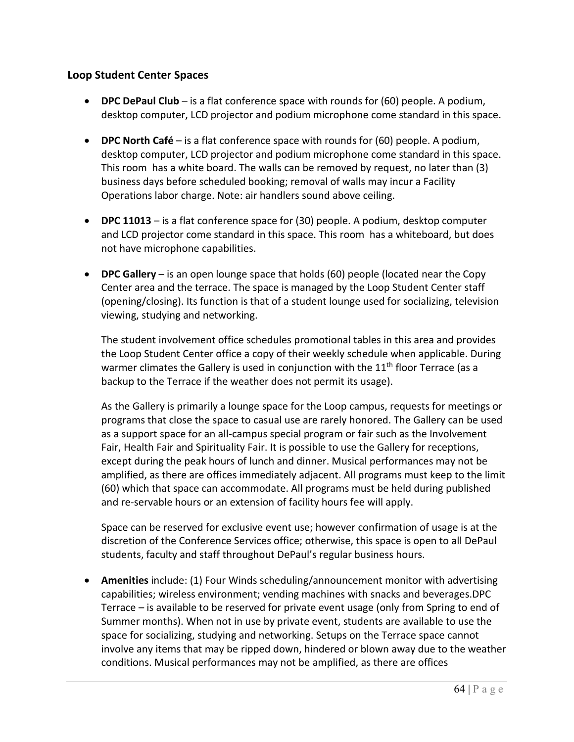## **Loop Student Center Spaces**

- **DPC DePaul Club** is a flat conference space with rounds for (60) people. A podium, desktop computer, LCD projector and podium microphone come standard in this space.
- **DPC North Café** is a flat conference space with rounds for (60) people. A podium, desktop computer, LCD projector and podium microphone come standard in this space. This room has a white board. The walls can be removed by request, no later than (3) business days before scheduled booking; removal of walls may incur a Facility Operations labor charge. Note: air handlers sound above ceiling.
- **DPC 11013** is a flat conference space for (30) people. A podium, desktop computer and LCD projector come standard in this space. This room has a whiteboard, but does not have microphone capabilities.
- **DPC Gallery** is an open lounge space that holds (60) people (located near the Copy Center area and the terrace. The space is managed by the Loop Student Center staff (opening/closing). Its function is that of a student lounge used for socializing, television viewing, studying and networking.

The student involvement office schedules promotional tables in this area and provides the Loop Student Center office a copy of their weekly schedule when applicable. During warmer climates the Gallery is used in conjunction with the  $11<sup>th</sup>$  floor Terrace (as a backup to the Terrace if the weather does not permit its usage).

As the Gallery is primarily a lounge space for the Loop campus, requests for meetings or programs that close the space to casual use are rarely honored. The Gallery can be used as a support space for an all-campus special program or fair such as the Involvement Fair, Health Fair and Spirituality Fair. It is possible to use the Gallery for receptions, except during the peak hours of lunch and dinner. Musical performances may not be amplified, as there are offices immediately adjacent. All programs must keep to the limit (60) which that space can accommodate. All programs must be held during published and re-servable hours or an extension of facility hours fee will apply.

Space can be reserved for exclusive event use; however confirmation of usage is at the discretion of the Conference Services office; otherwise, this space is open to all DePaul students, faculty and staff throughout DePaul's regular business hours.

• **Amenities** include: (1) Four Winds scheduling/announcement monitor with advertising capabilities; wireless environment; vending machines with snacks and beverages.DPC Terrace – is available to be reserved for private event usage (only from Spring to end of Summer months). When not in use by private event, students are available to use the space for socializing, studying and networking. Setups on the Terrace space cannot involve any items that may be ripped down, hindered or blown away due to the weather conditions. Musical performances may not be amplified, as there are offices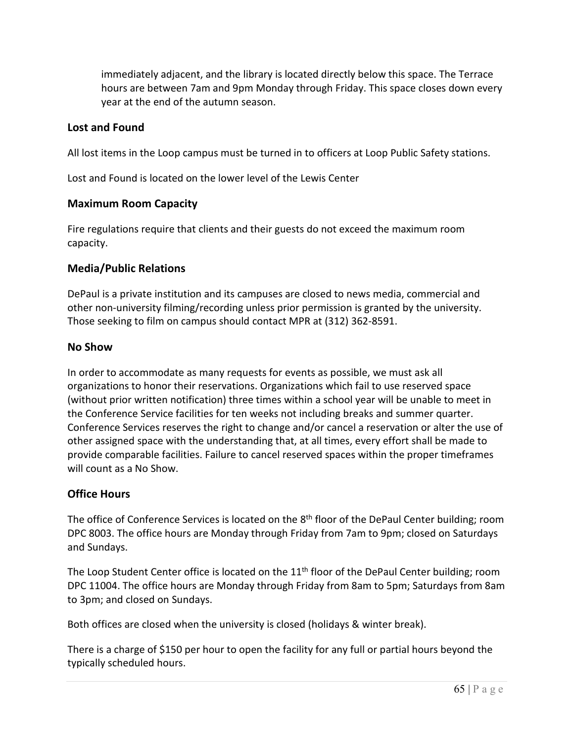immediately adjacent, and the library is located directly below this space. The Terrace hours are between 7am and 9pm Monday through Friday. This space closes down every year at the end of the autumn season.

## **Lost and Found**

All lost items in the Loop campus must be turned in to officers at Loop Public Safety stations.

Lost and Found is located on the lower level of the Lewis Center

## **Maximum Room Capacity**

Fire regulations require that clients and their guests do not exceed the maximum room capacity.

## **Media/Public Relations**

DePaul is a private institution and its campuses are closed to news media, commercial and other non-university filming/recording unless prior permission is granted by the university. Those seeking to film on campus should contact MPR at (312) 362-8591.

#### **No Show**

In order to accommodate as many requests for events as possible, we must ask all organizations to honor their reservations. Organizations which fail to use reserved space (without prior written notification) three times within a school year will be unable to meet in the Conference Service facilities for ten weeks not including breaks and summer quarter. Conference Services reserves the right to change and/or cancel a reservation or alter the use of other assigned space with the understanding that, at all times, every effort shall be made to provide comparable facilities. Failure to cancel reserved spaces within the proper timeframes will count as a No Show.

## **Office Hours**

The office of Conference Services is located on the  $8<sup>th</sup>$  floor of the DePaul Center building; room DPC 8003. The office hours are Monday through Friday from 7am to 9pm; closed on Saturdays and Sundays.

The Loop Student Center office is located on the 11<sup>th</sup> floor of the DePaul Center building; room DPC 11004. The office hours are Monday through Friday from 8am to 5pm; Saturdays from 8am to 3pm; and closed on Sundays.

Both offices are closed when the university is closed (holidays & winter break).

There is a charge of \$150 per hour to open the facility for any full or partial hours beyond the typically scheduled hours.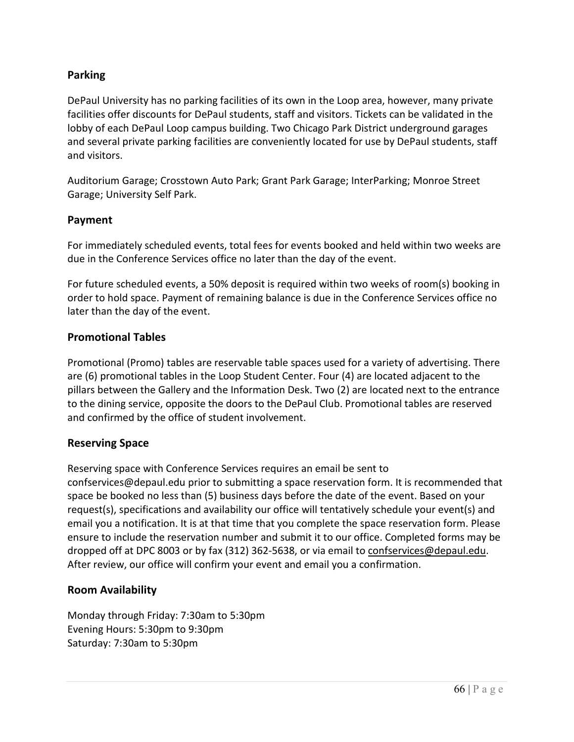# **Parking**

DePaul University has no parking facilities of its own in the Loop area, however, many private facilities offer discounts for DePaul students, staff and visitors. Tickets can be validated in the lobby of each DePaul Loop campus building. Two Chicago Park District underground garages and several private parking facilities are conveniently located for use by DePaul students, staff and visitors.

Auditorium Garage; Crosstown Auto Park; Grant Park Garage; InterParking; Monroe Street Garage; University Self Park.

#### **Payment**

For immediately scheduled events, total fees for events booked and held within two weeks are due in the Conference Services office no later than the day of the event.

For future scheduled events, a 50% deposit is required within two weeks of room(s) booking in order to hold space. Payment of remaining balance is due in the Conference Services office no later than the day of the event.

#### **Promotional Tables**

Promotional (Promo) tables are reservable table spaces used for a variety of advertising. There are (6) promotional tables in the Loop Student Center. Four (4) are located adjacent to the pillars between the Gallery and the Information Desk. Two (2) are located next to the entrance to the dining service, opposite the doors to the DePaul Club. Promotional tables are reserved and confirmed by the office of student involvement.

#### **Reserving Space**

Reserving space with Conference Services requires an email be sent to confservices@depaul.edu prior to submitting a space reservation form. It is recommended that space be booked no less than (5) business days before the date of the event. Based on your request(s), specifications and availability our office will tentatively schedule your event(s) and email you a notification. It is at that time that you complete the space reservation form. Please ensure to include the reservation number and submit it to our office. Completed forms may be dropped off at DPC 8003 or by fax (312) 362-5638, or via email to [confservices@depaul.edu.](mailto:confservices@depaul.edu) After review, our office will confirm your event and email you a confirmation.

## **Room Availability**

Monday through Friday: 7:30am to 5:30pm Evening Hours: 5:30pm to 9:30pm Saturday: 7:30am to 5:30pm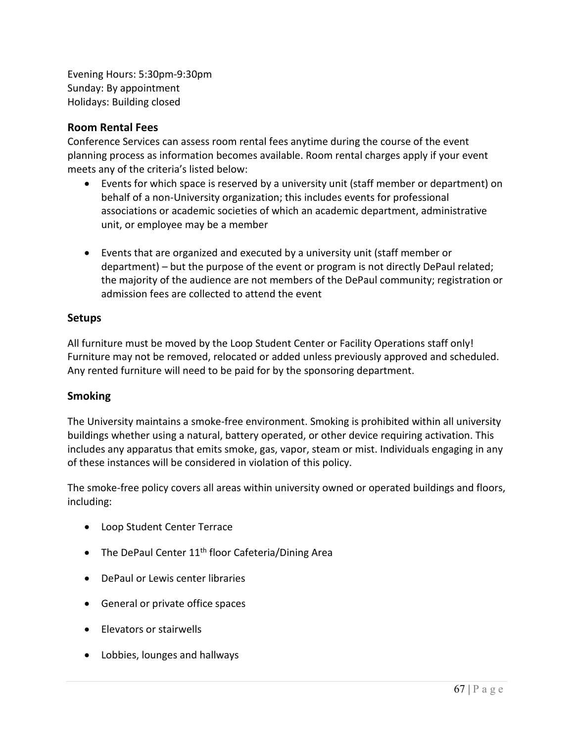Evening Hours: 5:30pm-9:30pm Sunday: By appointment Holidays: Building closed

## **Room Rental Fees**

Conference Services can assess room rental fees anytime during the course of the event planning process as information becomes available. Room rental charges apply if your event meets any of the criteria's listed below:

- Events for which space is reserved by a university unit (staff member or department) on behalf of a non-University organization; this includes events for professional associations or academic societies of which an academic department, administrative unit, or employee may be a member
- Events that are organized and executed by a university unit (staff member or department) – but the purpose of the event or program is not directly DePaul related; the majority of the audience are not members of the DePaul community; registration or admission fees are collected to attend the event

## **Setups**

All furniture must be moved by the Loop Student Center or Facility Operations staff only! Furniture may not be removed, relocated or added unless previously approved and scheduled. Any rented furniture will need to be paid for by the sponsoring department.

## **Smoking**

The University maintains a smoke-free environment. Smoking is prohibited within all university buildings whether using a natural, battery operated, or other device requiring activation. This includes any apparatus that emits smoke, gas, vapor, steam or mist. Individuals engaging in any of these instances will be considered in violation of this policy.

The smoke-free policy covers all areas within university owned or operated buildings and floors, including:

- Loop Student Center Terrace
- The DePaul Center 11<sup>th</sup> floor Cafeteria/Dining Area
- DePaul or Lewis center libraries
- General or private office spaces
- Elevators or stairwells
- Lobbies, lounges and hallways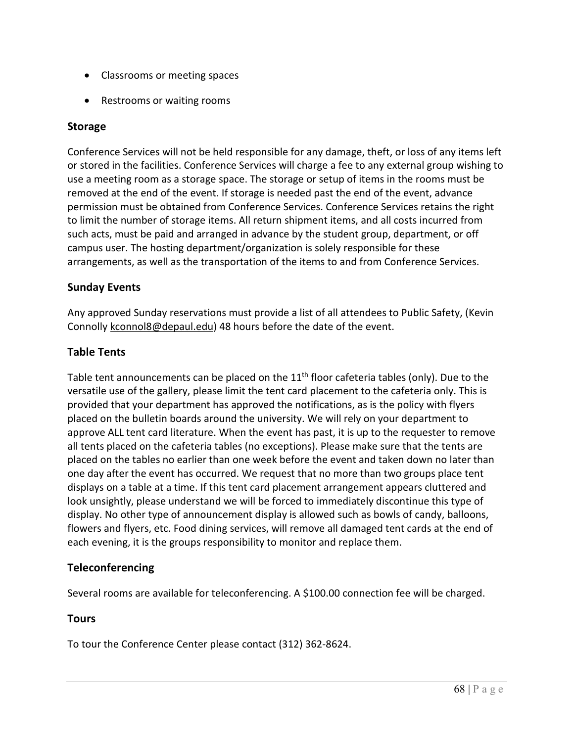- Classrooms or meeting spaces
- Restrooms or waiting rooms

## **Storage**

Conference Services will not be held responsible for any damage, theft, or loss of any items left or stored in the facilities. Conference Services will charge a fee to any external group wishing to use a meeting room as a storage space. The storage or setup of items in the rooms must be removed at the end of the event. If storage is needed past the end of the event, advance permission must be obtained from Conference Services. Conference Services retains the right to limit the number of storage items. All return shipment items, and all costs incurred from such acts, must be paid and arranged in advance by the student group, department, or off campus user. The hosting department/organization is solely responsible for these arrangements, as well as the transportation of the items to and from Conference Services.

## **Sunday Events**

Any approved Sunday reservations must provide a list of all attendees to Public Safety, (Kevin Connolly [kconnol8@depaul.edu\)](mailto:kconnol8@depaul.edu) 48 hours before the date of the event.

#### **Table Tents**

Table tent announcements can be placed on the  $11<sup>th</sup>$  floor cafeteria tables (only). Due to the versatile use of the gallery, please limit the tent card placement to the cafeteria only. This is provided that your department has approved the notifications, as is the policy with flyers placed on the bulletin boards around the university. We will rely on your department to approve ALL tent card literature. When the event has past, it is up to the requester to remove all tents placed on the cafeteria tables (no exceptions). Please make sure that the tents are placed on the tables no earlier than one week before the event and taken down no later than one day after the event has occurred. We request that no more than two groups place tent displays on a table at a time. If this tent card placement arrangement appears cluttered and look unsightly, please understand we will be forced to immediately discontinue this type of display. No other type of announcement display is allowed such as bowls of candy, balloons, flowers and flyers, etc. Food dining services, will remove all damaged tent cards at the end of each evening, it is the groups responsibility to monitor and replace them.

## **Teleconferencing**

Several rooms are available for teleconferencing. A \$100.00 connection fee will be charged.

## **Tours**

To tour the Conference Center please contact (312) 362-8624.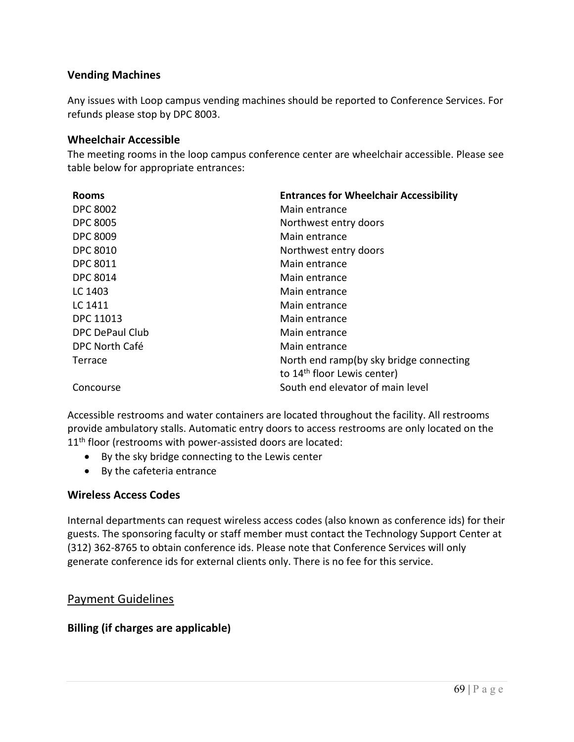## **Vending Machines**

Any issues with Loop campus vending machines should be reported to Conference Services. For refunds please stop by DPC 8003.

#### **Wheelchair Accessible**

The meeting rooms in the loop campus conference center are wheelchair accessible. Please see table below for appropriate entrances:

| <b>Rooms</b>           | <b>Entrances for Wheelchair Accessibility</b> |  |  |
|------------------------|-----------------------------------------------|--|--|
| <b>DPC 8002</b>        | Main entrance                                 |  |  |
| <b>DPC 8005</b>        | Northwest entry doors                         |  |  |
| <b>DPC 8009</b>        | Main entrance                                 |  |  |
| <b>DPC 8010</b>        | Northwest entry doors                         |  |  |
| <b>DPC 8011</b>        | Main entrance                                 |  |  |
| <b>DPC 8014</b>        | Main entrance                                 |  |  |
| LC 1403                | Main entrance                                 |  |  |
| LC 1411                | Main entrance                                 |  |  |
| DPC 11013              | Main entrance                                 |  |  |
| <b>DPC DePaul Club</b> | Main entrance                                 |  |  |
| DPC North Café         | Main entrance                                 |  |  |
| Terrace                | North end ramp(by sky bridge connecting       |  |  |
|                        | to 14 <sup>th</sup> floor Lewis center)       |  |  |
| Concourse              | South end elevator of main level              |  |  |

Accessible restrooms and water containers are located throughout the facility. All restrooms provide ambulatory stalls. Automatic entry doors to access restrooms are only located on the 11<sup>th</sup> floor (restrooms with power-assisted doors are located:

- By the sky bridge connecting to the Lewis center
- By the cafeteria entrance

## **Wireless Access Codes**

Internal departments can request wireless access codes (also known as conference ids) for their guests. The sponsoring faculty or staff member must contact the Technology Support Center at (312) 362-8765 to obtain conference ids. Please note that Conference Services will only generate conference ids for external clients only. There is no fee for this service.

# Payment Guidelines

# **Billing (if charges are applicable)**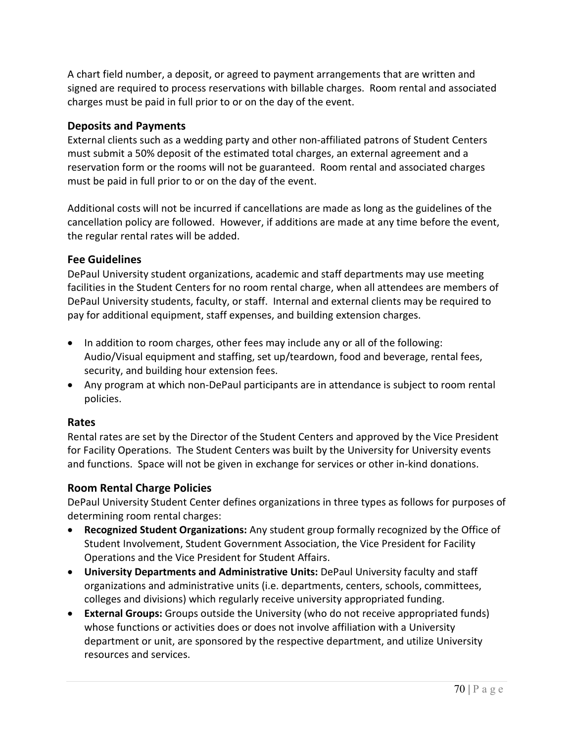A chart field number, a deposit, or agreed to payment arrangements that are written and signed are required to process reservations with billable charges. Room rental and associated charges must be paid in full prior to or on the day of the event.

## **Deposits and Payments**

External clients such as a wedding party and other non-affiliated patrons of Student Centers must submit a 50% deposit of the estimated total charges, an external agreement and a reservation form or the rooms will not be guaranteed. Room rental and associated charges must be paid in full prior to or on the day of the event.

Additional costs will not be incurred if cancellations are made as long as the guidelines of the cancellation policy are followed. However, if additions are made at any time before the event, the regular rental rates will be added.

# **Fee Guidelines**

DePaul University student organizations, academic and staff departments may use meeting facilities in the Student Centers for no room rental charge, when all attendees are members of DePaul University students, faculty, or staff. Internal and external clients may be required to pay for additional equipment, staff expenses, and building extension charges.

- In addition to room charges, other fees may include any or all of the following: Audio/Visual equipment and staffing, set up/teardown, food and beverage, rental fees, security, and building hour extension fees.
- Any program at which non-DePaul participants are in attendance is subject to room rental policies.

# **Rates**

Rental rates are set by the Director of the Student Centers and approved by the Vice President for Facility Operations. The Student Centers was built by the University for University events and functions. Space will not be given in exchange for services or other in-kind donations.

# **Room Rental Charge Policies**

DePaul University Student Center defines organizations in three types as follows for purposes of determining room rental charges:

- **Recognized Student Organizations:** Any student group formally recognized by the Office of Student Involvement, Student Government Association, the Vice President for Facility Operations and the Vice President for Student Affairs.
- **University Departments and Administrative Units:** DePaul University faculty and staff organizations and administrative units (i.e. departments, centers, schools, committees, colleges and divisions) which regularly receive university appropriated funding.
- **External Groups:** Groups outside the University (who do not receive appropriated funds) whose functions or activities does or does not involve affiliation with a University department or unit, are sponsored by the respective department, and utilize University resources and services.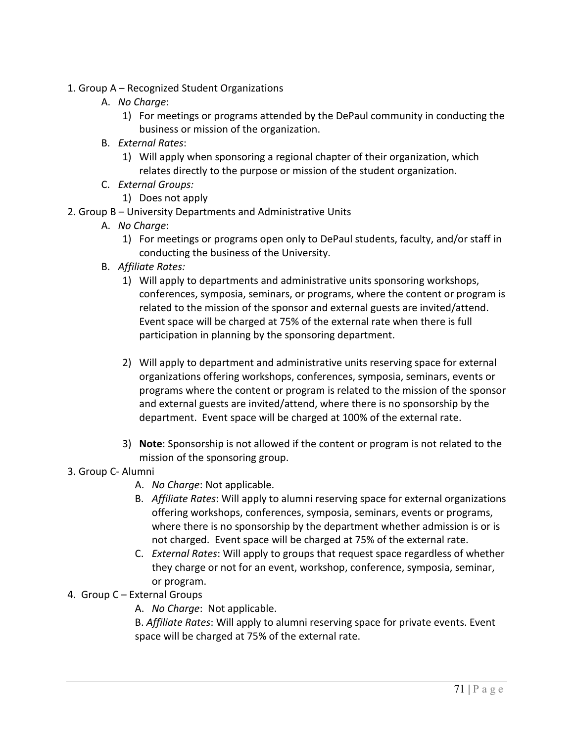- 1. Group A Recognized Student Organizations
	- A. *No Charge*:
		- 1) For meetings or programs attended by the DePaul community in conducting the business or mission of the organization.
	- B. *External Rates*:
		- 1) Will apply when sponsoring a regional chapter of their organization, which relates directly to the purpose or mission of the student organization.
	- C. *External Groups:*
		- 1) Does not apply
- 2. Group B University Departments and Administrative Units
	- A. *No Charge*:
		- 1) For meetings or programs open only to DePaul students, faculty, and/or staff in conducting the business of the University.
	- B. *Affiliate Rates:*
		- 1) Will apply to departments and administrative units sponsoring workshops, conferences, symposia, seminars, or programs, where the content or program is related to the mission of the sponsor and external guests are invited/attend. Event space will be charged at 75% of the external rate when there is full participation in planning by the sponsoring department.
		- 2) Will apply to department and administrative units reserving space for external organizations offering workshops, conferences, symposia, seminars, events or programs where the content or program is related to the mission of the sponsor and external guests are invited/attend, where there is no sponsorship by the department. Event space will be charged at 100% of the external rate.
		- 3) **Note**: Sponsorship is not allowed if the content or program is not related to the mission of the sponsoring group.

## 3. Group C- Alumni

- A. *No Charge*: Not applicable.
- B. *Affiliate Rates*: Will apply to alumni reserving space for external organizations offering workshops, conferences, symposia, seminars, events or programs, where there is no sponsorship by the department whether admission is or is not charged. Event space will be charged at 75% of the external rate.
- C. *External Rates*: Will apply to groups that request space regardless of whether they charge or not for an event, workshop, conference, symposia, seminar, or program.
- 4. Group C External Groups
	- A. *No Charge*: Not applicable.

B. *Affiliate Rates*: Will apply to alumni reserving space for private events. Event space will be charged at 75% of the external rate.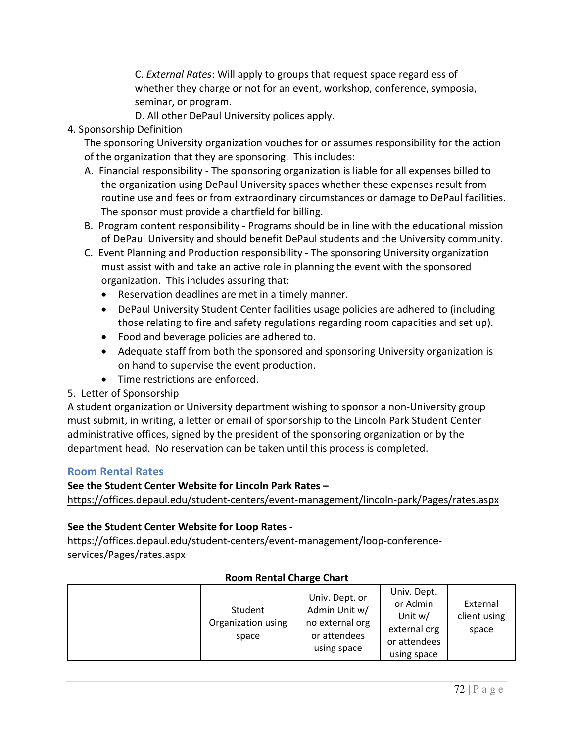C. *External Rates*: Will apply to groups that request space regardless of whether they charge or not for an event, workshop, conference, symposia, seminar, or program.

D. All other DePaul University polices apply.

4. Sponsorship Definition

The sponsoring University organization vouches for or assumes responsibility for the action of the organization that they are sponsoring. This includes:

- A. Financial responsibility The sponsoring organization is liable for all expenses billed to the organization using DePaul University spaces whether these expenses result from routine use and fees or from extraordinary circumstances or damage to DePaul facilities. The sponsor must provide a chartfield for billing.
- B. Program content responsibility Programs should be in line with the educational mission of DePaul University and should benefit DePaul students and the University community.
- C. Event Planning and Production responsibility The sponsoring University organization must assist with and take an active role in planning the event with the sponsored organization. This includes assuring that:
	- Reservation deadlines are met in a timely manner.
	- DePaul University Student Center facilities usage policies are adhered to (including those relating to fire and safety regulations regarding room capacities and set up).
	- Food and beverage policies are adhered to.
	- Adequate staff from both the sponsored and sponsoring University organization is on hand to supervise the event production.
	- Time restrictions are enforced.
- 5. Letter of Sponsorship

A student organization or University department wishing to sponsor a non-University group must submit, in writing, a letter or email of sponsorship to the Lincoln Park Student Center administrative offices, signed by the president of the sponsoring organization or by the department head. No reservation can be taken until this process is completed.

## **Room Rental Rates**

## **See the Student Center Website for Lincoln Park Rates –**

<https://offices.depaul.edu/student-centers/event-management/lincoln-park/Pages/rates.aspx>

## **See the Student Center Website for Loop Rates -**

https://offices.depaul.edu/student-centers/event-management/loop-conferenceservices/Pages/rates.aspx

| Student                     | Univ. Dept. or<br>Admin Unit w/                | Univ. Dept.<br>or Admin                                | External              |
|-----------------------------|------------------------------------------------|--------------------------------------------------------|-----------------------|
| Organization using<br>space | no external org<br>or attendees<br>using space | Unit w/<br>external org<br>or attendees<br>using space | client using<br>space |

## **Room Rental Charge Chart**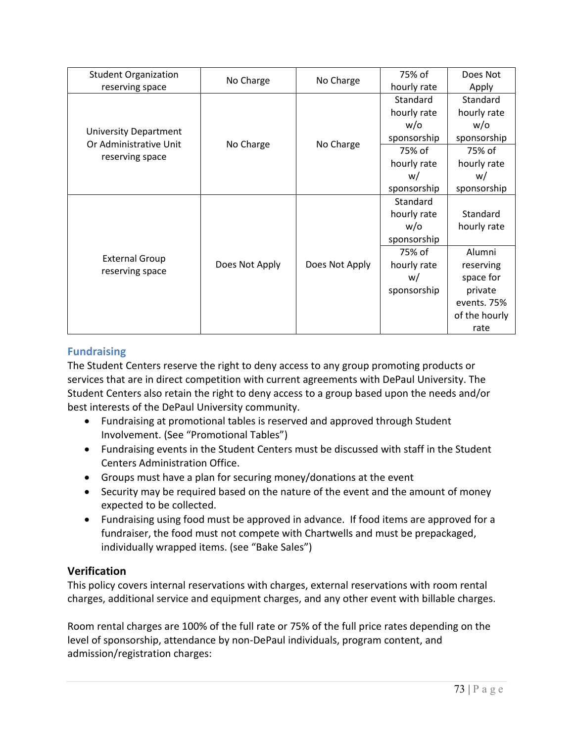| <b>Student Organization</b><br>reserving space                            | No Charge      | No Charge      | 75% of      | Does Not      |
|---------------------------------------------------------------------------|----------------|----------------|-------------|---------------|
|                                                                           |                |                | hourly rate | Apply         |
| <b>University Department</b><br>Or Administrative Unit<br>reserving space | No Charge      | No Charge      | Standard    | Standard      |
|                                                                           |                |                | hourly rate | hourly rate   |
|                                                                           |                |                | $w$ /o      | w/o           |
|                                                                           |                |                | sponsorship | sponsorship   |
|                                                                           |                |                | 75% of      | 75% of        |
|                                                                           |                |                | hourly rate | hourly rate   |
|                                                                           |                |                | w/          | w/            |
|                                                                           |                |                | sponsorship | sponsorship   |
| <b>External Group</b><br>reserving space                                  | Does Not Apply | Does Not Apply | Standard    |               |
|                                                                           |                |                | hourly rate | Standard      |
|                                                                           |                |                | $w$ /o      | hourly rate   |
|                                                                           |                |                | sponsorship |               |
|                                                                           |                |                | 75% of      | Alumni        |
|                                                                           |                |                | hourly rate | reserving     |
|                                                                           |                |                | w/          | space for     |
|                                                                           |                |                | sponsorship | private       |
|                                                                           |                |                |             | events. 75%   |
|                                                                           |                |                |             | of the hourly |
|                                                                           |                |                |             | rate          |

## **Fundraising**

The Student Centers reserve the right to deny access to any group promoting products or services that are in direct competition with current agreements with DePaul University. The Student Centers also retain the right to deny access to a group based upon the needs and/or best interests of the DePaul University community.

- Fundraising at promotional tables is reserved and approved through Student Involvement. (See "Promotional Tables")
- Fundraising events in the Student Centers must be discussed with staff in the Student Centers Administration Office.
- Groups must have a plan for securing money/donations at the event
- Security may be required based on the nature of the event and the amount of money expected to be collected.
- Fundraising using food must be approved in advance. If food items are approved for a fundraiser, the food must not compete with Chartwells and must be prepackaged, individually wrapped items. (see "Bake Sales")

## **Verification**

This policy covers internal reservations with charges, external reservations with room rental charges, additional service and equipment charges, and any other event with billable charges.

Room rental charges are 100% of the full rate or 75% of the full price rates depending on the level of sponsorship, attendance by non-DePaul individuals, program content, and admission/registration charges: